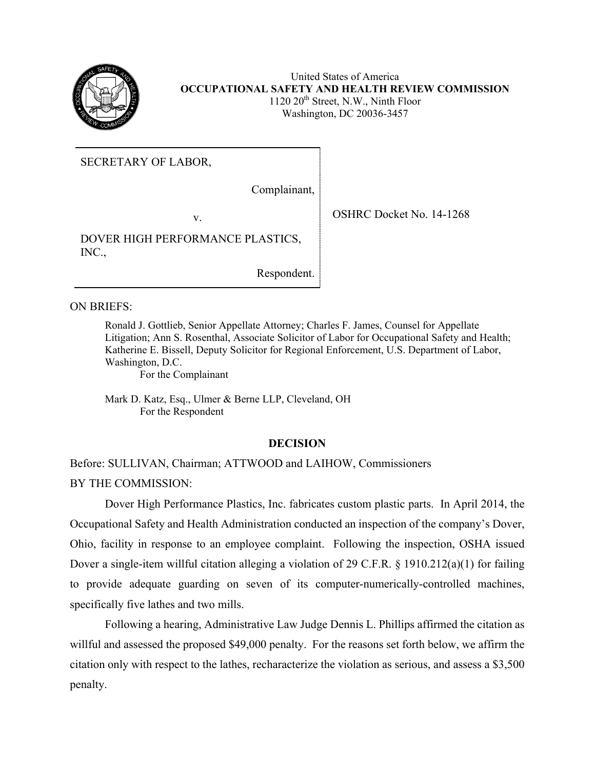

United States of America **OCCUPATIONAL SAFETY AND HEALTH REVIEW COMMISSION** 1120 20<sup>th</sup> Street, N.W., Ninth Floor Washington, DC 20036-3457

SECRETARY OF LABOR,

Complainant,

DOVER HIGH PERFORMANCE PLASTICS, INC.,

Respondent.

ON BRIEFS:

Ronald J. Gottlieb, Senior Appellate Attorney; Charles F. James, Counsel for Appellate Litigation; Ann S. Rosenthal, Associate Solicitor of Labor for Occupational Safety and Health; Katherine E. Bissell, Deputy Solicitor for Regional Enforcement, U.S. Department of Labor, Washington, D.C.

For the Complainant

Mark D. Katz, Esq., Ulmer & Berne LLP, Cleveland, OH For the Respondent

# **DECISION**

Before: SULLIVAN, Chairman; ATTWOOD and LAIHOW, Commissioners BY THE COMMISSION:

Dover High Performance Plastics, Inc. fabricates custom plastic parts. In April 2014, the Occupational Safety and Health Administration conducted an inspection of the company's Dover, Ohio, facility in response to an employee complaint. Following the inspection, OSHA issued Dover a single-item willful citation alleging a violation of 29 C.F.R.  $\S$  1910.212(a)(1) for failing to provide adequate guarding on seven of its computer-numerically-controlled machines, specifically five lathes and two mills.

Following a hearing, Administrative Law Judge Dennis L. Phillips affirmed the citation as willful and assessed the proposed \$49,000 penalty. For the reasons set forth below, we affirm the citation only with respect to the lathes, recharacterize the violation as serious, and assess a \$3,500 penalty.

v. SHRC Docket No. 14-1268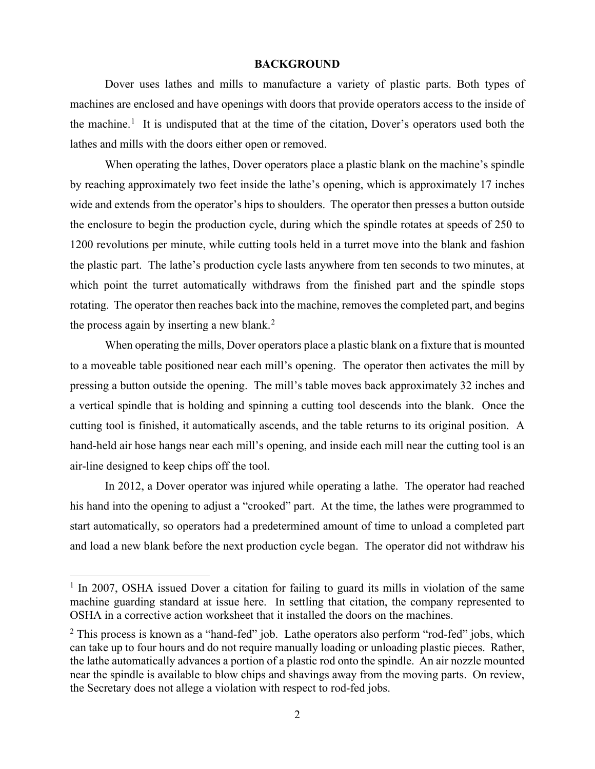#### **BACKGROUND**

Dover uses lathes and mills to manufacture a variety of plastic parts. Both types of machines are enclosed and have openings with doors that provide operators access to the inside of the machine.<sup>[1](#page-1-0)</sup> It is undisputed that at the time of the citation, Dover's operators used both the lathes and mills with the doors either open or removed.

When operating the lathes, Dover operators place a plastic blank on the machine's spindle by reaching approximately two feet inside the lathe's opening, which is approximately 17 inches wide and extends from the operator's hips to shoulders. The operator then presses a button outside the enclosure to begin the production cycle, during which the spindle rotates at speeds of 250 to 1200 revolutions per minute, while cutting tools held in a turret move into the blank and fashion the plastic part. The lathe's production cycle lasts anywhere from ten seconds to two minutes, at which point the turret automatically withdraws from the finished part and the spindle stops rotating. The operator then reaches back into the machine, removes the completed part, and begins the process again by inserting a new blank. $<sup>2</sup>$  $<sup>2</sup>$  $<sup>2</sup>$ </sup>

When operating the mills, Dover operators place a plastic blank on a fixture that is mounted to a moveable table positioned near each mill's opening. The operator then activates the mill by pressing a button outside the opening. The mill's table moves back approximately 32 inches and a vertical spindle that is holding and spinning a cutting tool descends into the blank. Once the cutting tool is finished, it automatically ascends, and the table returns to its original position. A hand-held air hose hangs near each mill's opening, and inside each mill near the cutting tool is an air-line designed to keep chips off the tool.

In 2012, a Dover operator was injured while operating a lathe. The operator had reached his hand into the opening to adjust a "crooked" part. At the time, the lathes were programmed to start automatically, so operators had a predetermined amount of time to unload a completed part and load a new blank before the next production cycle began. The operator did not withdraw his

<span id="page-1-0"></span> $1$  In 2007, OSHA issued Dover a citation for failing to guard its mills in violation of the same machine guarding standard at issue here. In settling that citation, the company represented to OSHA in a corrective action worksheet that it installed the doors on the machines.

<span id="page-1-1"></span> $2$  This process is known as a "hand-fed" job. Lathe operators also perform "rod-fed" jobs, which can take up to four hours and do not require manually loading or unloading plastic pieces. Rather, the lathe automatically advances a portion of a plastic rod onto the spindle. An air nozzle mounted near the spindle is available to blow chips and shavings away from the moving parts. On review, the Secretary does not allege a violation with respect to rod-fed jobs.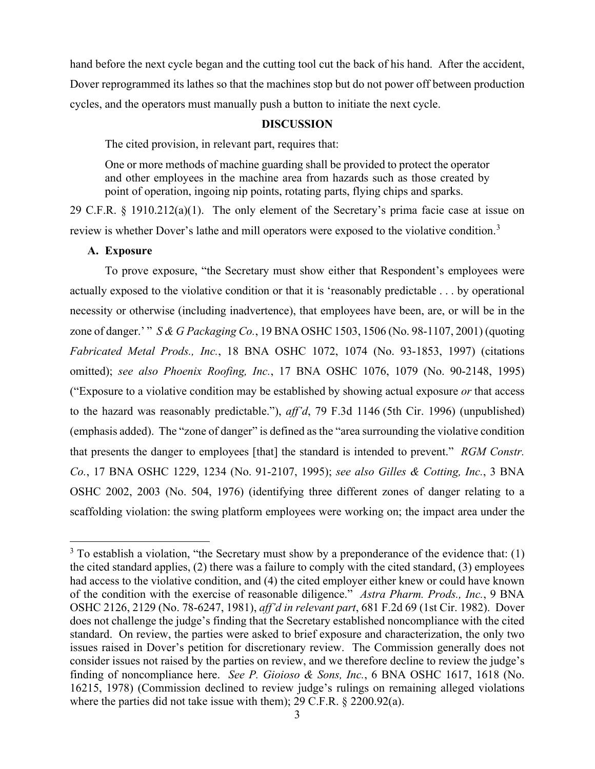hand before the next cycle began and the cutting tool cut the back of his hand. After the accident, Dover reprogrammed its lathes so that the machines stop but do not power off between production cycles, and the operators must manually push a button to initiate the next cycle.

## **DISCUSSION**

The cited provision, in relevant part, requires that:

One or more methods of machine guarding shall be provided to protect the operator and other employees in the machine area from hazards such as those created by point of operation, ingoing nip points, rotating parts, flying chips and sparks.

29 C.F.R. § 1910.212(a)(1). The only element of the Secretary's prima facie case at issue on review is whether Dover's lathe and mill operators were exposed to the violative condition.<sup>[3](#page-2-0)</sup>

## **A. Exposure**

To prove exposure, "the Secretary must show either that Respondent's employees were actually exposed to the violative condition or that it is 'reasonably predictable . . . by operational necessity or otherwise (including inadvertence), that employees have been, are, or will be in the zone of danger.' " *S & G Packaging Co.*, 19 BNA OSHC 1503, 1506 (No. 98-1107, 2001) (quoting *Fabricated Metal Prods., Inc.*, 18 BNA OSHC 1072, 1074 (No. 93-1853, 1997) (citations omitted); *see also Phoenix Roofing, Inc.*, 17 BNA OSHC 1076, 1079 (No. 90-2148, 1995) ("Exposure to a violative condition may be established by showing actual exposure *or* that access to the hazard was reasonably predictable."), *aff'd*, 79 F.3d 1146 (5th Cir. 1996) (unpublished) (emphasis added). The "zone of danger" is defined as the "area surrounding the violative condition that presents the danger to employees [that] the standard is intended to prevent." *RGM Constr. Co.*, 17 BNA OSHC 1229, 1234 (No. 91-2107, 1995); *see also Gilles & Cotting, Inc.*, 3 BNA OSHC 2002, 2003 (No. 504, 1976) (identifying three different zones of danger relating to a scaffolding violation: the swing platform employees were working on; the impact area under the

<span id="page-2-0"></span> $3$  To establish a violation, "the Secretary must show by a preponderance of the evidence that: (1) the cited standard applies, (2) there was a failure to comply with the cited standard, (3) employees had access to the violative condition, and (4) the cited employer either knew or could have known of the condition with the exercise of reasonable diligence." *Astra Pharm. Prods., Inc.*, 9 BNA OSHC 2126, 2129 (No. 78-6247, 1981), *aff'd in relevant part*, 681 F.2d 69 (1st Cir. 1982). Dover does not challenge the judge's finding that the Secretary established noncompliance with the cited standard. On review, the parties were asked to brief exposure and characterization, the only two issues raised in Dover's petition for discretionary review. The Commission generally does not consider issues not raised by the parties on review, and we therefore decline to review the judge's finding of noncompliance here. *See P. Gioioso & Sons, Inc.*, 6 BNA OSHC 1617, 1618 (No. 16215, 1978) (Commission declined to review judge's rulings on remaining alleged violations where the parties did not take issue with them); 29 C.F.R. § 2200.92(a).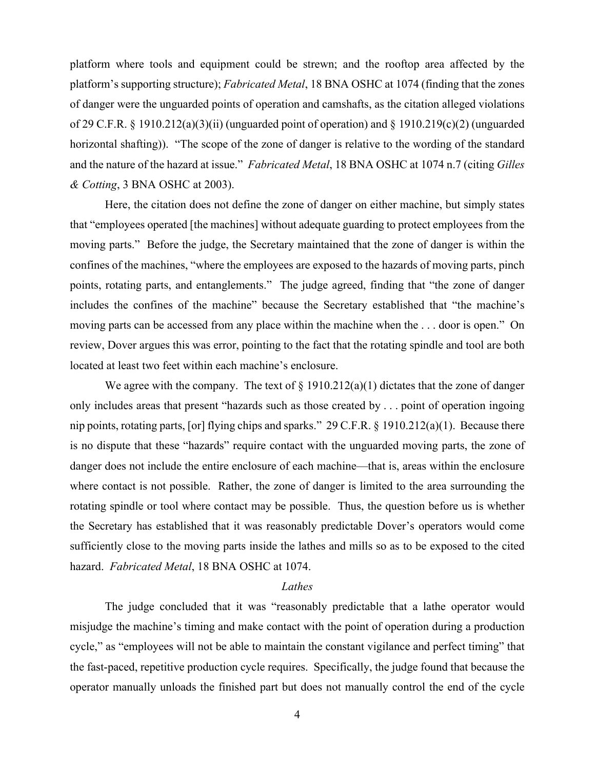platform where tools and equipment could be strewn; and the rooftop area affected by the platform's supporting structure); *Fabricated Metal*, 18 BNA OSHC at 1074 (finding that the zones of danger were the unguarded points of operation and camshafts, as the citation alleged violations of 29 C.F.R. § 1910.212(a)(3)(ii) (unguarded point of operation) and § 1910.219(c)(2) (unguarded horizontal shafting)). "The scope of the zone of danger is relative to the wording of the standard and the nature of the hazard at issue." *Fabricated Metal*, 18 BNA OSHC at 1074 n.7 (citing *Gilles & Cotting*, 3 BNA OSHC at 2003).

Here, the citation does not define the zone of danger on either machine, but simply states that "employees operated [the machines] without adequate guarding to protect employees from the moving parts." Before the judge, the Secretary maintained that the zone of danger is within the confines of the machines, "where the employees are exposed to the hazards of moving parts, pinch points, rotating parts, and entanglements." The judge agreed, finding that "the zone of danger includes the confines of the machine" because the Secretary established that "the machine's moving parts can be accessed from any place within the machine when the . . . door is open." On review, Dover argues this was error, pointing to the fact that the rotating spindle and tool are both located at least two feet within each machine's enclosure.

We agree with the company. The text of  $\S$  1910.212(a)(1) dictates that the zone of danger only includes areas that present "hazards such as those created by . . . point of operation ingoing nip points, rotating parts, [or] flying chips and sparks." 29 C.F.R. § 1910.212(a)(1). Because there is no dispute that these "hazards" require contact with the unguarded moving parts, the zone of danger does not include the entire enclosure of each machine—that is, areas within the enclosure where contact is not possible. Rather, the zone of danger is limited to the area surrounding the rotating spindle or tool where contact may be possible. Thus, the question before us is whether the Secretary has established that it was reasonably predictable Dover's operators would come sufficiently close to the moving parts inside the lathes and mills so as to be exposed to the cited hazard. *Fabricated Metal*, 18 BNA OSHC at 1074.

#### *Lathes*

The judge concluded that it was "reasonably predictable that a lathe operator would misjudge the machine's timing and make contact with the point of operation during a production cycle," as "employees will not be able to maintain the constant vigilance and perfect timing" that the fast-paced, repetitive production cycle requires. Specifically, the judge found that because the operator manually unloads the finished part but does not manually control the end of the cycle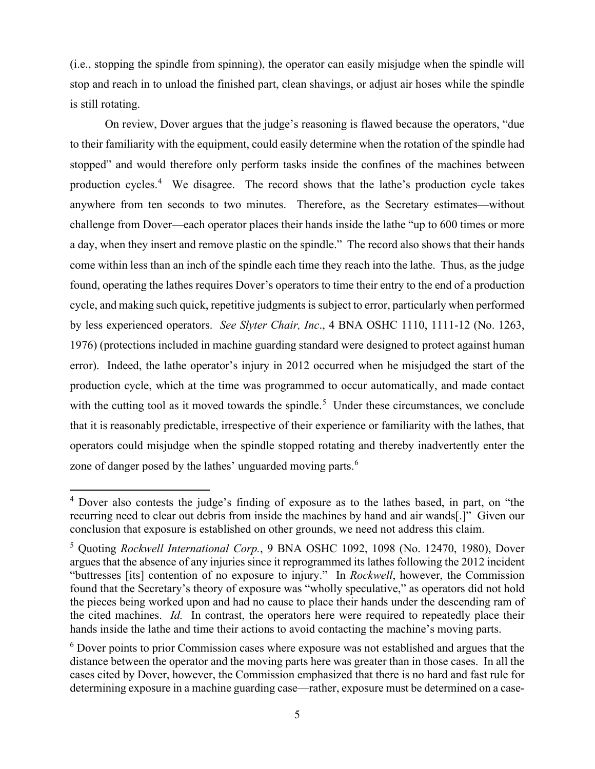(i.e., stopping the spindle from spinning), the operator can easily misjudge when the spindle will stop and reach in to unload the finished part, clean shavings, or adjust air hoses while the spindle is still rotating.

On review, Dover argues that the judge's reasoning is flawed because the operators, "due to their familiarity with the equipment, could easily determine when the rotation of the spindle had stopped" and would therefore only perform tasks inside the confines of the machines between production cycles.<sup>[4](#page-4-0)</sup> We disagree. The record shows that the lathe's production cycle takes anywhere from ten seconds to two minutes. Therefore, as the Secretary estimates—without challenge from Dover—each operator places their hands inside the lathe "up to 600 times or more a day, when they insert and remove plastic on the spindle." The record also shows that their hands come within less than an inch of the spindle each time they reach into the lathe. Thus, as the judge found, operating the lathes requires Dover's operators to time their entry to the end of a production cycle, and making such quick, repetitive judgments is subject to error, particularly when performed by less experienced operators. *See Slyter Chair, Inc*., 4 BNA OSHC 1110, 1111-12 (No. 1263, 1976) (protections included in machine guarding standard were designed to protect against human error). Indeed, the lathe operator's injury in 2012 occurred when he misjudged the start of the production cycle, which at the time was programmed to occur automatically, and made contact with the cutting tool as it moved towards the spindle.<sup>[5](#page-4-1)</sup> Under these circumstances, we conclude that it is reasonably predictable, irrespective of their experience or familiarity with the lathes, that operators could misjudge when the spindle stopped rotating and thereby inadvertently enter the zone of danger posed by the lathes' unguarded moving parts.<sup>[6](#page-4-2)</sup>

<span id="page-4-0"></span><sup>4</sup> Dover also contests the judge's finding of exposure as to the lathes based, in part, on "the recurring need to clear out debris from inside the machines by hand and air wands[.]" Given our conclusion that exposure is established on other grounds, we need not address this claim.

<span id="page-4-1"></span><sup>5</sup> Quoting *Rockwell International Corp.*, 9 BNA OSHC 1092, 1098 (No. 12470, 1980), Dover argues that the absence of any injuries since it reprogrammed its lathes following the 2012 incident "buttresses [its] contention of no exposure to injury." In *Rockwell*, however, the Commission found that the Secretary's theory of exposure was "wholly speculative," as operators did not hold the pieces being worked upon and had no cause to place their hands under the descending ram of the cited machines. *Id.* In contrast, the operators here were required to repeatedly place their hands inside the lathe and time their actions to avoid contacting the machine's moving parts.

<span id="page-4-2"></span><sup>&</sup>lt;sup>6</sup> Dover points to prior Commission cases where exposure was not established and argues that the distance between the operator and the moving parts here was greater than in those cases. In all the cases cited by Dover, however, the Commission emphasized that there is no hard and fast rule for determining exposure in a machine guarding case—rather, exposure must be determined on a case-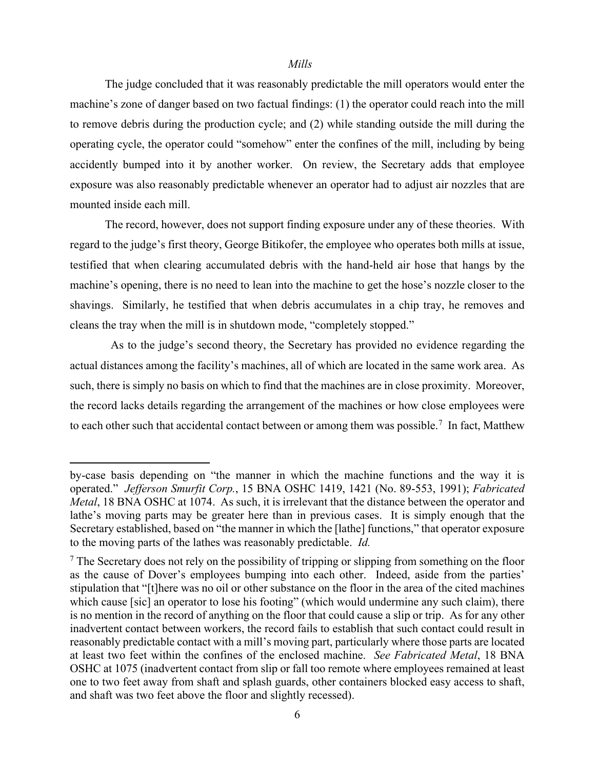#### *Mills*

The judge concluded that it was reasonably predictable the mill operators would enter the machine's zone of danger based on two factual findings: (1) the operator could reach into the mill to remove debris during the production cycle; and (2) while standing outside the mill during the operating cycle, the operator could "somehow" enter the confines of the mill, including by being accidently bumped into it by another worker. On review, the Secretary adds that employee exposure was also reasonably predictable whenever an operator had to adjust air nozzles that are mounted inside each mill.

The record, however, does not support finding exposure under any of these theories. With regard to the judge's first theory, George Bitikofer, the employee who operates both mills at issue, testified that when clearing accumulated debris with the hand-held air hose that hangs by the machine's opening, there is no need to lean into the machine to get the hose's nozzle closer to the shavings. Similarly, he testified that when debris accumulates in a chip tray, he removes and cleans the tray when the mill is in shutdown mode, "completely stopped."

 As to the judge's second theory, the Secretary has provided no evidence regarding the actual distances among the facility's machines, all of which are located in the same work area. As such, there is simply no basis on which to find that the machines are in close proximity. Moreover, the record lacks details regarding the arrangement of the machines or how close employees were to each other such that accidental contact between or among them was possible.<sup>[7](#page-5-0)</sup> In fact, Matthew

by-case basis depending on "the manner in which the machine functions and the way it is operated." *Jefferson Smurfit Corp.*, 15 BNA OSHC 1419, 1421 (No. 89-553, 1991); *Fabricated Metal*, 18 BNA OSHC at 1074. As such, it is irrelevant that the distance between the operator and lathe's moving parts may be greater here than in previous cases. It is simply enough that the Secretary established, based on "the manner in which the [lathe] functions," that operator exposure to the moving parts of the lathes was reasonably predictable. *Id.*

<span id="page-5-0"></span> $7$  The Secretary does not rely on the possibility of tripping or slipping from something on the floor as the cause of Dover's employees bumping into each other. Indeed, aside from the parties' stipulation that "[t]here was no oil or other substance on the floor in the area of the cited machines which cause [sic] an operator to lose his footing" (which would undermine any such claim), there is no mention in the record of anything on the floor that could cause a slip or trip. As for any other inadvertent contact between workers, the record fails to establish that such contact could result in reasonably predictable contact with a mill's moving part, particularly where those parts are located at least two feet within the confines of the enclosed machine. *See Fabricated Metal*, 18 BNA OSHC at 1075 (inadvertent contact from slip or fall too remote where employees remained at least one to two feet away from shaft and splash guards, other containers blocked easy access to shaft, and shaft was two feet above the floor and slightly recessed).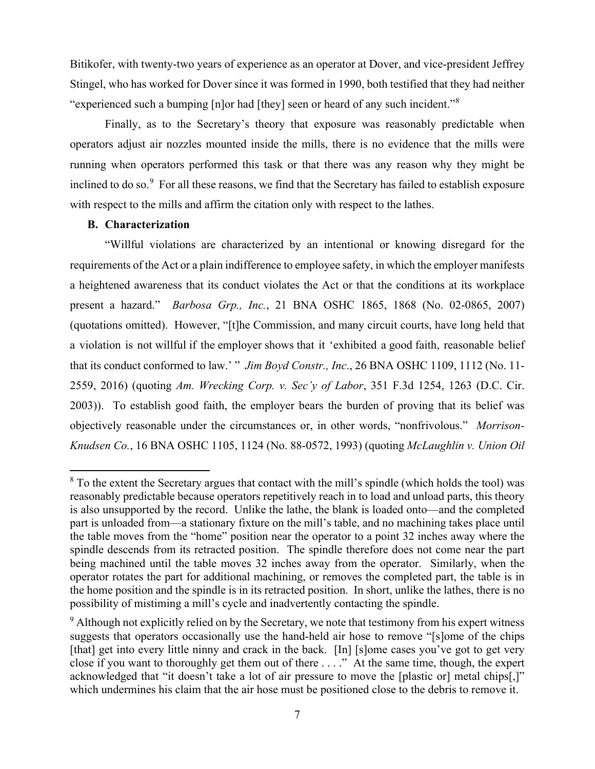Bitikofer, with twenty-two years of experience as an operator at Dover, and vice-president Jeffrey Stingel, who has worked for Dover since it was formed in 1990, both testified that they had neither "experienced such a bumping [n]or had [they] seen or heard of any such incident."[8](#page-6-0)

Finally, as to the Secretary's theory that exposure was reasonably predictable when operators adjust air nozzles mounted inside the mills, there is no evidence that the mills were running when operators performed this task or that there was any reason why they might be inclined to do so.<sup>[9](#page-6-1)</sup> For all these reasons, we find that the Secretary has failed to establish exposure with respect to the mills and affirm the citation only with respect to the lathes.

## **B. Characterization**

"Willful violations are characterized by an intentional or knowing disregard for the requirements of the Act or a plain indifference to employee safety, in which the employer manifests a heightened awareness that its conduct violates the Act or that the conditions at its workplace present a hazard." *Barbosa Grp., Inc.*, 21 BNA OSHC 1865, 1868 (No. 02-0865, 2007) (quotations omitted). However, "[t]he Commission, and many circuit courts, have long held that a violation is not willful if the employer shows that it 'exhibited a good faith, reasonable belief that its conduct conformed to law.' " *Jim Boyd Constr., Inc*., 26 BNA OSHC 1109, 1112 (No. 11- 2559, 2016) (quoting *Am. Wrecking Corp. v. Sec'y of Labor*, 351 F.3d 1254, 1263 (D.C. Cir. 2003)). To establish good faith, the employer bears the burden of proving that its belief was objectively reasonable under the circumstances or, in other words, "nonfrivolous." *Morrison-Knudsen Co.*, 16 BNA OSHC 1105, 1124 (No. 88-0572, 1993) (quoting *McLaughlin v. Union Oil* 

<span id="page-6-0"></span> $8$  To the extent the Secretary argues that contact with the mill's spindle (which holds the tool) was reasonably predictable because operators repetitively reach in to load and unload parts, this theory is also unsupported by the record. Unlike the lathe, the blank is loaded onto—and the completed part is unloaded from—a stationary fixture on the mill's table, and no machining takes place until the table moves from the "home" position near the operator to a point 32 inches away where the spindle descends from its retracted position. The spindle therefore does not come near the part being machined until the table moves 32 inches away from the operator. Similarly, when the operator rotates the part for additional machining, or removes the completed part, the table is in the home position and the spindle is in its retracted position. In short, unlike the lathes, there is no possibility of mistiming a mill's cycle and inadvertently contacting the spindle.

<span id="page-6-1"></span><sup>&</sup>lt;sup>9</sup> Although not explicitly relied on by the Secretary, we note that testimony from his expert witness suggests that operators occasionally use the hand-held air hose to remove "[s]ome of the chips [that] get into every little ninny and crack in the back. [In] [s]ome cases you've got to get very close if you want to thoroughly get them out of there . . . ." At the same time, though, the expert acknowledged that "it doesn't take a lot of air pressure to move the [plastic or] metal chips[,]" which undermines his claim that the air hose must be positioned close to the debris to remove it.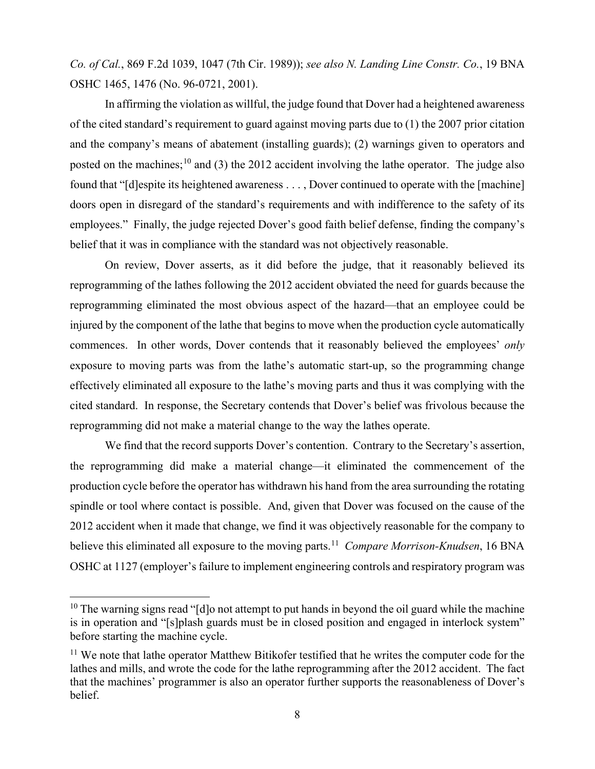*Co. of Cal.*, 869 F.2d 1039, 1047 (7th Cir. 1989)); *see also N. Landing Line Constr. Co.*, 19 BNA OSHC 1465, 1476 (No. 96-0721, 2001).

In affirming the violation as willful, the judge found that Dover had a heightened awareness of the cited standard's requirement to guard against moving parts due to (1) the 2007 prior citation and the company's means of abatement (installing guards); (2) warnings given to operators and posted on the machines;<sup>10</sup> and (3) the 2012 accident involving the lathe operator. The judge also found that "[d]espite its heightened awareness . . . , Dover continued to operate with the [machine] doors open in disregard of the standard's requirements and with indifference to the safety of its employees." Finally, the judge rejected Dover's good faith belief defense, finding the company's belief that it was in compliance with the standard was not objectively reasonable.

On review, Dover asserts, as it did before the judge, that it reasonably believed its reprogramming of the lathes following the 2012 accident obviated the need for guards because the reprogramming eliminated the most obvious aspect of the hazard—that an employee could be injured by the component of the lathe that begins to move when the production cycle automatically commences. In other words, Dover contends that it reasonably believed the employees' *only* exposure to moving parts was from the lathe's automatic start-up, so the programming change effectively eliminated all exposure to the lathe's moving parts and thus it was complying with the cited standard. In response, the Secretary contends that Dover's belief was frivolous because the reprogramming did not make a material change to the way the lathes operate.

We find that the record supports Dover's contention. Contrary to the Secretary's assertion, the reprogramming did make a material change—it eliminated the commencement of the production cycle before the operator has withdrawn his hand from the area surrounding the rotating spindle or tool where contact is possible. And, given that Dover was focused on the cause of the 2012 accident when it made that change, we find it was objectively reasonable for the company to believe this eliminated all exposure to the moving parts. [11](#page-7-1) *Compare Morrison-Knudsen*, 16 BNA OSHC at 1127 (employer's failure to implement engineering controls and respiratory program was

<span id="page-7-0"></span> $10$  The warning signs read "[d]o not attempt to put hands in beyond the oil guard while the machine is in operation and "[s]plash guards must be in closed position and engaged in interlock system" before starting the machine cycle.

<span id="page-7-1"></span><sup>&</sup>lt;sup>11</sup> We note that lathe operator Matthew Bitikofer testified that he writes the computer code for the lathes and mills, and wrote the code for the lathe reprogramming after the 2012 accident. The fact that the machines' programmer is also an operator further supports the reasonableness of Dover's belief.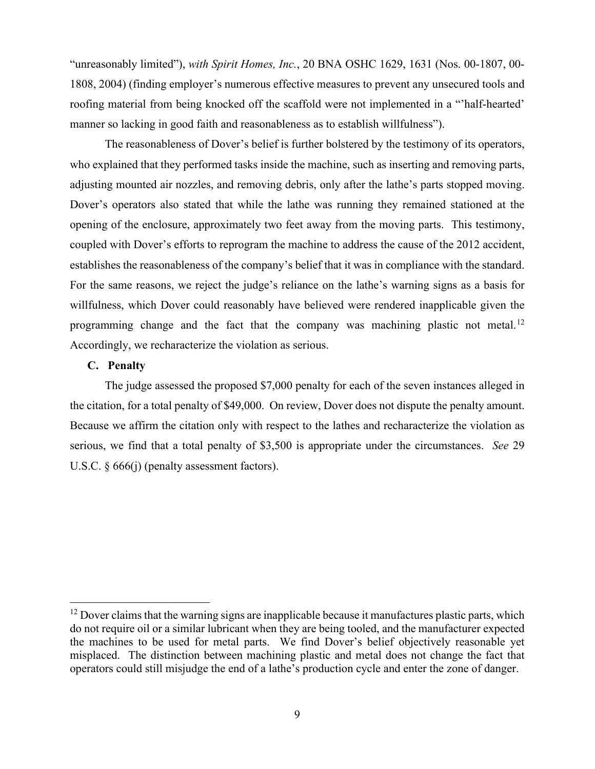"unreasonably limited"), *with Spirit Homes, Inc.*, 20 BNA OSHC 1629, 1631 (Nos. 00-1807, 00- 1808, 2004) (finding employer's numerous effective measures to prevent any unsecured tools and roofing material from being knocked off the scaffold were not implemented in a "'half-hearted' manner so lacking in good faith and reasonableness as to establish willfulness").

The reasonableness of Dover's belief is further bolstered by the testimony of its operators, who explained that they performed tasks inside the machine, such as inserting and removing parts, adjusting mounted air nozzles, and removing debris, only after the lathe's parts stopped moving. Dover's operators also stated that while the lathe was running they remained stationed at the opening of the enclosure, approximately two feet away from the moving parts. This testimony, coupled with Dover's efforts to reprogram the machine to address the cause of the 2012 accident, establishes the reasonableness of the company's belief that it was in compliance with the standard. For the same reasons, we reject the judge's reliance on the lathe's warning signs as a basis for willfulness, which Dover could reasonably have believed were rendered inapplicable given the programming change and the fact that the company was machining plastic not metal.<sup>[12](#page-8-0)</sup> Accordingly, we recharacterize the violation as serious.

### **C. Penalty**

 The judge assessed the proposed \$7,000 penalty for each of the seven instances alleged in the citation, for a total penalty of \$49,000. On review, Dover does not dispute the penalty amount. Because we affirm the citation only with respect to the lathes and recharacterize the violation as serious, we find that a total penalty of \$3,500 is appropriate under the circumstances. *See* 29 U.S.C. § 666(j) (penalty assessment factors).

<span id="page-8-0"></span> $12$  Dover claims that the warning signs are inapplicable because it manufactures plastic parts, which do not require oil or a similar lubricant when they are being tooled, and the manufacturer expected the machines to be used for metal parts. We find Dover's belief objectively reasonable yet misplaced. The distinction between machining plastic and metal does not change the fact that operators could still misjudge the end of a lathe's production cycle and enter the zone of danger.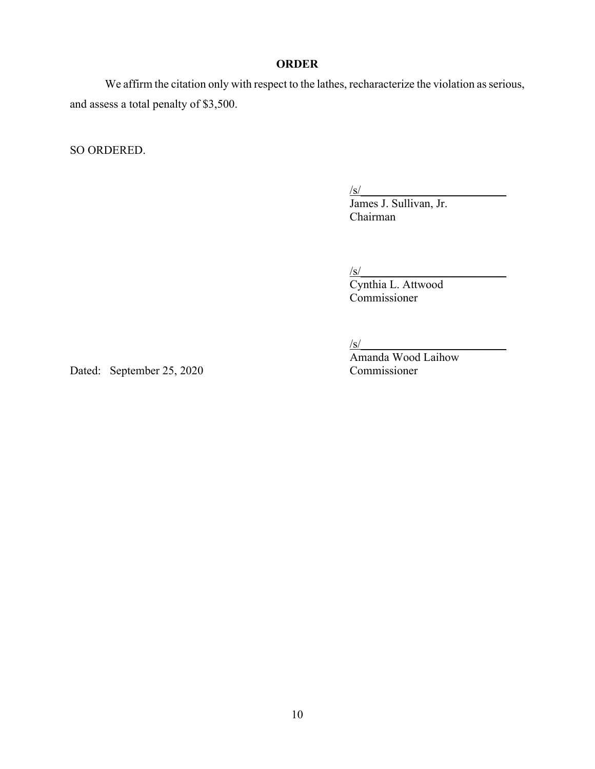## **ORDER**

We affirm the citation only with respect to the lathes, recharacterize the violation as serious, and assess a total penalty of \$3,500.

SO ORDERED.

 $\frac{|s|}{s}$ 

James J. Sullivan, Jr. Chairman

 $\frac{|s|}{s}$ 

Cynthia L. Attwood Commissioner

 $\frac{1}{s}$ 

Amanda Wood Laihow

Dated: September 25, 2020 Commissioner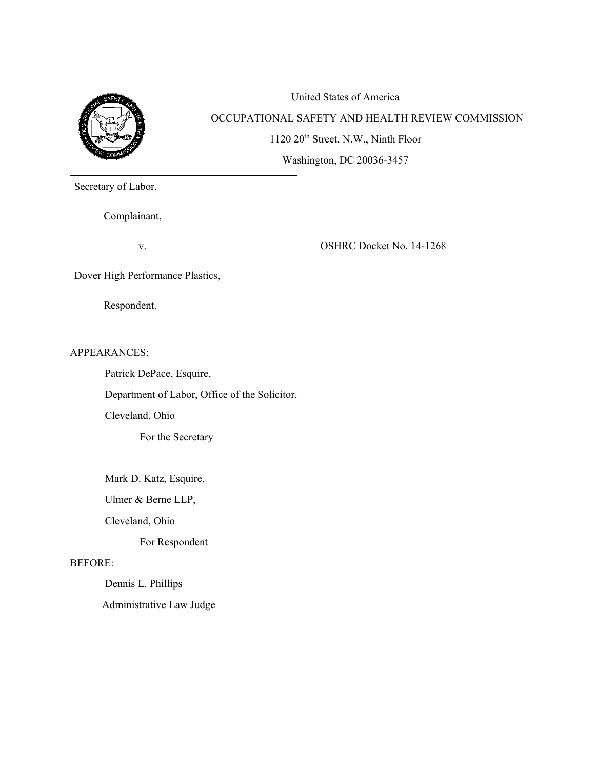

# United States of America OCCUPATIONAL SAFETY AND HEALTH REVIEW COMMISSION 1120 20<sup>th</sup> Street, N.W., Ninth Floor Washington, DC 20036-3457

Secretary of Labor,

Complainant,

v. SHRC Docket No. 14-1268

Dover High Performance Plastics,

Respondent.

APPEARANCES:

Patrick DePace, Esquire,

Department of Labor, Office of the Solicitor,

Cleveland, Ohio

For the Secretary

Mark D. Katz, Esquire,

Ulmer & Berne LLP,

Cleveland, Ohio

For Respondent

## BEFORE:

Dennis L. Phillips

Administrative Law Judge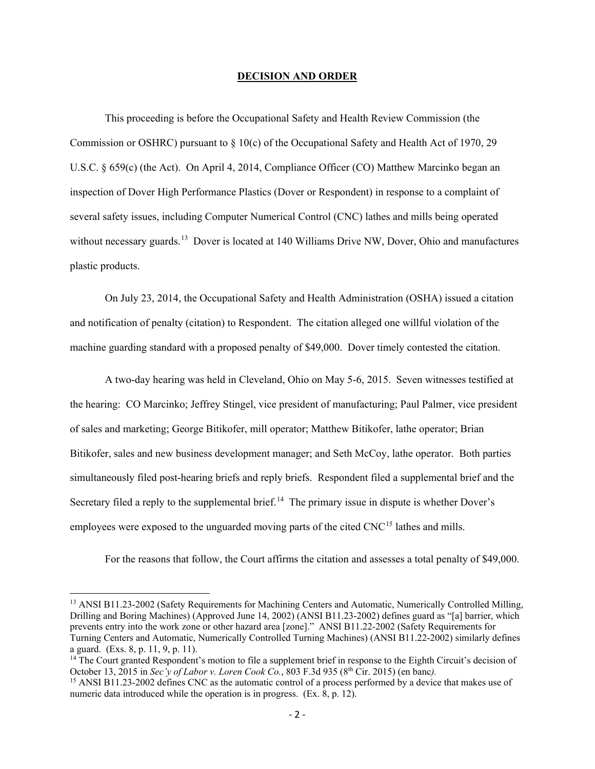#### **DECISION AND ORDER**

This proceeding is before the Occupational Safety and Health Review Commission (the Commission or OSHRC) pursuant to  $\S 10(c)$  of the Occupational Safety and Health Act of 1970, 29 U.S.C. § 659(c) (the Act). On April 4, 2014, Compliance Officer (CO) Matthew Marcinko began an inspection of Dover High Performance Plastics (Dover or Respondent) in response to a complaint of several safety issues, including Computer Numerical Control (CNC) lathes and mills being operated without necessary guards.<sup>[13](#page-11-0)</sup> Dover is located at 140 Williams Drive NW, Dover, Ohio and manufactures plastic products.

On July 23, 2014, the Occupational Safety and Health Administration (OSHA) issued a citation and notification of penalty (citation) to Respondent. The citation alleged one willful violation of the machine guarding standard with a proposed penalty of \$49,000. Dover timely contested the citation.

A two-day hearing was held in Cleveland, Ohio on May 5-6, 2015. Seven witnesses testified at the hearing: CO Marcinko; Jeffrey Stingel, vice president of manufacturing; Paul Palmer, vice president of sales and marketing; George Bitikofer, mill operator; Matthew Bitikofer, lathe operator; Brian Bitikofer, sales and new business development manager; and Seth McCoy, lathe operator. Both parties simultaneously filed post-hearing briefs and reply briefs. Respondent filed a supplemental brief and the Secretary filed a reply to the supplemental brief.<sup>[14](#page-11-1)</sup> The primary issue in dispute is whether Dover's employees were exposed to the unguarded moving parts of the cited CNC<sup>[15](#page-11-2)</sup> lathes and mills.

For the reasons that follow, the Court affirms the citation and assesses a total penalty of \$49,000.

<span id="page-11-0"></span><sup>&</sup>lt;sup>13</sup> ANSI B11.23-2002 (Safety Requirements for Machining Centers and Automatic, Numerically Controlled Milling, Drilling and Boring Machines) (Approved June 14, 2002) (ANSI B11.23-2002) defines guard as "[a] barrier, which prevents entry into the work zone or other hazard area [zone]." ANSI B11.22-2002 (Safety Requirements for Turning Centers and Automatic, Numerically Controlled Turning Machines) (ANSI B11.22-2002) similarly defines a guard. (Exs. 8, p. 11, 9, p. 11).

<span id="page-11-1"></span><sup>&</sup>lt;sup>14</sup> The Court granted Respondent's motion to file a supplement brief in response to the Eighth Circuit's decision of October 13, 2015 in *Sec'v of Labor v. Loren Cook Co.*, 803 F.3d 935 ( $8<sup>th</sup>$  Cir. 2015) (en banc).

<span id="page-11-2"></span><sup>&</sup>lt;sup>15</sup> ANSI B11.23-2002 defines CNC as the automatic control of a process performed by a device that makes use of numeric data introduced while the operation is in progress. (Ex. 8, p. 12).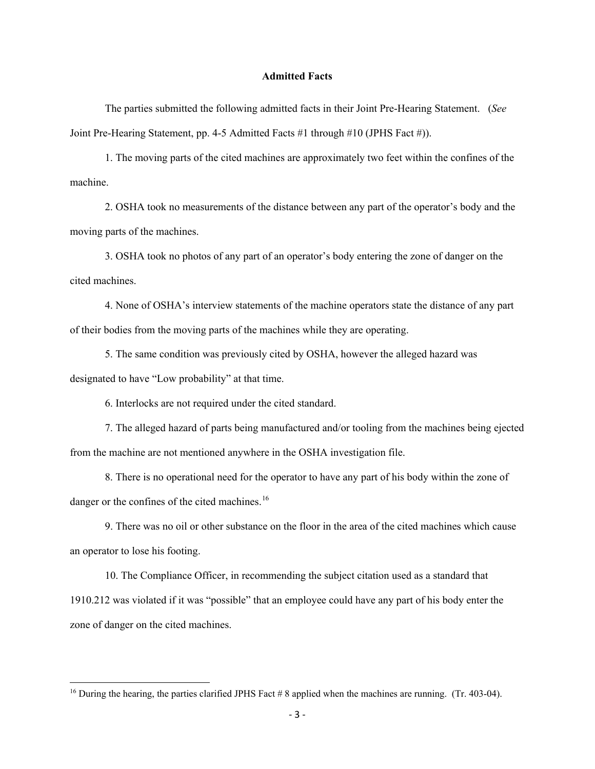#### **Admitted Facts**

The parties submitted the following admitted facts in their Joint Pre-Hearing Statement. (*See* Joint Pre-Hearing Statement, pp. 4-5 Admitted Facts #1 through #10 (JPHS Fact #)).

1. The moving parts of the cited machines are approximately two feet within the confines of the machine.

2. OSHA took no measurements of the distance between any part of the operator's body and the moving parts of the machines.

3. OSHA took no photos of any part of an operator's body entering the zone of danger on the cited machines.

4. None of OSHA's interview statements of the machine operators state the distance of any part of their bodies from the moving parts of the machines while they are operating.

5. The same condition was previously cited by OSHA, however the alleged hazard was designated to have "Low probability" at that time.

6. Interlocks are not required under the cited standard.

7. The alleged hazard of parts being manufactured and/or tooling from the machines being ejected from the machine are not mentioned anywhere in the OSHA investigation file.

 8. There is no operational need for the operator to have any part of his body within the zone of danger or the confines of the cited machines.<sup>[16](#page-12-0)</sup>

9. There was no oil or other substance on the floor in the area of the cited machines which cause an operator to lose his footing.

10. The Compliance Officer, in recommending the subject citation used as a standard that 1910.212 was violated if it was "possible" that an employee could have any part of his body enter the zone of danger on the cited machines.

<span id="page-12-0"></span><sup>&</sup>lt;sup>16</sup> During the hearing, the parties clarified JPHS Fact # 8 applied when the machines are running. (Tr. 403-04).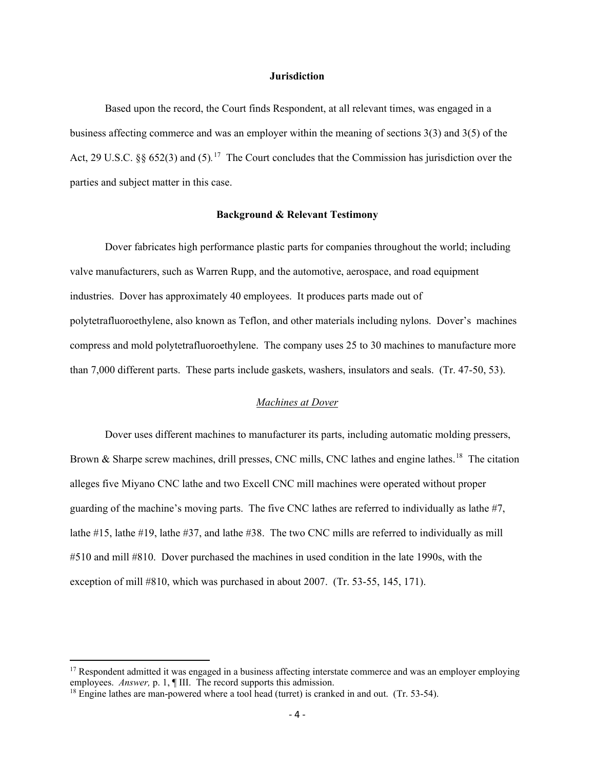#### **Jurisdiction**

Based upon the record, the Court finds Respondent, at all relevant times, was engaged in a business affecting commerce and was an employer within the meaning of sections 3(3) and 3(5) of the Act, 29 U.S.C. §§ 652(3) and (5)*.* [17](#page-13-0) The Court concludes that the Commission has jurisdiction over the parties and subject matter in this case.

#### **Background & Relevant Testimony**

Dover fabricates high performance plastic parts for companies throughout the world; including valve manufacturers, such as Warren Rupp, and the automotive, aerospace, and road equipment industries. Dover has approximately 40 employees. It produces parts made out of polytetrafluoroethylene, also known as Teflon, and other materials including nylons. Dover's machines compress and mold polytetrafluoroethylene. The company uses 25 to 30 machines to manufacture more than 7,000 different parts. These parts include gaskets, washers, insulators and seals. (Tr. 47-50, 53).

#### *Machines at Dover*

Dover uses different machines to manufacturer its parts, including automatic molding pressers, Brown & Sharpe screw machines, drill presses, CNC mills, CNC lathes and engine lathes.<sup>[18](#page-13-1)</sup> The citation alleges five Miyano CNC lathe and two Excell CNC mill machines were operated without proper guarding of the machine's moving parts. The five CNC lathes are referred to individually as lathe #7, lathe #15, lathe #19, lathe #37, and lathe #38. The two CNC mills are referred to individually as mill #510 and mill #810. Dover purchased the machines in used condition in the late 1990s, with the exception of mill #810, which was purchased in about 2007. (Tr. 53-55, 145, 171).

<span id="page-13-0"></span> $17$  Respondent admitted it was engaged in a business affecting interstate commerce and was an employer employing employees. *Answer*, p. 1, ¶ III. The record supports this admission.

<span id="page-13-1"></span><sup>&</sup>lt;sup>18</sup> Engine lathes are man-powered where a tool head (turret) is cranked in and out. (Tr. 53-54).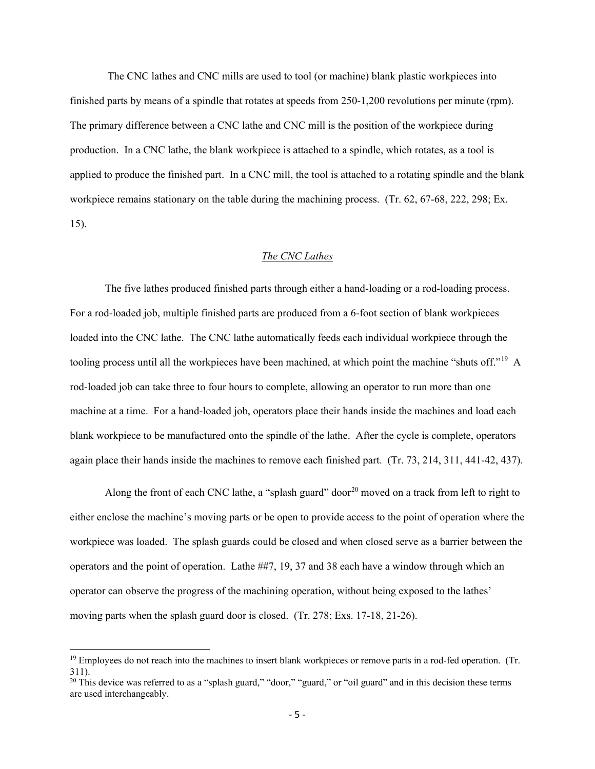The CNC lathes and CNC mills are used to tool (or machine) blank plastic workpieces into finished parts by means of a spindle that rotates at speeds from 250-1,200 revolutions per minute (rpm). The primary difference between a CNC lathe and CNC mill is the position of the workpiece during production. In a CNC lathe, the blank workpiece is attached to a spindle, which rotates, as a tool is applied to produce the finished part. In a CNC mill, the tool is attached to a rotating spindle and the blank workpiece remains stationary on the table during the machining process. (Tr. 62, 67-68, 222, 298; Ex. 15).

## *The CNC Lathes*

The five lathes produced finished parts through either a hand-loading or a rod-loading process. For a rod-loaded job, multiple finished parts are produced from a 6-foot section of blank workpieces loaded into the CNC lathe. The CNC lathe automatically feeds each individual workpiece through the tooling process until all the workpieces have been machined, at which point the machine "shuts off."[19](#page-14-0) A rod-loaded job can take three to four hours to complete, allowing an operator to run more than one machine at a time. For a hand-loaded job, operators place their hands inside the machines and load each blank workpiece to be manufactured onto the spindle of the lathe. After the cycle is complete, operators again place their hands inside the machines to remove each finished part. (Tr. 73, 214, 311, 441-42, 437).

Along the front of each CNC lathe, a "splash guard" door<sup>[20](#page-14-1)</sup> moved on a track from left to right to either enclose the machine's moving parts or be open to provide access to the point of operation where the workpiece was loaded. The splash guards could be closed and when closed serve as a barrier between the operators and the point of operation. Lathe ##7, 19, 37 and 38 each have a window through which an operator can observe the progress of the machining operation, without being exposed to the lathes' moving parts when the splash guard door is closed. (Tr. 278; Exs. 17-18, 21-26).

<span id="page-14-0"></span> $19$  Employees do not reach into the machines to insert blank workpieces or remove parts in a rod-fed operation. (Tr. 311).

<span id="page-14-1"></span> $20$  This device was referred to as a "splash guard," "door," "guard," or "oil guard" and in this decision these terms are used interchangeably.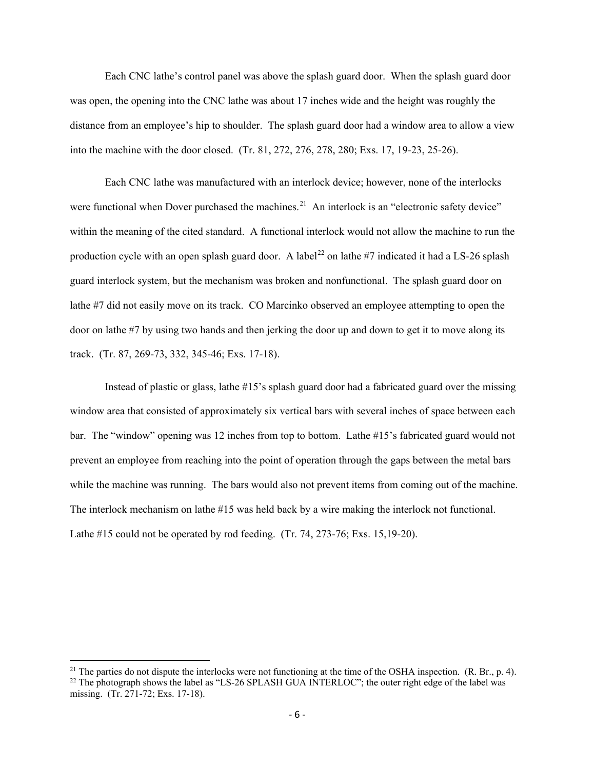Each CNC lathe's control panel was above the splash guard door. When the splash guard door was open, the opening into the CNC lathe was about 17 inches wide and the height was roughly the distance from an employee's hip to shoulder. The splash guard door had a window area to allow a view into the machine with the door closed. (Tr. 81, 272, 276, 278, 280; Exs. 17, 19-23, 25-26).

Each CNC lathe was manufactured with an interlock device; however, none of the interlocks were functional when Dover purchased the machines.<sup>21</sup> An interlock is an "electronic safety device" within the meaning of the cited standard. A functional interlock would not allow the machine to run the production cycle with an open splash guard door. A label<sup>[22](#page-15-1)</sup> on lathe #7 indicated it had a LS-26 splash guard interlock system, but the mechanism was broken and nonfunctional. The splash guard door on lathe #7 did not easily move on its track. CO Marcinko observed an employee attempting to open the door on lathe #7 by using two hands and then jerking the door up and down to get it to move along its track. (Tr. 87, 269-73, 332, 345-46; Exs. 17-18).

Instead of plastic or glass, lathe #15's splash guard door had a fabricated guard over the missing window area that consisted of approximately six vertical bars with several inches of space between each bar. The "window" opening was 12 inches from top to bottom. Lathe #15's fabricated guard would not prevent an employee from reaching into the point of operation through the gaps between the metal bars while the machine was running. The bars would also not prevent items from coming out of the machine. The interlock mechanism on lathe #15 was held back by a wire making the interlock not functional. Lathe #15 could not be operated by rod feeding. (Tr. 74, 273-76; Exs. 15,19-20).

<span id="page-15-0"></span><sup>&</sup>lt;sup>21</sup> The parties do not dispute the interlocks were not functioning at the time of the OSHA inspection. (R. Br., p. 4).

<span id="page-15-1"></span> $^{22}$  The photograph shows the label as "LS-26 SPLASH GUA INTERLOC"; the outer right edge of the label was missing. (Tr. 271-72; Exs. 17-18).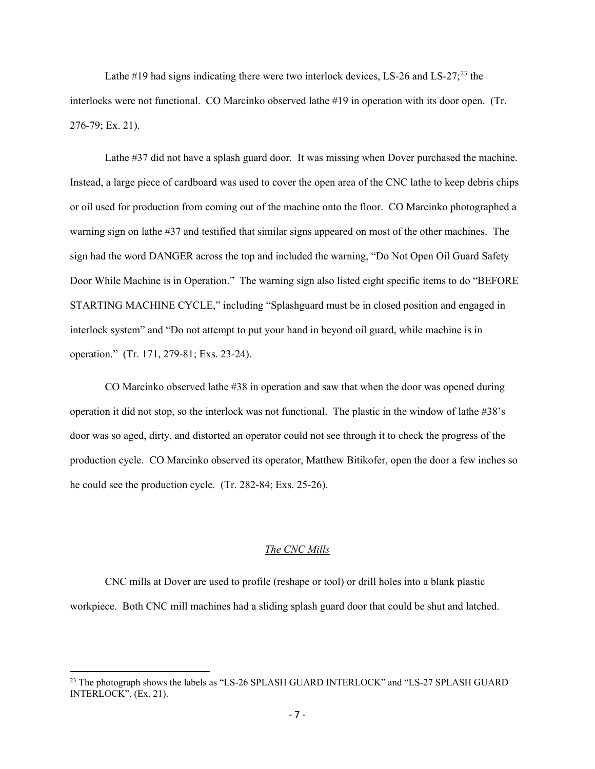Lathe #19 had signs indicating there were two interlock devices, LS-26 and LS-27;<sup>[23](#page-16-0)</sup> the interlocks were not functional. CO Marcinko observed lathe #19 in operation with its door open. (Tr. 276-79; Ex. 21).

Lathe #37 did not have a splash guard door. It was missing when Dover purchased the machine. Instead, a large piece of cardboard was used to cover the open area of the CNC lathe to keep debris chips or oil used for production from coming out of the machine onto the floor. CO Marcinko photographed a warning sign on lathe #37 and testified that similar signs appeared on most of the other machines. The sign had the word DANGER across the top and included the warning, "Do Not Open Oil Guard Safety Door While Machine is in Operation." The warning sign also listed eight specific items to do "BEFORE STARTING MACHINE CYCLE," including "Splashguard must be in closed position and engaged in interlock system" and "Do not attempt to put your hand in beyond oil guard, while machine is in operation." (Tr. 171, 279-81; Exs. 23-24).

CO Marcinko observed lathe #38 in operation and saw that when the door was opened during operation it did not stop, so the interlock was not functional. The plastic in the window of lathe #38's door was so aged, dirty, and distorted an operator could not see through it to check the progress of the production cycle. CO Marcinko observed its operator, Matthew Bitikofer, open the door a few inches so he could see the production cycle. (Tr. 282-84; Exs. 25-26).

## *The CNC Mills*

CNC mills at Dover are used to profile (reshape or tool) or drill holes into a blank plastic workpiece. Both CNC mill machines had a sliding splash guard door that could be shut and latched.

<span id="page-16-0"></span><sup>&</sup>lt;sup>23</sup> The photograph shows the labels as "LS-26 SPLASH GUARD INTERLOCK" and "LS-27 SPLASH GUARD INTERLOCK". (Ex. 21).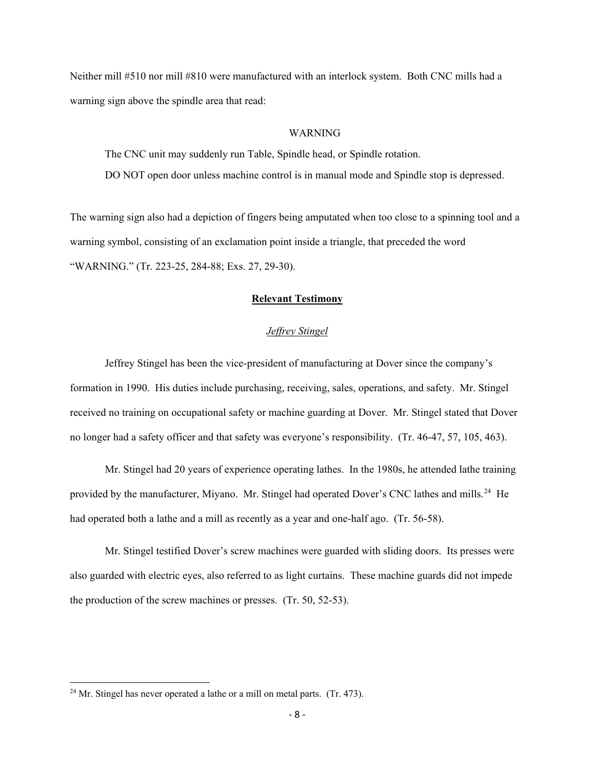Neither mill #510 nor mill #810 were manufactured with an interlock system. Both CNC mills had a warning sign above the spindle area that read:

#### WARNING

The CNC unit may suddenly run Table, Spindle head, or Spindle rotation. DO NOT open door unless machine control is in manual mode and Spindle stop is depressed.

The warning sign also had a depiction of fingers being amputated when too close to a spinning tool and a warning symbol, consisting of an exclamation point inside a triangle, that preceded the word "WARNING." (Tr. 223-25, 284-88; Exs. 27, 29-30).

## **Relevant Testimony**

## *Jeffrey Stingel*

Jeffrey Stingel has been the vice-president of manufacturing at Dover since the company's formation in 1990. His duties include purchasing, receiving, sales, operations, and safety. Mr. Stingel received no training on occupational safety or machine guarding at Dover. Mr. Stingel stated that Dover no longer had a safety officer and that safety was everyone's responsibility. (Tr. 46-47, 57, 105, 463).

Mr. Stingel had 20 years of experience operating lathes. In the 1980s, he attended lathe training provided by the manufacturer, Miyano. Mr. Stingel had operated Dover's CNC lathes and mills.<sup>[24](#page-17-0)</sup> He had operated both a lathe and a mill as recently as a year and one-half ago. (Tr. 56-58).

Mr. Stingel testified Dover's screw machines were guarded with sliding doors. Its presses were also guarded with electric eyes, also referred to as light curtains. These machine guards did not impede the production of the screw machines or presses. (Tr. 50, 52-53).

<span id="page-17-0"></span> $24$  Mr. Stingel has never operated a lathe or a mill on metal parts. (Tr. 473).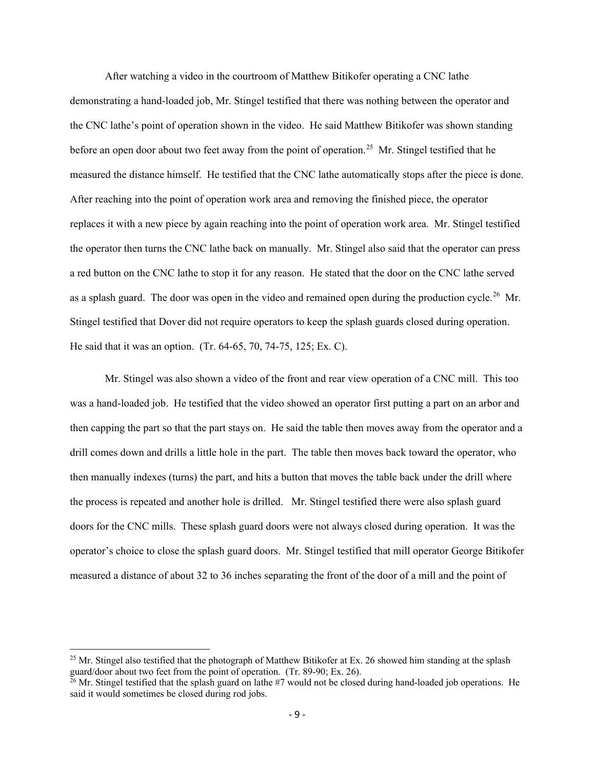After watching a video in the courtroom of Matthew Bitikofer operating a CNC lathe demonstrating a hand-loaded job, Mr. Stingel testified that there was nothing between the operator and the CNC lathe's point of operation shown in the video. He said Matthew Bitikofer was shown standing before an open door about two feet away from the point of operation.<sup>[25](#page-18-0)</sup> Mr. Stingel testified that he measured the distance himself. He testified that the CNC lathe automatically stops after the piece is done. After reaching into the point of operation work area and removing the finished piece, the operator replaces it with a new piece by again reaching into the point of operation work area. Mr. Stingel testified the operator then turns the CNC lathe back on manually. Mr. Stingel also said that the operator can press a red button on the CNC lathe to stop it for any reason. He stated that the door on the CNC lathe served as a splash guard. The door was open in the video and remained open during the production cycle.<sup>26</sup> Mr. Stingel testified that Dover did not require operators to keep the splash guards closed during operation. He said that it was an option. (Tr. 64-65, 70, 74-75, 125; Ex. C).

Mr. Stingel was also shown a video of the front and rear view operation of a CNC mill. This too was a hand-loaded job. He testified that the video showed an operator first putting a part on an arbor and then capping the part so that the part stays on. He said the table then moves away from the operator and a drill comes down and drills a little hole in the part. The table then moves back toward the operator, who then manually indexes (turns) the part, and hits a button that moves the table back under the drill where the process is repeated and another hole is drilled. Mr. Stingel testified there were also splash guard doors for the CNC mills. These splash guard doors were not always closed during operation. It was the operator's choice to close the splash guard doors. Mr. Stingel testified that mill operator George Bitikofer measured a distance of about 32 to 36 inches separating the front of the door of a mill and the point of

<span id="page-18-0"></span><sup>&</sup>lt;sup>25</sup> Mr. Stingel also testified that the photograph of Matthew Bitikofer at Ex. 26 showed him standing at the splash guard/door about two feet from the point of operation. (Tr. 89-90; Ex. 26).

<span id="page-18-1"></span> $26$  Mr. Stingel testified that the splash guard on lathe #7 would not be closed during hand-loaded job operations. He said it would sometimes be closed during rod jobs.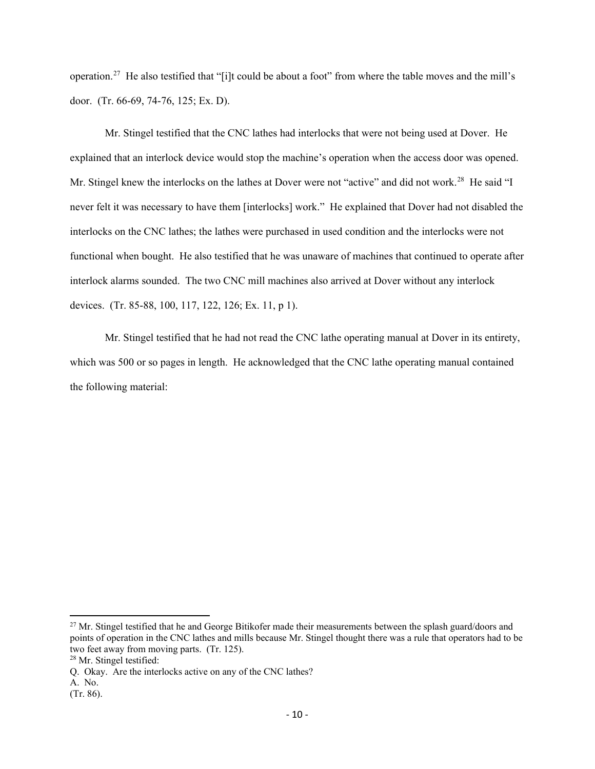operation.[27](#page-19-0) He also testified that "[i]t could be about a foot" from where the table moves and the mill's door. (Tr. 66-69, 74-76, 125; Ex. D).

Mr. Stingel testified that the CNC lathes had interlocks that were not being used at Dover. He explained that an interlock device would stop the machine's operation when the access door was opened. Mr. Stingel knew the interlocks on the lathes at Dover were not "active" and did not work.<sup>28</sup> He said "I never felt it was necessary to have them [interlocks] work." He explained that Dover had not disabled the interlocks on the CNC lathes; the lathes were purchased in used condition and the interlocks were not functional when bought. He also testified that he was unaware of machines that continued to operate after interlock alarms sounded. The two CNC mill machines also arrived at Dover without any interlock devices. (Tr. 85-88, 100, 117, 122, 126; Ex. 11, p 1).

Mr. Stingel testified that he had not read the CNC lathe operating manual at Dover in its entirety, which was 500 or so pages in length. He acknowledged that the CNC lathe operating manual contained the following material:

<span id="page-19-0"></span><sup>&</sup>lt;sup>27</sup> Mr. Stingel testified that he and George Bitikofer made their measurements between the splash guard/doors and points of operation in the CNC lathes and mills because Mr. Stingel thought there was a rule that operators had to be two feet away from moving parts. (Tr. 125).

<span id="page-19-1"></span><sup>28</sup> Mr. Stingel testified:

Q. Okay. Are the interlocks active on any of the CNC lathes?

A. No.

<sup>(</sup>Tr. 86).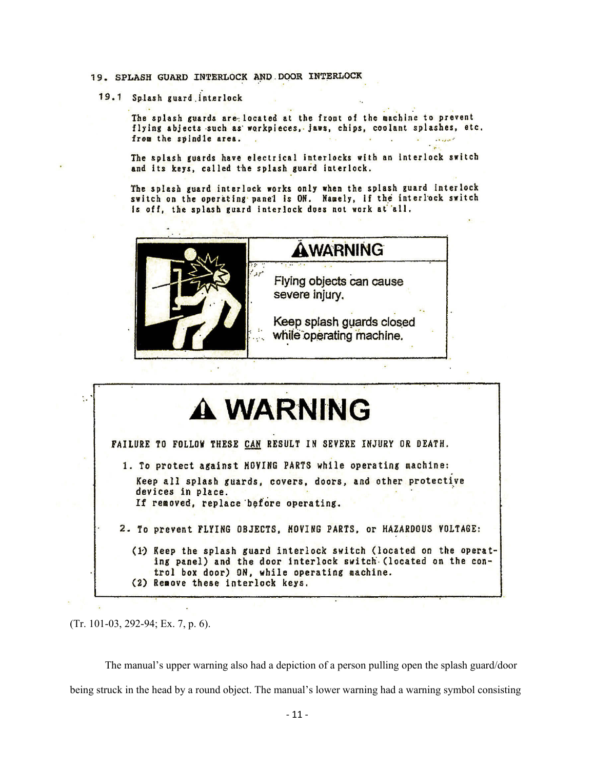- 19. SPLASH GUARD INTERLOCK AND DOOR INTERLOCK
	- 19.1 Splash guard interlock

The splash guards are located at the front of the machine to prevent flying abjects such as workpieces, jaws, chips, coolant splashes, etc. from the spindle area.

The splash guards have electrical interlocks with an interlock switch and its keys, called the splash guard interlock.

The splash guard interlock works only when the splash guard interlock switch on the operating panel is ON. Namely, if the interlock switch is off, the splash guard interlock does not work at all.





(Tr. 101-03, 292-94; Ex. 7, p. 6).

The manual's upper warning also had a depiction of a person pulling open the splash guard/door being struck in the head by a round object. The manual's lower warning had a warning symbol consisting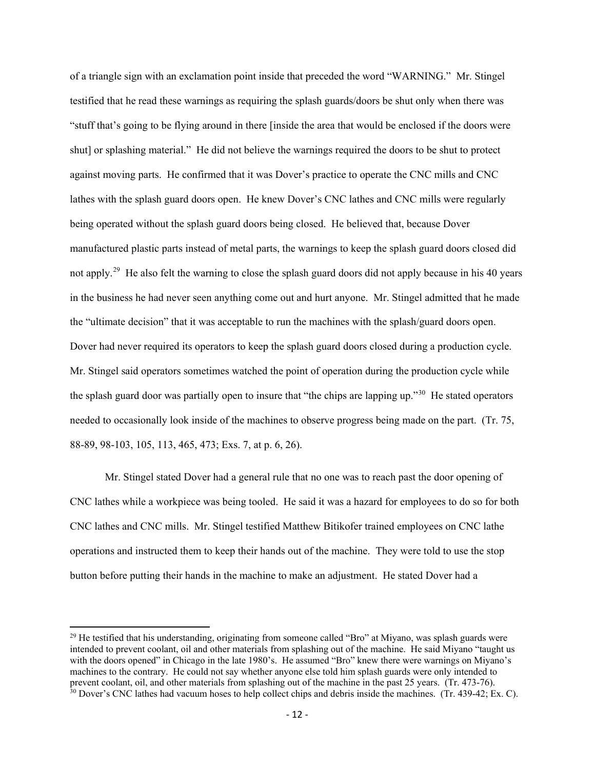of a triangle sign with an exclamation point inside that preceded the word "WARNING." Mr. Stingel testified that he read these warnings as requiring the splash guards/doors be shut only when there was "stuff that's going to be flying around in there [inside the area that would be enclosed if the doors were shut] or splashing material." He did not believe the warnings required the doors to be shut to protect against moving parts. He confirmed that it was Dover's practice to operate the CNC mills and CNC lathes with the splash guard doors open. He knew Dover's CNC lathes and CNC mills were regularly being operated without the splash guard doors being closed. He believed that, because Dover manufactured plastic parts instead of metal parts, the warnings to keep the splash guard doors closed did not apply.<sup>29</sup> He also felt the warning to close the splash guard doors did not apply because in his 40 years in the business he had never seen anything come out and hurt anyone. Mr. Stingel admitted that he made the "ultimate decision" that it was acceptable to run the machines with the splash/guard doors open. Dover had never required its operators to keep the splash guard doors closed during a production cycle. Mr. Stingel said operators sometimes watched the point of operation during the production cycle while the splash guard door was partially open to insure that "the chips are lapping up."<sup>30</sup> He stated operators needed to occasionally look inside of the machines to observe progress being made on the part. (Tr. 75, 88-89, 98-103, 105, 113, 465, 473; Exs. 7, at p. 6, 26).

Mr. Stingel stated Dover had a general rule that no one was to reach past the door opening of CNC lathes while a workpiece was being tooled. He said it was a hazard for employees to do so for both CNC lathes and CNC mills. Mr. Stingel testified Matthew Bitikofer trained employees on CNC lathe operations and instructed them to keep their hands out of the machine. They were told to use the stop button before putting their hands in the machine to make an adjustment. He stated Dover had a

<span id="page-21-1"></span><span id="page-21-0"></span> $^{29}$  He testified that his understanding, originating from someone called "Bro" at Miyano, was splash guards were intended to prevent coolant, oil and other materials from splashing out of the machine. He said Miyano "taught us with the doors opened" in Chicago in the late 1980's. He assumed "Bro" knew there were warnings on Miyano's machines to the contrary. He could not say whether anyone else told him splash guards were only intended to prevent coolant, oil, and other materials from splashing out of the machine in the past 25 years. (Tr. 473-76). <sup>30</sup> Dover's CNC lathes had vacuum hoses to help collect chips and debris inside the machines. (Tr. 439-42; Ex. C).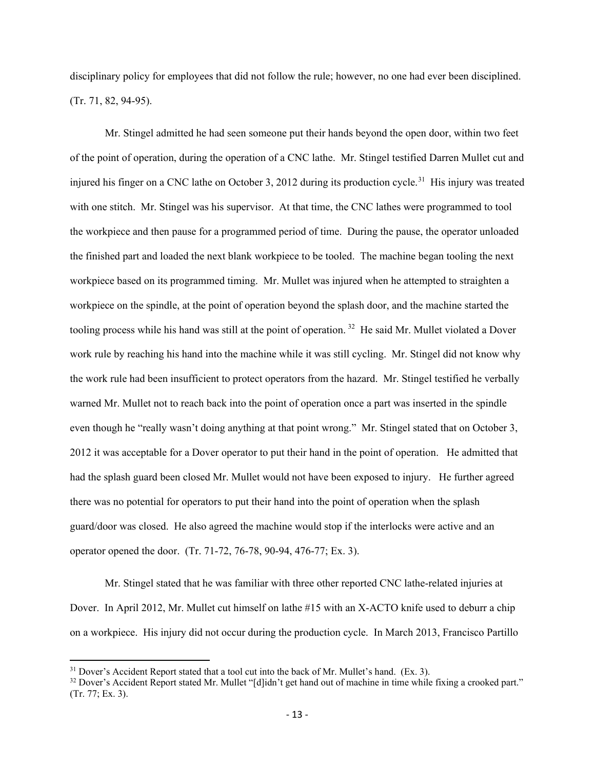disciplinary policy for employees that did not follow the rule; however, no one had ever been disciplined. (Tr. 71, 82, 94-95).

Mr. Stingel admitted he had seen someone put their hands beyond the open door, within two feet of the point of operation, during the operation of a CNC lathe. Mr. Stingel testified Darren Mullet cut and injured his finger on a CNC lathe on October 3, 2012 during its production cycle.<sup>31</sup> His injury was treated with one stitch. Mr. Stingel was his supervisor. At that time, the CNC lathes were programmed to tool the workpiece and then pause for a programmed period of time. During the pause, the operator unloaded the finished part and loaded the next blank workpiece to be tooled. The machine began tooling the next workpiece based on its programmed timing. Mr. Mullet was injured when he attempted to straighten a workpiece on the spindle, at the point of operation beyond the splash door, and the machine started the tooling process while his hand was still at the point of operation.<sup>[32](#page-22-1)</sup> He said Mr. Mullet violated a Dover work rule by reaching his hand into the machine while it was still cycling. Mr. Stingel did not know why the work rule had been insufficient to protect operators from the hazard. Mr. Stingel testified he verbally warned Mr. Mullet not to reach back into the point of operation once a part was inserted in the spindle even though he "really wasn't doing anything at that point wrong." Mr. Stingel stated that on October 3, 2012 it was acceptable for a Dover operator to put their hand in the point of operation. He admitted that had the splash guard been closed Mr. Mullet would not have been exposed to injury. He further agreed there was no potential for operators to put their hand into the point of operation when the splash guard/door was closed. He also agreed the machine would stop if the interlocks were active and an operator opened the door. (Tr. 71-72, 76-78, 90-94, 476-77; Ex. 3).

Mr. Stingel stated that he was familiar with three other reported CNC lathe-related injuries at Dover. In April 2012, Mr. Mullet cut himself on lathe #15 with an X-ACTO knife used to deburr a chip on a workpiece. His injury did not occur during the production cycle. In March 2013, Francisco Partillo

<span id="page-22-0"></span> $31$  Dover's Accident Report stated that a tool cut into the back of Mr. Mullet's hand. (Ex. 3).

<span id="page-22-1"></span> $32$  Dover's Accident Report stated Mr. Mullet "[d]idn't get hand out of machine in time while fixing a crooked part." (Tr. 77; Ex. 3).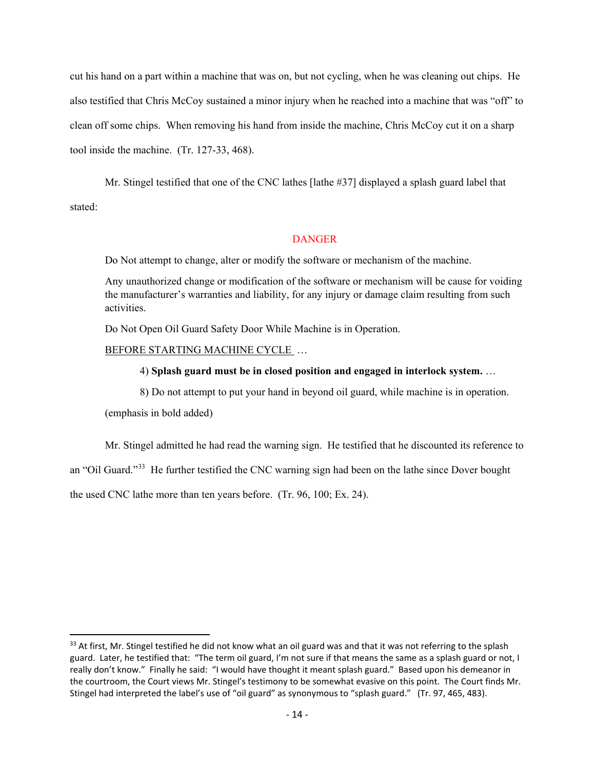cut his hand on a part within a machine that was on, but not cycling, when he was cleaning out chips. He also testified that Chris McCoy sustained a minor injury when he reached into a machine that was "off" to clean off some chips. When removing his hand from inside the machine, Chris McCoy cut it on a sharp tool inside the machine. (Tr. 127-33, 468).

Mr. Stingel testified that one of the CNC lathes [lathe #37] displayed a splash guard label that stated:

#### **DANGER**

Do Not attempt to change, alter or modify the software or mechanism of the machine.

Any unauthorized change or modification of the software or mechanism will be cause for voiding the manufacturer's warranties and liability, for any injury or damage claim resulting from such activities.

Do Not Open Oil Guard Safety Door While Machine is in Operation.

#### BEFORE STARTING MACHINE CYCLE …

#### 4) **Splash guard must be in closed position and engaged in interlock system.** …

8) Do not attempt to put your hand in beyond oil guard, while machine is in operation.

(emphasis in bold added)

Mr. Stingel admitted he had read the warning sign. He testified that he discounted its reference to an "Oil Guard."[33](#page-23-0) He further testified the CNC warning sign had been on the lathe since Dover bought the used CNC lathe more than ten years before. (Tr. 96, 100; Ex. 24).

<span id="page-23-0"></span> $33$  At first, Mr. Stingel testified he did not know what an oil guard was and that it was not referring to the splash guard. Later, he testified that: "The term oil guard, I'm not sure if that means the same as a splash guard or not, I really don't know." Finally he said: "I would have thought it meant splash guard." Based upon his demeanor in the courtroom, the Court views Mr. Stingel's testimony to be somewhat evasive on this point. The Court finds Mr. Stingel had interpreted the label's use of "oil guard" as synonymous to "splash guard." (Tr. 97, 465, 483).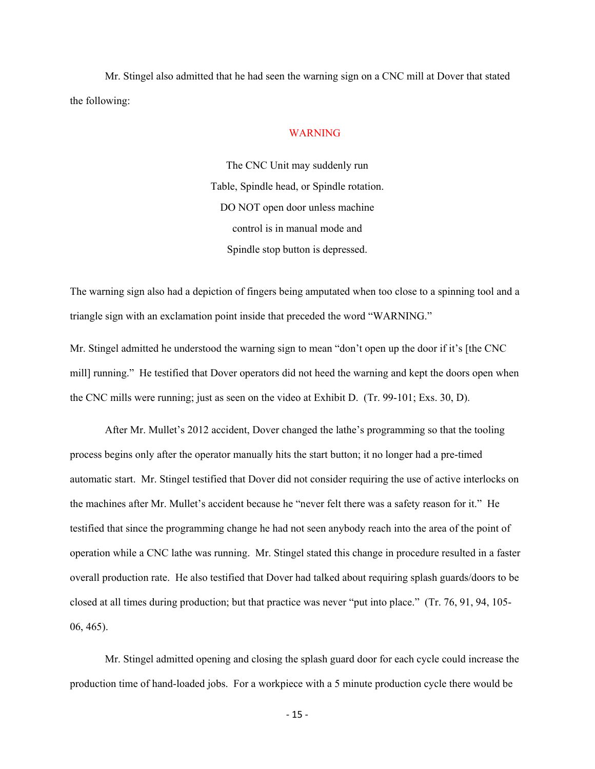Mr. Stingel also admitted that he had seen the warning sign on a CNC mill at Dover that stated the following:

#### WARNING

The CNC Unit may suddenly run Table, Spindle head, or Spindle rotation. DO NOT open door unless machine control is in manual mode and Spindle stop button is depressed.

The warning sign also had a depiction of fingers being amputated when too close to a spinning tool and a triangle sign with an exclamation point inside that preceded the word "WARNING."

Mr. Stingel admitted he understood the warning sign to mean "don't open up the door if it's [the CNC mill] running." He testified that Dover operators did not heed the warning and kept the doors open when the CNC mills were running; just as seen on the video at Exhibit D. (Tr. 99-101; Exs. 30, D).

After Mr. Mullet's 2012 accident, Dover changed the lathe's programming so that the tooling process begins only after the operator manually hits the start button; it no longer had a pre-timed automatic start. Mr. Stingel testified that Dover did not consider requiring the use of active interlocks on the machines after Mr. Mullet's accident because he "never felt there was a safety reason for it." He testified that since the programming change he had not seen anybody reach into the area of the point of operation while a CNC lathe was running. Mr. Stingel stated this change in procedure resulted in a faster overall production rate. He also testified that Dover had talked about requiring splash guards/doors to be closed at all times during production; but that practice was never "put into place." (Tr. 76, 91, 94, 105- 06, 465).

Mr. Stingel admitted opening and closing the splash guard door for each cycle could increase the production time of hand-loaded jobs. For a workpiece with a 5 minute production cycle there would be

- 15 -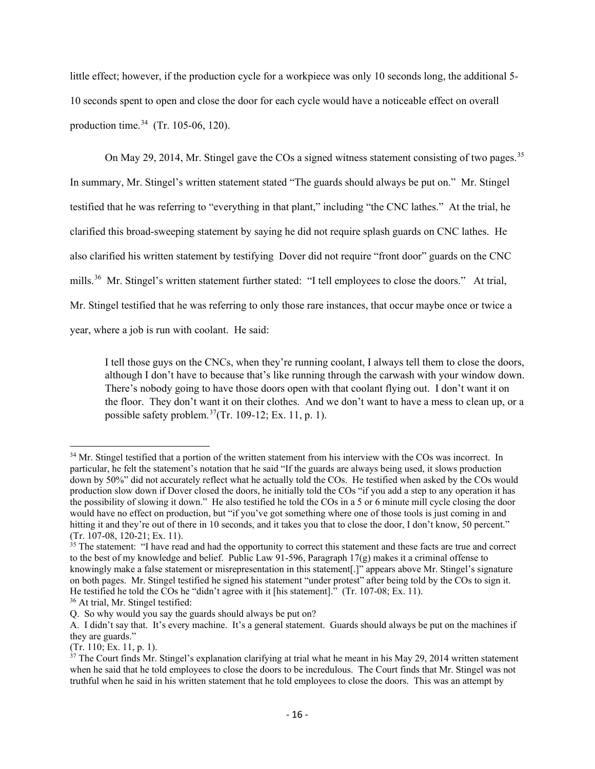little effect; however, if the production cycle for a workpiece was only 10 seconds long, the additional 5- 10 seconds spent to open and close the door for each cycle would have a noticeable effect on overall production time. $34$  (Tr. 105-06, 120).

On May 29, 2014, Mr. Stingel gave the COs a signed witness statement consisting of two pages.<sup>35</sup> In summary, Mr. Stingel's written statement stated "The guards should always be put on." Mr. Stingel testified that he was referring to "everything in that plant," including "the CNC lathes." At the trial, he clarified this broad-sweeping statement by saying he did not require splash guards on CNC lathes. He also clarified his written statement by testifying Dover did not require "front door" guards on the CNC mills.[36](#page-25-2) Mr. Stingel's written statement further stated: "I tell employees to close the doors." At trial, Mr. Stingel testified that he was referring to only those rare instances, that occur maybe once or twice a year, where a job is run with coolant. He said:

I tell those guys on the CNCs, when they're running coolant, I always tell them to close the doors, although I don't have to because that's like running through the carwash with your window down. There's nobody going to have those doors open with that coolant flying out. I don't want it on the floor. They don't want it on their clothes. And we don't want to have a mess to clean up, or a possible safety problem.<sup>37</sup>(Tr. 109-12; Ex. 11, p. 1).

<span id="page-25-0"></span><sup>&</sup>lt;sup>34</sup> Mr. Stingel testified that a portion of the written statement from his interview with the COs was incorrect. In particular, he felt the statement's notation that he said "If the guards are always being used, it slows production down by 50%" did not accurately reflect what he actually told the COs. He testified when asked by the COs would production slow down if Dover closed the doors, he initially told the COs "if you add a step to any operation it has the possibility of slowing it down." He also testified he told the COs in a 5 or 6 minute mill cycle closing the door would have no effect on production, but "if you've got something where one of those tools is just coming in and hitting it and they're out of there in 10 seconds, and it takes you that to close the door, I don't know, 50 percent." (Tr. 107-08, 120-21; Ex. 11).

<span id="page-25-1"></span><sup>&</sup>lt;sup>35</sup> The statement: "I have read and had the opportunity to correct this statement and these facts are true and correct to the best of my knowledge and belief. Public Law 91-596, Paragraph  $17(g)$  makes it a criminal offense to knowingly make a false statement or misrepresentation in this statement[.]" appears above Mr. Stingel's signature on both pages. Mr. Stingel testified he signed his statement "under protest" after being told by the COs to sign it. He testified he told the COs he "didn't agree with it [his statement]." (Tr. 107-08; Ex. 11).

<span id="page-25-2"></span><sup>36</sup> At trial, Mr. Stingel testified:

Q. So why would you say the guards should always be put on?

A. I didn't say that. It's every machine. It's a general statement. Guards should always be put on the machines if they are guards."

<sup>(</sup>Tr. 110; Ex. 11, p. 1).

<span id="page-25-3"></span> $37$  The Court finds Mr. Stingel's explanation clarifying at trial what he meant in his May 29, 2014 written statement when he said that he told employees to close the doors to be incredulous. The Court finds that Mr. Stingel was not truthful when he said in his written statement that he told employees to close the doors. This was an attempt by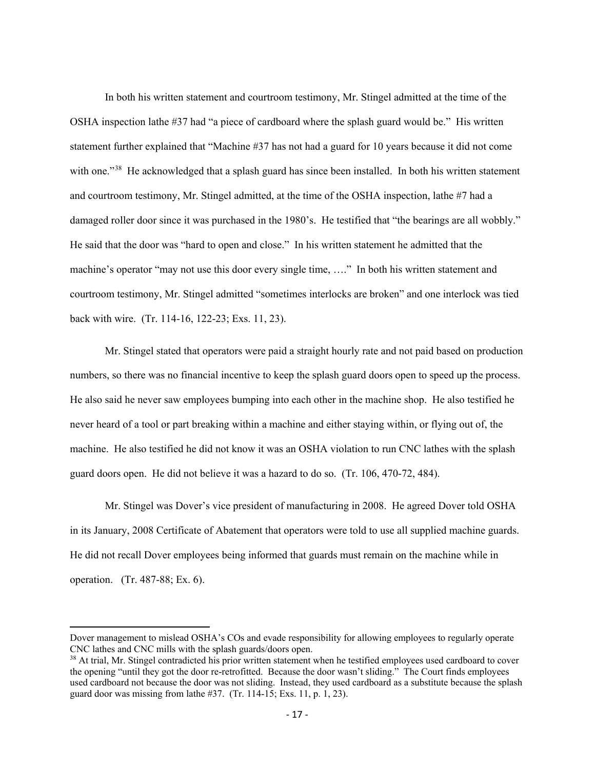In both his written statement and courtroom testimony, Mr. Stingel admitted at the time of the OSHA inspection lathe #37 had "a piece of cardboard where the splash guard would be." His written statement further explained that "Machine #37 has not had a guard for 10 years because it did not come with one."<sup>[38](#page-26-0)</sup> He acknowledged that a splash guard has since been installed. In both his written statement and courtroom testimony, Mr. Stingel admitted, at the time of the OSHA inspection, lathe #7 had a damaged roller door since it was purchased in the 1980's. He testified that "the bearings are all wobbly." He said that the door was "hard to open and close." In his written statement he admitted that the machine's operator "may not use this door every single time, …." In both his written statement and courtroom testimony, Mr. Stingel admitted "sometimes interlocks are broken" and one interlock was tied back with wire. (Tr. 114-16, 122-23; Exs. 11, 23).

Mr. Stingel stated that operators were paid a straight hourly rate and not paid based on production numbers, so there was no financial incentive to keep the splash guard doors open to speed up the process. He also said he never saw employees bumping into each other in the machine shop. He also testified he never heard of a tool or part breaking within a machine and either staying within, or flying out of, the machine. He also testified he did not know it was an OSHA violation to run CNC lathes with the splash guard doors open. He did not believe it was a hazard to do so. (Tr. 106, 470-72, 484).

Mr. Stingel was Dover's vice president of manufacturing in 2008. He agreed Dover told OSHA in its January, 2008 Certificate of Abatement that operators were told to use all supplied machine guards. He did not recall Dover employees being informed that guards must remain on the machine while in operation. (Tr. 487-88; Ex. 6).

Dover management to mislead OSHA's COs and evade responsibility for allowing employees to regularly operate CNC lathes and CNC mills with the splash guards/doors open.

<span id="page-26-0"></span><sup>&</sup>lt;sup>38</sup> At trial, Mr. Stingel contradicted his prior written statement when he testified employees used cardboard to cover the opening "until they got the door re-retrofitted. Because the door wasn't sliding." The Court finds employees used cardboard not because the door was not sliding. Instead, they used cardboard as a substitute because the splash guard door was missing from lathe #37. (Tr. 114-15; Exs. 11, p. 1, 23).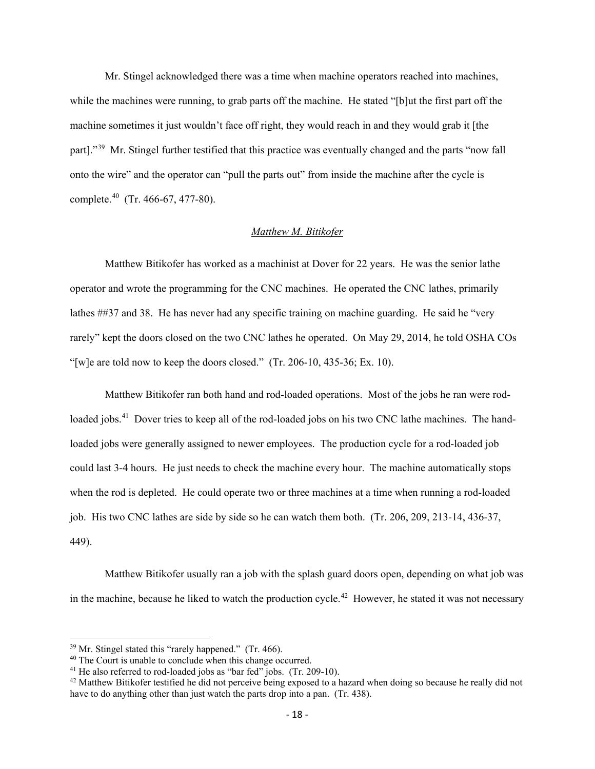Mr. Stingel acknowledged there was a time when machine operators reached into machines, while the machines were running, to grab parts off the machine. He stated "[b]ut the first part off the machine sometimes it just wouldn't face off right, they would reach in and they would grab it [the part]."<sup>[39](#page-27-0)</sup> Mr. Stingel further testified that this practice was eventually changed and the parts "now fall onto the wire" and the operator can "pull the parts out" from inside the machine after the cycle is complete.[40](#page-27-1) (Tr. 466-67, 477-80).

## *Matthew M. Bitikofer*

Matthew Bitikofer has worked as a machinist at Dover for 22 years. He was the senior lathe operator and wrote the programming for the CNC machines. He operated the CNC lathes, primarily lathes ##37 and 38. He has never had any specific training on machine guarding. He said he "very rarely" kept the doors closed on the two CNC lathes he operated. On May 29, 2014, he told OSHA COs "[w]e are told now to keep the doors closed."  $(Tr. 206-10, 435-36; Ex. 10)$ .

Matthew Bitikofer ran both hand and rod-loaded operations. Most of the jobs he ran were rodloaded jobs.<sup>41</sup> Dover tries to keep all of the rod-loaded jobs on his two CNC lathe machines. The handloaded jobs were generally assigned to newer employees. The production cycle for a rod-loaded job could last 3-4 hours. He just needs to check the machine every hour. The machine automatically stops when the rod is depleted. He could operate two or three machines at a time when running a rod-loaded job. His two CNC lathes are side by side so he can watch them both. (Tr. 206, 209, 213-14, 436-37, 449).

Matthew Bitikofer usually ran a job with the splash guard doors open, depending on what job was in the machine, because he liked to watch the production cycle.<sup>[42](#page-27-3)</sup> However, he stated it was not necessary

<span id="page-27-0"></span> $39$  Mr. Stingel stated this "rarely happened." (Tr. 466).

<sup>40</sup> The Court is unable to conclude when this change occurred.

<span id="page-27-2"></span><span id="page-27-1"></span><sup>&</sup>lt;sup>41</sup> He also referred to rod-loaded jobs as "bar fed" jobs. (Tr. 209-10).

<span id="page-27-3"></span><sup>&</sup>lt;sup>42</sup> Matthew Bitikofer testified he did not perceive being exposed to a hazard when doing so because he really did not have to do anything other than just watch the parts drop into a pan. (Tr. 438).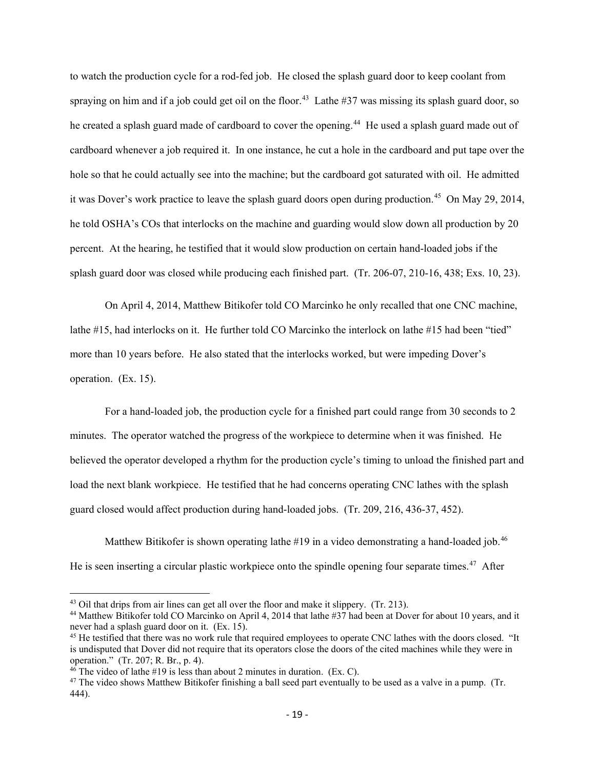to watch the production cycle for a rod-fed job. He closed the splash guard door to keep coolant from spraying on him and if a job could get oil on the floor.<sup>[43](#page-28-0)</sup> Lathe #37 was missing its splash guard door, so he created a splash guard made of cardboard to cover the opening.<sup>44</sup> He used a splash guard made out of cardboard whenever a job required it. In one instance, he cut a hole in the cardboard and put tape over the hole so that he could actually see into the machine; but the cardboard got saturated with oil. He admitted it was Dover's work practice to leave the splash guard doors open during production. [45](#page-28-2) On May 29, 2014, he told OSHA's COs that interlocks on the machine and guarding would slow down all production by 20 percent. At the hearing, he testified that it would slow production on certain hand-loaded jobs if the splash guard door was closed while producing each finished part. (Tr. 206-07, 210-16, 438; Exs. 10, 23).

On April 4, 2014, Matthew Bitikofer told CO Marcinko he only recalled that one CNC machine, lathe #15, had interlocks on it. He further told CO Marcinko the interlock on lathe #15 had been "tied" more than 10 years before. He also stated that the interlocks worked, but were impeding Dover's operation. (Ex. 15).

For a hand-loaded job, the production cycle for a finished part could range from 30 seconds to 2 minutes. The operator watched the progress of the workpiece to determine when it was finished. He believed the operator developed a rhythm for the production cycle's timing to unload the finished part and load the next blank workpiece. He testified that he had concerns operating CNC lathes with the splash guard closed would affect production during hand-loaded jobs. (Tr. 209, 216, 436-37, 452).

Matthew Bitikofer is shown operating lathe #19 in a video demonstrating a hand-loaded job.<sup>46</sup> He is seen inserting a circular plastic workpiece onto the spindle opening four separate times.<sup>[47](#page-28-4)</sup> After

<span id="page-28-0"></span> $43$  Oil that drips from air lines can get all over the floor and make it slippery. (Tr. 213).

<span id="page-28-1"></span><sup>&</sup>lt;sup>44</sup> Matthew Bitikofer told CO Marcinko on April 4, 2014 that lathe #37 had been at Dover for about 10 years, and it never had a splash guard door on it. (Ex. 15).

<span id="page-28-2"></span><sup>&</sup>lt;sup>45</sup> He testified that there was no work rule that required employees to operate CNC lathes with the doors closed. "It is undisputed that Dover did not require that its operators close the doors of the cited machines while they were in operation." (Tr. 207; R. Br., p. 4).

<span id="page-28-3"></span> $46$  The video of lathe #19 is less than about 2 minutes in duration. (Ex. C).

<span id="page-28-4"></span> $47$  The video shows Matthew Bitikofer finishing a ball seed part eventually to be used as a valve in a pump. (Tr. 444).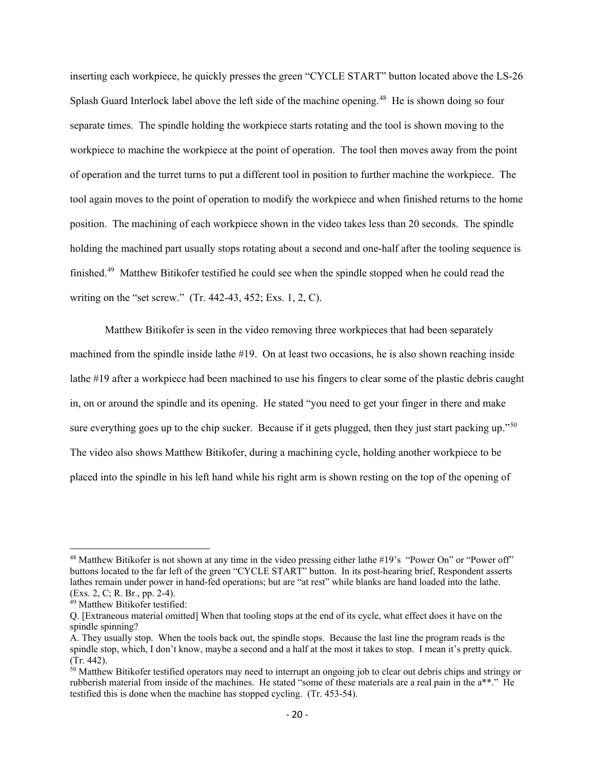inserting each workpiece, he quickly presses the green "CYCLE START" button located above the LS-26 Splash Guard Interlock label above the left side of the machine opening.<sup>48</sup> He is shown doing so four separate times. The spindle holding the workpiece starts rotating and the tool is shown moving to the workpiece to machine the workpiece at the point of operation. The tool then moves away from the point of operation and the turret turns to put a different tool in position to further machine the workpiece. The tool again moves to the point of operation to modify the workpiece and when finished returns to the home position. The machining of each workpiece shown in the video takes less than 20 seconds. The spindle holding the machined part usually stops rotating about a second and one-half after the tooling sequence is finished.<sup>49</sup> Matthew Bitikofer testified he could see when the spindle stopped when he could read the writing on the "set screw." (Tr. 442-43, 452; Exs. 1, 2, C).

Matthew Bitikofer is seen in the video removing three workpieces that had been separately machined from the spindle inside lathe #19. On at least two occasions, he is also shown reaching inside lathe #19 after a workpiece had been machined to use his fingers to clear some of the plastic debris caught in, on or around the spindle and its opening. He stated "you need to get your finger in there and make sure everything goes up to the chip sucker. Because if it gets plugged, then they just start packing up."<sup>[50](#page-29-2)</sup> The video also shows Matthew Bitikofer, during a machining cycle, holding another workpiece to be placed into the spindle in his left hand while his right arm is shown resting on the top of the opening of

<span id="page-29-0"></span><sup>&</sup>lt;sup>48</sup> Matthew Bitikofer is not shown at any time in the video pressing either lathe #19's "Power On" or "Power off" buttons located to the far left of the green "CYCLE START" button. In its post-hearing brief, Respondent asserts lathes remain under power in hand-fed operations; but are "at rest" while blanks are hand loaded into the lathe. (Exs. 2, C; R. Br., pp. 2-4).

<span id="page-29-1"></span><sup>49</sup> Matthew Bitikofer testified:

Q. [Extraneous material omitted] When that tooling stops at the end of its cycle, what effect does it have on the spindle spinning?

A. They usually stop. When the tools back out, the spindle stops. Because the last line the program reads is the spindle stop, which, I don't know, maybe a second and a half at the most it takes to stop. I mean it's pretty quick. (Tr. 442).

<span id="page-29-2"></span> $50$  Matthew Bitikofer testified operators may need to interrupt an ongoing job to clear out debris chips and stringy or rubberish material from inside of the machines. He stated "some of these materials are a real pain in the a\*\*." He testified this is done when the machine has stopped cycling. (Tr. 453-54).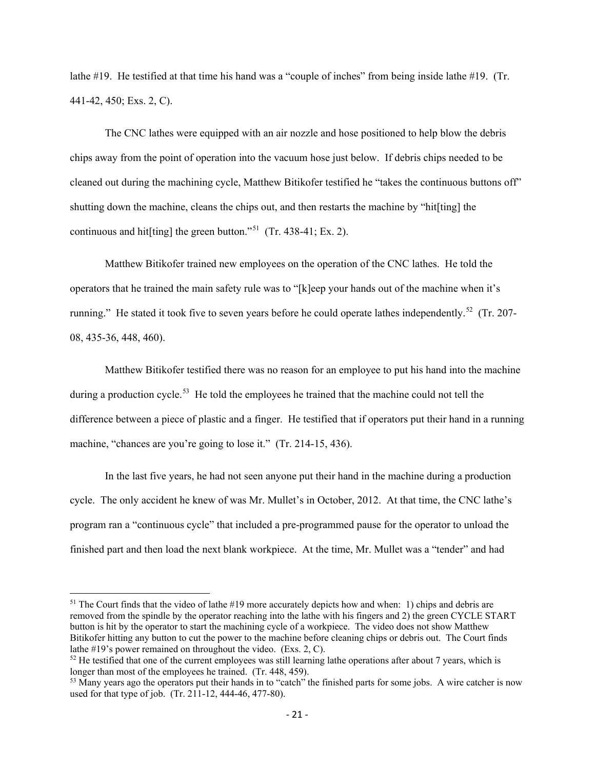lathe #19. He testified at that time his hand was a "couple of inches" from being inside lathe #19. (Tr. 441-42, 450; Exs. 2, C).

The CNC lathes were equipped with an air nozzle and hose positioned to help blow the debris chips away from the point of operation into the vacuum hose just below. If debris chips needed to be cleaned out during the machining cycle, Matthew Bitikofer testified he "takes the continuous buttons off" shutting down the machine, cleans the chips out, and then restarts the machine by "hit[ting] the continuous and hit[ting] the green button."<sup>[51](#page-30-0)</sup> (Tr. 438-41; Ex. 2).

Matthew Bitikofer trained new employees on the operation of the CNC lathes. He told the operators that he trained the main safety rule was to "[k]eep your hands out of the machine when it's running." He stated it took five to seven years before he could operate lathes independently.<sup>52</sup> (Tr. 207-08, 435-36, 448, 460).

Matthew Bitikofer testified there was no reason for an employee to put his hand into the machine during a production cycle.<sup>[53](#page-30-2)</sup> He told the employees he trained that the machine could not tell the difference between a piece of plastic and a finger. He testified that if operators put their hand in a running machine, "chances are you're going to lose it." (Tr. 214-15, 436).

In the last five years, he had not seen anyone put their hand in the machine during a production cycle. The only accident he knew of was Mr. Mullet's in October, 2012. At that time, the CNC lathe's program ran a "continuous cycle" that included a pre-programmed pause for the operator to unload the finished part and then load the next blank workpiece. At the time, Mr. Mullet was a "tender" and had

<span id="page-30-0"></span><sup>&</sup>lt;sup>51</sup> The Court finds that the video of lathe #19 more accurately depicts how and when: 1) chips and debris are removed from the spindle by the operator reaching into the lathe with his fingers and 2) the green CYCLE START button is hit by the operator to start the machining cycle of a workpiece. The video does not show Matthew Bitikofer hitting any button to cut the power to the machine before cleaning chips or debris out. The Court finds lathe #19's power remained on throughout the video. (Exs. 2, C).

<span id="page-30-1"></span> $52$  He testified that one of the current employees was still learning lathe operations after about 7 years, which is longer than most of the employees he trained. (Tr. 448, 459).

<span id="page-30-2"></span><sup>&</sup>lt;sup>53</sup> Many years ago the operators put their hands in to "catch" the finished parts for some jobs. A wire catcher is now used for that type of job. (Tr. 211-12, 444-46, 477-80).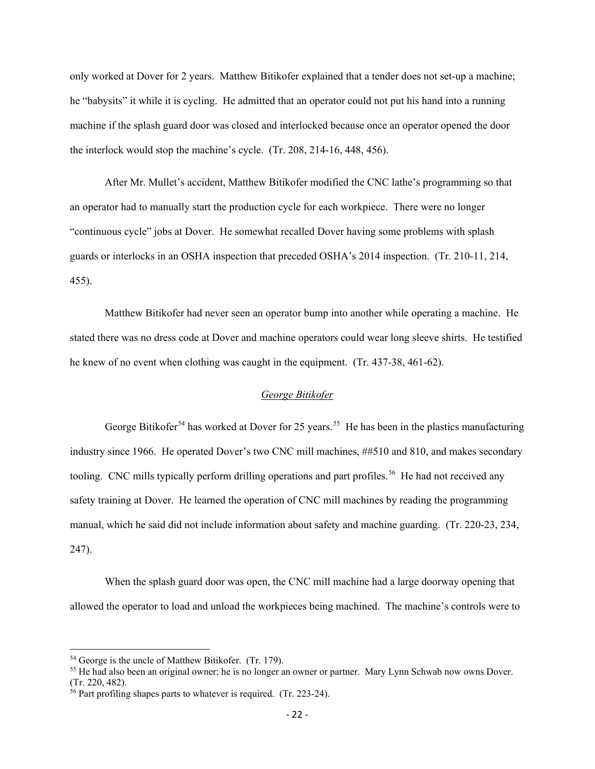only worked at Dover for 2 years. Matthew Bitikofer explained that a tender does not set-up a machine; he "babysits" it while it is cycling. He admitted that an operator could not put his hand into a running machine if the splash guard door was closed and interlocked because once an operator opened the door the interlock would stop the machine's cycle. (Tr. 208, 214-16, 448, 456).

After Mr. Mullet's accident, Matthew Bitikofer modified the CNC lathe's programming so that an operator had to manually start the production cycle for each workpiece. There were no longer "continuous cycle" jobs at Dover. He somewhat recalled Dover having some problems with splash guards or interlocks in an OSHA inspection that preceded OSHA's 2014 inspection. (Tr. 210-11, 214, 455).

Matthew Bitikofer had never seen an operator bump into another while operating a machine. He stated there was no dress code at Dover and machine operators could wear long sleeve shirts. He testified he knew of no event when clothing was caught in the equipment. (Tr. 437-38, 461-62).

## *George Bitikofer*

George Bitikofer<sup>[54](#page-31-0)</sup> has worked at Dover for 25 years.<sup>[55](#page-31-1)</sup> He has been in the plastics manufacturing industry since 1966. He operated Dover's two CNC mill machines, ##510 and 810, and makes secondary tooling. CNC mills typically perform drilling operations and part profiles.<sup>[56](#page-31-2)</sup> He had not received any safety training at Dover. He learned the operation of CNC mill machines by reading the programming manual, which he said did not include information about safety and machine guarding. (Tr. 220-23, 234, 247).

When the splash guard door was open, the CNC mill machine had a large doorway opening that allowed the operator to load and unload the workpieces being machined. The machine's controls were to

<span id="page-31-0"></span><sup>54</sup> George is the uncle of Matthew Bitikofer. (Tr. 179).

<span id="page-31-1"></span><sup>55</sup> He had also been an original owner; he is no longer an owner or partner. Mary Lynn Schwab now owns Dover. (Tr. 220, 482).

<span id="page-31-2"></span> $56$  Part profiling shapes parts to whatever is required. (Tr. 223-24).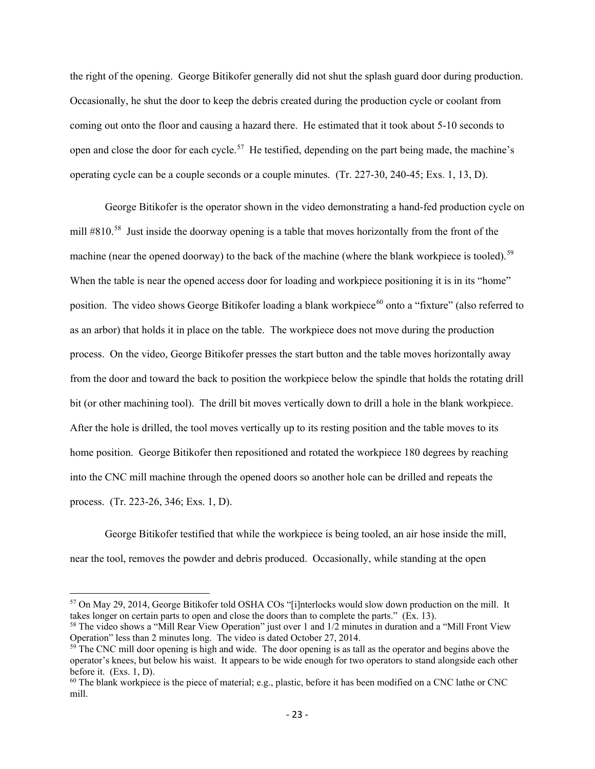the right of the opening. George Bitikofer generally did not shut the splash guard door during production. Occasionally, he shut the door to keep the debris created during the production cycle or coolant from coming out onto the floor and causing a hazard there. He estimated that it took about 5-10 seconds to open and close the door for each cycle.<sup>[57](#page-32-0)</sup> He testified, depending on the part being made, the machine's operating cycle can be a couple seconds or a couple minutes. (Tr. 227-30, 240-45; Exs. 1, 13, D).

George Bitikofer is the operator shown in the video demonstrating a hand-fed production cycle on mill #810.<sup>58</sup> Just inside the doorway opening is a table that moves horizontally from the front of the machine (near the opened doorway) to the back of the machine (where the blank workpiece is tooled).<sup>59</sup> When the table is near the opened access door for loading and workpiece positioning it is in its "home" position. The video shows George Bitikofer loading a blank workpiece<sup>[60](#page-32-3)</sup> onto a "fixture" (also referred to as an arbor) that holds it in place on the table. The workpiece does not move during the production process. On the video, George Bitikofer presses the start button and the table moves horizontally away from the door and toward the back to position the workpiece below the spindle that holds the rotating drill bit (or other machining tool). The drill bit moves vertically down to drill a hole in the blank workpiece. After the hole is drilled, the tool moves vertically up to its resting position and the table moves to its home position. George Bitikofer then repositioned and rotated the workpiece 180 degrees by reaching into the CNC mill machine through the opened doors so another hole can be drilled and repeats the process. (Tr. 223-26, 346; Exs. 1, D).

George Bitikofer testified that while the workpiece is being tooled, an air hose inside the mill, near the tool, removes the powder and debris produced. Occasionally, while standing at the open

<span id="page-32-0"></span><sup>57</sup> On May 29, 2014, George Bitikofer told OSHA COs "[i]nterlocks would slow down production on the mill. It takes longer on certain parts to open and close the doors than to complete the parts." (Ex. 13).

<span id="page-32-1"></span><sup>&</sup>lt;sup>58</sup> The video shows a "Mill Rear View Operation" just over 1 and 1/2 minutes in duration and a "Mill Front View Operation" less than 2 minutes long. The video is dated October 27, 2014.

<span id="page-32-2"></span><sup>&</sup>lt;sup>59</sup> The CNC mill door opening is high and wide. The door opening is as tall as the operator and begins above the operator's knees, but below his waist. It appears to be wide enough for two operators to stand alongside each other before it. (Exs. 1, D).

<span id="page-32-3"></span> $60$  The blank workpiece is the piece of material; e.g., plastic, before it has been modified on a CNC lathe or CNC mill.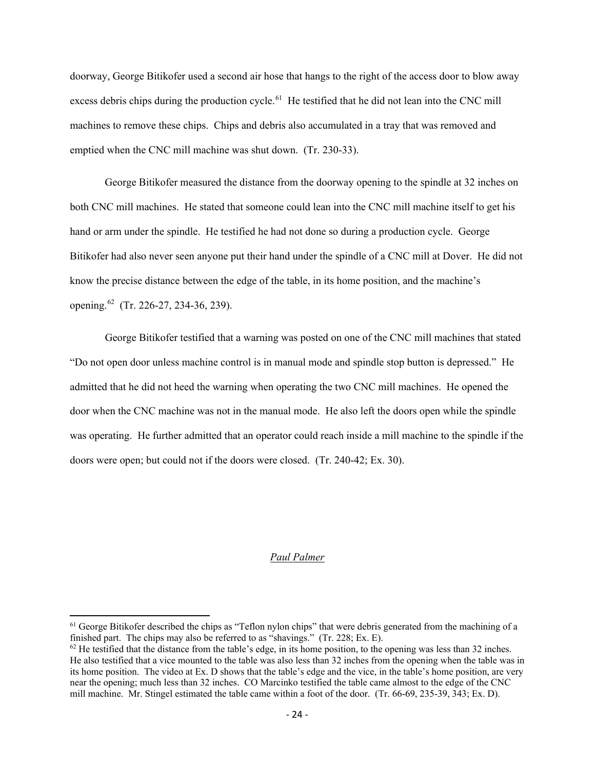doorway, George Bitikofer used a second air hose that hangs to the right of the access door to blow away excess debris chips during the production cycle.<sup>61</sup> He testified that he did not lean into the CNC mill machines to remove these chips. Chips and debris also accumulated in a tray that was removed and emptied when the CNC mill machine was shut down. (Tr. 230-33).

George Bitikofer measured the distance from the doorway opening to the spindle at 32 inches on both CNC mill machines. He stated that someone could lean into the CNC mill machine itself to get his hand or arm under the spindle. He testified he had not done so during a production cycle. George Bitikofer had also never seen anyone put their hand under the spindle of a CNC mill at Dover. He did not know the precise distance between the edge of the table, in its home position, and the machine's opening.<sup>62</sup> (Tr. 226-27, 234-36, 239).

George Bitikofer testified that a warning was posted on one of the CNC mill machines that stated "Do not open door unless machine control is in manual mode and spindle stop button is depressed." He admitted that he did not heed the warning when operating the two CNC mill machines. He opened the door when the CNC machine was not in the manual mode. He also left the doors open while the spindle was operating. He further admitted that an operator could reach inside a mill machine to the spindle if the doors were open; but could not if the doors were closed. (Tr. 240-42; Ex. 30).

#### *Paul Palmer*

<span id="page-33-0"></span> $61$  George Bitikofer described the chips as "Teflon nylon chips" that were debris generated from the machining of a finished part. The chips may also be referred to as "shavings." (Tr. 228; Ex. E).

<span id="page-33-1"></span> $62$  He testified that the distance from the table's edge, in its home position, to the opening was less than 32 inches. He also testified that a vice mounted to the table was also less than 32 inches from the opening when the table was in its home position. The video at Ex. D shows that the table's edge and the vice, in the table's home position, are very near the opening; much less than 32 inches. CO Marcinko testified the table came almost to the edge of the CNC mill machine. Mr. Stingel estimated the table came within a foot of the door. (Tr. 66-69, 235-39, 343; Ex. D).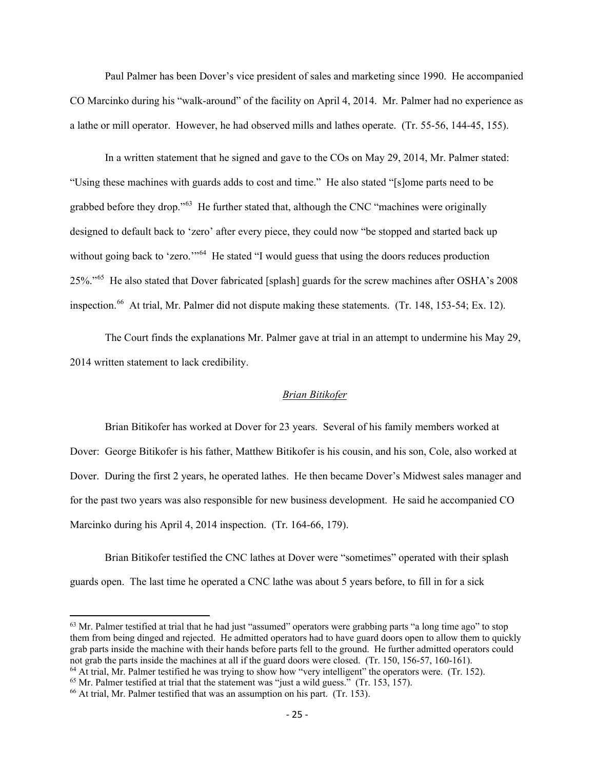Paul Palmer has been Dover's vice president of sales and marketing since 1990. He accompanied CO Marcinko during his "walk-around" of the facility on April 4, 2014. Mr. Palmer had no experience as a lathe or mill operator. However, he had observed mills and lathes operate. (Tr. 55-56, 144-45, 155).

In a written statement that he signed and gave to the COs on May 29, 2014, Mr. Palmer stated: "Using these machines with guards adds to cost and time." He also stated "[s]ome parts need to be grabbed before they drop."<sup>[63](#page-34-0)</sup> He further stated that, although the CNC "machines were originally designed to default back to 'zero' after every piece, they could now "be stopped and started back up without going back to 'zero."<sup>[64](#page-34-1)</sup> He stated "I would guess that using the doors reduces production 25%."[65](#page-34-2) He also stated that Dover fabricated [splash] guards for the screw machines after OSHA's 2008 inspection.<sup>66</sup> At trial, Mr. Palmer did not dispute making these statements. (Tr. 148, 153-54; Ex. 12).

The Court finds the explanations Mr. Palmer gave at trial in an attempt to undermine his May 29, 2014 written statement to lack credibility.

#### *Brian Bitikofer*

Brian Bitikofer has worked at Dover for 23 years. Several of his family members worked at Dover: George Bitikofer is his father, Matthew Bitikofer is his cousin, and his son, Cole, also worked at Dover. During the first 2 years, he operated lathes. He then became Dover's Midwest sales manager and for the past two years was also responsible for new business development. He said he accompanied CO Marcinko during his April 4, 2014 inspection. (Tr. 164-66, 179).

Brian Bitikofer testified the CNC lathes at Dover were "sometimes" operated with their splash guards open. The last time he operated a CNC lathe was about 5 years before, to fill in for a sick

<span id="page-34-0"></span> $63$  Mr. Palmer testified at trial that he had just "assumed" operators were grabbing parts "a long time ago" to stop them from being dinged and rejected. He admitted operators had to have guard doors open to allow them to quickly grab parts inside the machine with their hands before parts fell to the ground. He further admitted operators could not grab the parts inside the machines at all if the guard doors were closed. (Tr. 150, 156-57, 160-161). <sup>64</sup> At trial, Mr. Palmer testified he was trying to show how "very intelligent" the operators were. (Tr. 152).

<span id="page-34-1"></span>

<span id="page-34-2"></span> $65$  Mr. Palmer testified at trial that the statement was "just a wild guess." (Tr. 153, 157).

<span id="page-34-3"></span><sup>66</sup> At trial, Mr. Palmer testified that was an assumption on his part. (Tr. 153).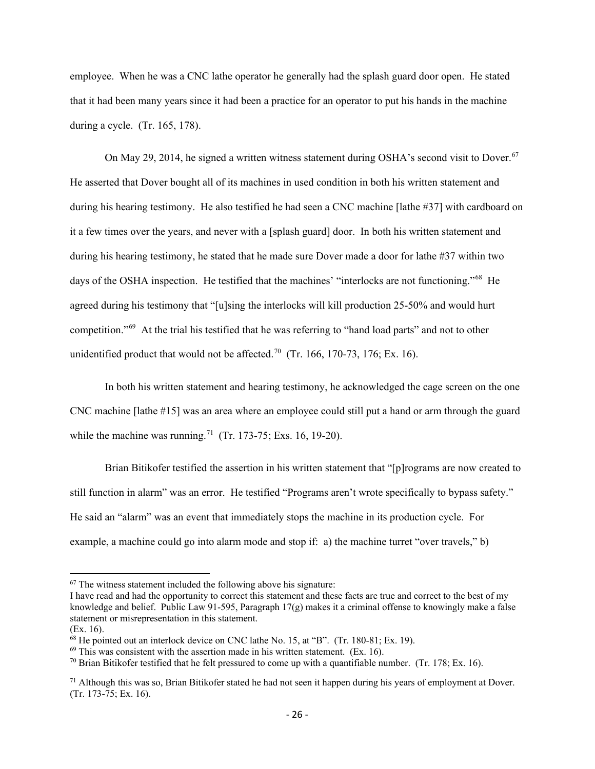employee. When he was a CNC lathe operator he generally had the splash guard door open. He stated that it had been many years since it had been a practice for an operator to put his hands in the machine during a cycle. (Tr. 165, 178).

On May 29, 2014, he signed a written witness statement during OSHA's second visit to Dover.<sup>[67](#page-35-0)</sup> He asserted that Dover bought all of its machines in used condition in both his written statement and during his hearing testimony. He also testified he had seen a CNC machine [lathe #37] with cardboard on it a few times over the years, and never with a [splash guard] door. In both his written statement and during his hearing testimony, he stated that he made sure Dover made a door for lathe #37 within two days of the OSHA inspection. He testified that the machines' "interlocks are not functioning."<sup>[68](#page-35-1)</sup> He agreed during his testimony that "[u]sing the interlocks will kill production 25-50% and would hurt competition."[69](#page-35-2) At the trial his testified that he was referring to "hand load parts" and not to other unidentified product that would not be affected.<sup>[70](#page-35-3)</sup> (Tr. 166, 170-73, 176; Ex. 16).

In both his written statement and hearing testimony, he acknowledged the cage screen on the one CNC machine [lathe #15] was an area where an employee could still put a hand or arm through the guard while the machine was running.<sup>71</sup> (Tr. 173-75; Exs. 16, 19-20).

Brian Bitikofer testified the assertion in his written statement that "[p]rograms are now created to still function in alarm" was an error. He testified "Programs aren't wrote specifically to bypass safety." He said an "alarm" was an event that immediately stops the machine in its production cycle. For example, a machine could go into alarm mode and stop if: a) the machine turret "over travels," b)

<span id="page-35-0"></span> $67$  The witness statement included the following above his signature:

I have read and had the opportunity to correct this statement and these facts are true and correct to the best of my knowledge and belief. Public Law 91-595, Paragraph 17(g) makes it a criminal offense to knowingly make a false statement or misrepresentation in this statement.

<sup>(</sup>Ex. 16).

<span id="page-35-1"></span><sup>68</sup> He pointed out an interlock device on CNC lathe No. 15, at "B". (Tr. 180-81; Ex. 19).

<span id="page-35-2"></span> $69$  This was consistent with the assertion made in his written statement. (Ex. 16).

<span id="page-35-3"></span><sup>&</sup>lt;sup>70</sup> Brian Bitikofer testified that he felt pressured to come up with a quantifiable number. (Tr. 178; Ex. 16).

<span id="page-35-4"></span> $71$  Although this was so, Brian Bitikofer stated he had not seen it happen during his years of employment at Dover. (Tr. 173-75; Ex. 16).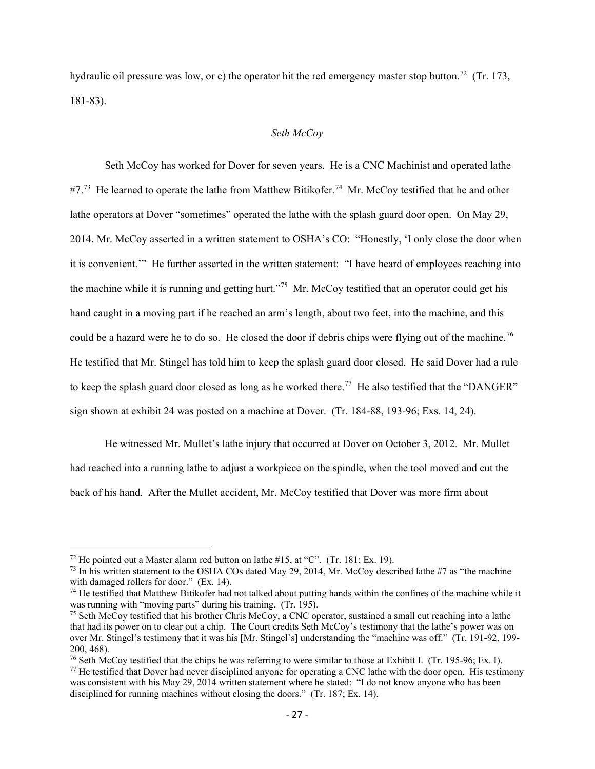hydraulic oil pressure was low, or c) the operator hit the red emergency master stop button.<sup>72</sup> (Tr. 173, 181-83).

### *Seth McCoy*

Seth McCoy has worked for Dover for seven years. He is a CNC Machinist and operated lathe  $#7.^{73}$  $#7.^{73}$  $#7.^{73}$  He learned to operate the lathe from Matthew Bitikofer.<sup>[74](#page-36-2)</sup> Mr. McCoy testified that he and other lathe operators at Dover "sometimes" operated the lathe with the splash guard door open. On May 29, 2014, Mr. McCoy asserted in a written statement to OSHA's CO: "Honestly, 'I only close the door when it is convenient.'" He further asserted in the written statement: "I have heard of employees reaching into the machine while it is running and getting hurt."<sup>[75](#page-36-3)</sup> Mr. McCoy testified that an operator could get his hand caught in a moving part if he reached an arm's length, about two feet, into the machine, and this could be a hazard were he to do so. He closed the door if debris chips were flying out of the machine.<sup>76</sup> He testified that Mr. Stingel has told him to keep the splash guard door closed. He said Dover had a rule to keep the splash guard door closed as long as he worked there.<sup>[77](#page-36-5)</sup> He also testified that the "DANGER" sign shown at exhibit 24 was posted on a machine at Dover. (Tr. 184-88, 193-96; Exs. 14, 24).

He witnessed Mr. Mullet's lathe injury that occurred at Dover on October 3, 2012. Mr. Mullet had reached into a running lathe to adjust a workpiece on the spindle, when the tool moved and cut the back of his hand. After the Mullet accident, Mr. McCoy testified that Dover was more firm about

<span id="page-36-0"></span><sup>&</sup>lt;sup>72</sup> He pointed out a Master alarm red button on lathe #15, at "C". (Tr. 181; Ex. 19).

<span id="page-36-1"></span> $^{73}$  In his written statement to the OSHA COs dated May 29, 2014, Mr. McCoy described lathe #7 as "the machine" with damaged rollers for door." (Ex. 14).

<span id="page-36-2"></span><sup>&</sup>lt;sup>74</sup> He testified that Matthew Bitikofer had not talked about putting hands within the confines of the machine while it was running with "moving parts" during his training. (Tr. 195).

<span id="page-36-3"></span> $<sup>75</sup>$  Seth McCoy testified that his brother Chris McCoy, a CNC operator, sustained a small cut reaching into a lathe</sup> that had its power on to clear out a chip. The Court credits Seth McCoy's testimony that the lathe's power was on over Mr. Stingel's testimony that it was his [Mr. Stingel's] understanding the "machine was off." (Tr. 191-92, 199- 200, 468).<br><sup>76</sup> Seth McCoy testified that the chips he was referring to were similar to those at Exhibit I. (Tr. 195-96; Ex. I).

<span id="page-36-4"></span>

<span id="page-36-5"></span><sup>&</sup>lt;sup>77</sup> He testified that Dover had never disciplined anyone for operating a CNC lathe with the door open. His testimony was consistent with his May 29, 2014 written statement where he stated: "I do not know anyone who has been disciplined for running machines without closing the doors." (Tr. 187; Ex. 14).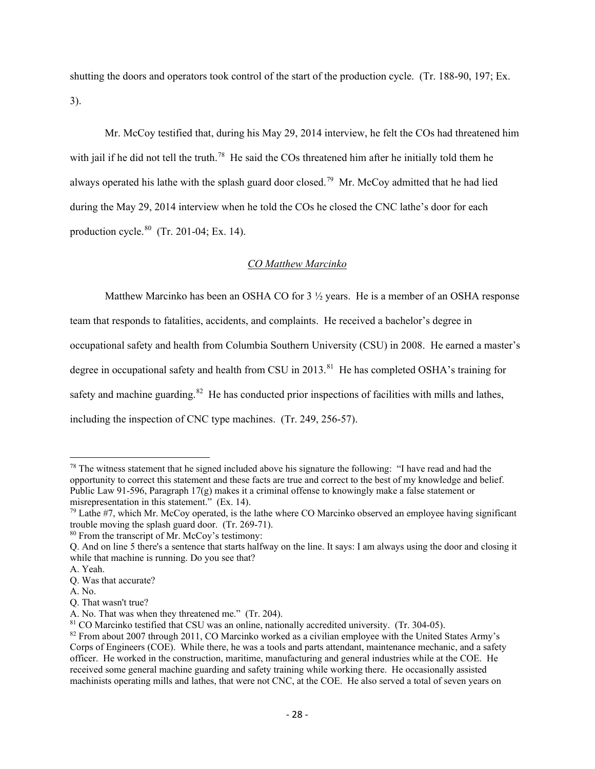shutting the doors and operators took control of the start of the production cycle. (Tr. 188-90, 197; Ex. 3).

Mr. McCoy testified that, during his May 29, 2014 interview, he felt the COs had threatened him with jail if he did not tell the truth.<sup>[78](#page-37-0)</sup> He said the COs threatened him after he initially told them he always operated his lathe with the splash guard door closed.<sup>[79](#page-37-1)</sup> Mr. McCoy admitted that he had lied during the May 29, 2014 interview when he told the COs he closed the CNC lathe's door for each production cycle. $80$  (Tr. 201-04; Ex. 14).

## *CO Matthew Marcinko*

Matthew Marcinko has been an OSHA CO for  $3\frac{1}{2}$  years. He is a member of an OSHA response team that responds to fatalities, accidents, and complaints. He received a bachelor's degree in occupational safety and health from Columbia Southern University (CSU) in 2008. He earned a master's degree in occupational safety and health from CSU in 2013.<sup>[81](#page-37-3)</sup> He has completed OSHA's training for safety and machine guarding.<sup>[82](#page-37-4)</sup> He has conducted prior inspections of facilities with mills and lathes, including the inspection of CNC type machines. (Tr. 249, 256-57).

A. No.

<span id="page-37-0"></span><sup>&</sup>lt;sup>78</sup> The witness statement that he signed included above his signature the following: "I have read and had the opportunity to correct this statement and these facts are true and correct to the best of my knowledge and belief. Public Law 91-596, Paragraph  $17(g)$  makes it a criminal offense to knowingly make a false statement or misrepresentation in this statement." (Ex. 14).

<span id="page-37-1"></span><sup>79</sup> Lathe #7, which Mr. McCoy operated, is the lathe where CO Marcinko observed an employee having significant trouble moving the splash guard door. (Tr. 269-71).

<span id="page-37-2"></span><sup>80</sup> From the transcript of Mr. McCoy's testimony:

Q. And on line 5 there's a sentence that starts halfway on the line. It says: I am always using the door and closing it while that machine is running. Do you see that?

A. Yeah.

Q. Was that accurate?

Q. That wasn't true?

A. No. That was when they threatened me." (Tr. 204).

<span id="page-37-3"></span><sup>&</sup>lt;sup>81</sup> CO Marcinko testified that CSU was an online, nationally accredited university. (Tr. 304-05).

<span id="page-37-4"></span><sup>&</sup>lt;sup>82</sup> From about 2007 through 2011, CO Marcinko worked as a civilian employee with the United States Army's Corps of Engineers (COE). While there, he was a tools and parts attendant, maintenance mechanic, and a safety officer. He worked in the construction, maritime, manufacturing and general industries while at the COE. He received some general machine guarding and safety training while working there. He occasionally assisted machinists operating mills and lathes, that were not CNC, at the COE. He also served a total of seven years on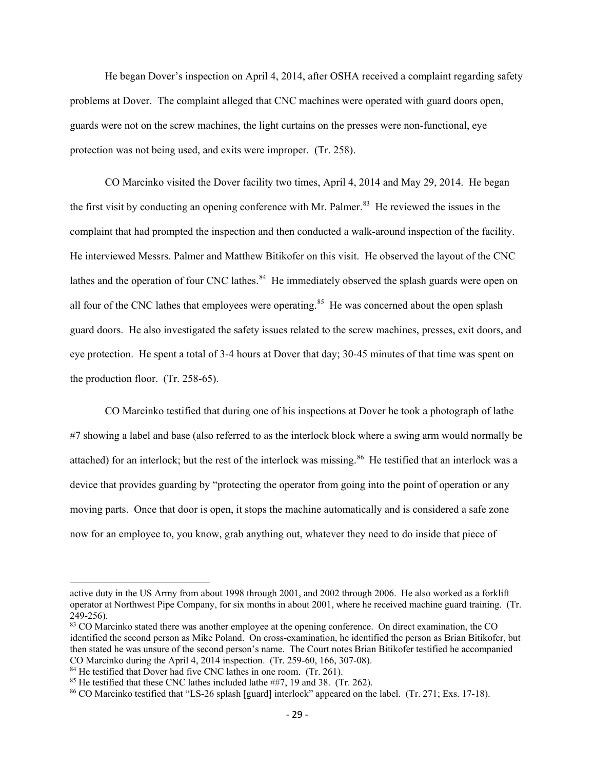He began Dover's inspection on April 4, 2014, after OSHA received a complaint regarding safety problems at Dover. The complaint alleged that CNC machines were operated with guard doors open, guards were not on the screw machines, the light curtains on the presses were non-functional, eye protection was not being used, and exits were improper. (Tr. 258).

CO Marcinko visited the Dover facility two times, April 4, 2014 and May 29, 2014. He began the first visit by conducting an opening conference with Mr. Palmer.<sup>83</sup> He reviewed the issues in the complaint that had prompted the inspection and then conducted a walk-around inspection of the facility. He interviewed Messrs. Palmer and Matthew Bitikofer on this visit. He observed the layout of the CNC lathes and the operation of four CNC lathes.<sup>84</sup> He immediately observed the splash guards were open on all four of the CNC lathes that employees were operating.<sup>85</sup> He was concerned about the open splash guard doors. He also investigated the safety issues related to the screw machines, presses, exit doors, and eye protection. He spent a total of 3-4 hours at Dover that day; 30-45 minutes of that time was spent on the production floor. (Tr. 258-65).

CO Marcinko testified that during one of his inspections at Dover he took a photograph of lathe #7 showing a label and base (also referred to as the interlock block where a swing arm would normally be attached) for an interlock; but the rest of the interlock was missing.<sup>86</sup> He testified that an interlock was a device that provides guarding by "protecting the operator from going into the point of operation or any moving parts. Once that door is open, it stops the machine automatically and is considered a safe zone now for an employee to, you know, grab anything out, whatever they need to do inside that piece of

active duty in the US Army from about 1998 through 2001, and 2002 through 2006. He also worked as a forklift operator at Northwest Pipe Company, for six months in about 2001, where he received machine guard training. (Tr. 249-256).

<span id="page-38-0"></span><sup>83</sup> CO Marcinko stated there was another employee at the opening conference. On direct examination, the CO identified the second person as Mike Poland. On cross-examination, he identified the person as Brian Bitikofer, but then stated he was unsure of the second person's name. The Court notes Brian Bitikofer testified he accompanied CO Marcinko during the April 4, 2014 inspection. (Tr. 259-60, 166, 307-08).

<span id="page-38-1"></span><sup>&</sup>lt;sup>84</sup> He testified that Dover had five CNC lathes in one room. (Tr. 261).

<span id="page-38-2"></span><sup>&</sup>lt;sup>85</sup> He testified that these CNC lathes included lathe ##7, 19 and 38. (Tr. 262).

<span id="page-38-3"></span><sup>86</sup> CO Marcinko testified that "LS-26 splash [guard] interlock" appeared on the label. (Tr. 271; Exs. 17-18).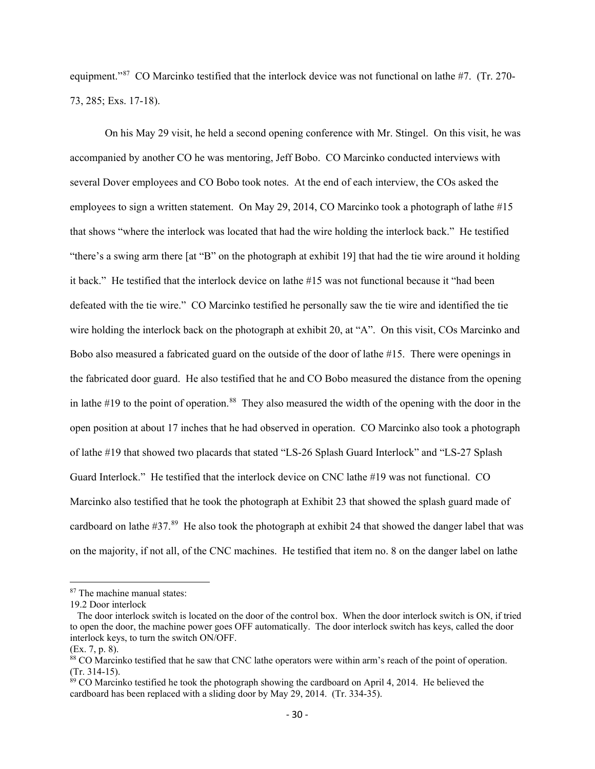equipment."<sup>87</sup> CO Marcinko testified that the interlock device was not functional on lathe #7. (Tr. 270-73, 285; Exs. 17-18).

On his May 29 visit, he held a second opening conference with Mr. Stingel. On this visit, he was accompanied by another CO he was mentoring, Jeff Bobo. CO Marcinko conducted interviews with several Dover employees and CO Bobo took notes. At the end of each interview, the COs asked the employees to sign a written statement. On May 29, 2014, CO Marcinko took a photograph of lathe #15 that shows "where the interlock was located that had the wire holding the interlock back." He testified "there's a swing arm there [at "B" on the photograph at exhibit 19] that had the tie wire around it holding it back." He testified that the interlock device on lathe #15 was not functional because it "had been defeated with the tie wire." CO Marcinko testified he personally saw the tie wire and identified the tie wire holding the interlock back on the photograph at exhibit 20, at "A". On this visit, COs Marcinko and Bobo also measured a fabricated guard on the outside of the door of lathe #15. There were openings in the fabricated door guard. He also testified that he and CO Bobo measured the distance from the opening in lathe  $#19$  to the point of operation.<sup>[88](#page-39-1)</sup> They also measured the width of the opening with the door in the open position at about 17 inches that he had observed in operation. CO Marcinko also took a photograph of lathe #19 that showed two placards that stated "LS-26 Splash Guard Interlock" and "LS-27 Splash Guard Interlock." He testified that the interlock device on CNC lathe #19 was not functional. CO Marcinko also testified that he took the photograph at Exhibit 23 that showed the splash guard made of cardboard on lathe  $#37<sup>89</sup>$  $#37<sup>89</sup>$  $#37<sup>89</sup>$  He also took the photograph at exhibit 24 that showed the danger label that was on the majority, if not all, of the CNC machines. He testified that item no. 8 on the danger label on lathe

<span id="page-39-0"></span><sup>&</sup>lt;sup>87</sup> The machine manual states:

<sup>19.2</sup> Door interlock

The door interlock switch is located on the door of the control box. When the door interlock switch is ON, if tried to open the door, the machine power goes OFF automatically. The door interlock switch has keys, called the door interlock keys, to turn the switch ON/OFF.

<span id="page-39-1"></span>

<sup>(</sup>Ex. 7, p. 8).<br><sup>88</sup> CO Marcinko testified that he saw that CNC lathe operators were within arm's reach of the point of operation. (Tr. 314-15).

<span id="page-39-2"></span><sup>&</sup>lt;sup>89</sup> CO Marcinko testified he took the photograph showing the cardboard on April 4, 2014. He believed the cardboard has been replaced with a sliding door by May 29, 2014. (Tr. 334-35).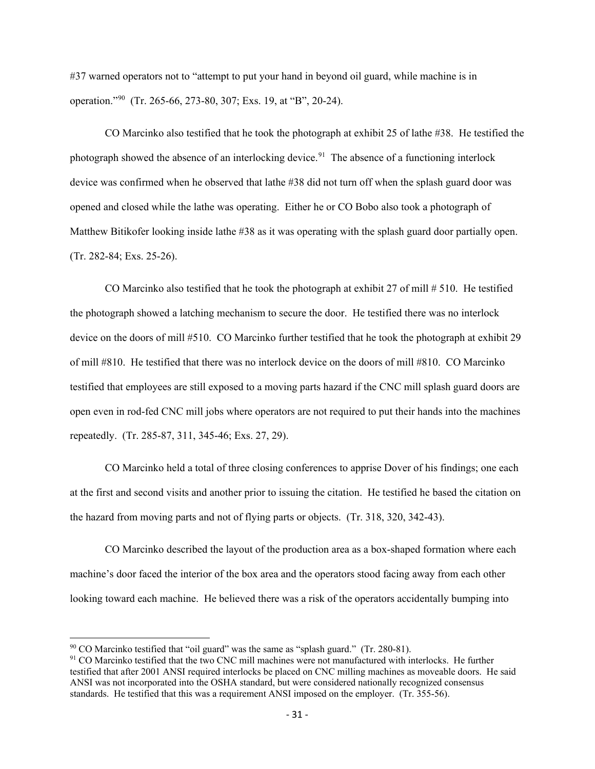#37 warned operators not to "attempt to put your hand in beyond oil guard, while machine is in operation."[90](#page-40-0) (Tr. 265-66, 273-80, 307; Exs. 19, at "B", 20-24).

CO Marcinko also testified that he took the photograph at exhibit 25 of lathe #38. He testified the photograph showed the absence of an interlocking device.<sup>91</sup> The absence of a functioning interlock device was confirmed when he observed that lathe #38 did not turn off when the splash guard door was opened and closed while the lathe was operating. Either he or CO Bobo also took a photograph of Matthew Bitikofer looking inside lathe #38 as it was operating with the splash guard door partially open. (Tr. 282-84; Exs. 25-26).

CO Marcinko also testified that he took the photograph at exhibit 27 of mill # 510. He testified the photograph showed a latching mechanism to secure the door. He testified there was no interlock device on the doors of mill #510. CO Marcinko further testified that he took the photograph at exhibit 29 of mill #810. He testified that there was no interlock device on the doors of mill #810. CO Marcinko testified that employees are still exposed to a moving parts hazard if the CNC mill splash guard doors are open even in rod-fed CNC mill jobs where operators are not required to put their hands into the machines repeatedly. (Tr. 285-87, 311, 345-46; Exs. 27, 29).

CO Marcinko held a total of three closing conferences to apprise Dover of his findings; one each at the first and second visits and another prior to issuing the citation. He testified he based the citation on the hazard from moving parts and not of flying parts or objects. (Tr. 318, 320, 342-43).

CO Marcinko described the layout of the production area as a box-shaped formation where each machine's door faced the interior of the box area and the operators stood facing away from each other looking toward each machine. He believed there was a risk of the operators accidentally bumping into

<span id="page-40-0"></span> $90$  CO Marcinko testified that "oil guard" was the same as "splash guard." (Tr. 280-81).

<span id="page-40-1"></span><sup>&</sup>lt;sup>91</sup> CO Marcinko testified that the two CNC mill machines were not manufactured with interlocks. He further testified that after 2001 ANSI required interlocks be placed on CNC milling machines as moveable doors. He said ANSI was not incorporated into the OSHA standard, but were considered nationally recognized consensus standards. He testified that this was a requirement ANSI imposed on the employer. (Tr. 355-56).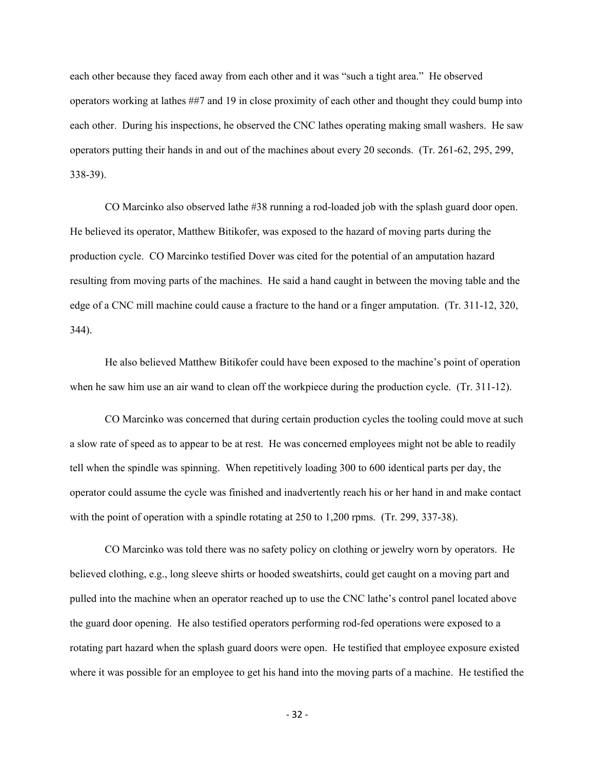each other because they faced away from each other and it was "such a tight area." He observed operators working at lathes ##7 and 19 in close proximity of each other and thought they could bump into each other. During his inspections, he observed the CNC lathes operating making small washers. He saw operators putting their hands in and out of the machines about every 20 seconds. (Tr. 261-62, 295, 299, 338-39).

CO Marcinko also observed lathe #38 running a rod-loaded job with the splash guard door open. He believed its operator, Matthew Bitikofer, was exposed to the hazard of moving parts during the production cycle. CO Marcinko testified Dover was cited for the potential of an amputation hazard resulting from moving parts of the machines. He said a hand caught in between the moving table and the edge of a CNC mill machine could cause a fracture to the hand or a finger amputation. (Tr. 311-12, 320, 344).

He also believed Matthew Bitikofer could have been exposed to the machine's point of operation when he saw him use an air wand to clean off the workpiece during the production cycle. (Tr. 311-12).

CO Marcinko was concerned that during certain production cycles the tooling could move at such a slow rate of speed as to appear to be at rest. He was concerned employees might not be able to readily tell when the spindle was spinning. When repetitively loading 300 to 600 identical parts per day, the operator could assume the cycle was finished and inadvertently reach his or her hand in and make contact with the point of operation with a spindle rotating at 250 to 1,200 rpms. (Tr. 299, 337-38).

CO Marcinko was told there was no safety policy on clothing or jewelry worn by operators. He believed clothing, e.g., long sleeve shirts or hooded sweatshirts, could get caught on a moving part and pulled into the machine when an operator reached up to use the CNC lathe's control panel located above the guard door opening. He also testified operators performing rod-fed operations were exposed to a rotating part hazard when the splash guard doors were open. He testified that employee exposure existed where it was possible for an employee to get his hand into the moving parts of a machine. He testified the

- 32 -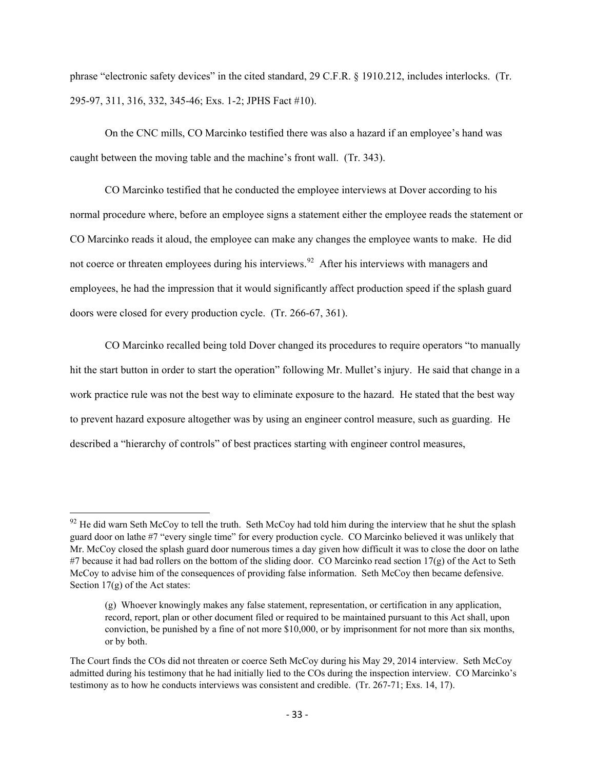phrase "electronic safety devices" in the cited standard, 29 C.F.R. § 1910.212, includes interlocks. (Tr. 295-97, 311, 316, 332, 345-46; Exs. 1-2; JPHS Fact #10).

On the CNC mills, CO Marcinko testified there was also a hazard if an employee's hand was caught between the moving table and the machine's front wall. (Tr. 343).

CO Marcinko testified that he conducted the employee interviews at Dover according to his normal procedure where, before an employee signs a statement either the employee reads the statement or CO Marcinko reads it aloud, the employee can make any changes the employee wants to make. He did not coerce or threaten employees during his interviews.<sup>[92](#page-42-0)</sup> After his interviews with managers and employees, he had the impression that it would significantly affect production speed if the splash guard doors were closed for every production cycle. (Tr. 266-67, 361).

CO Marcinko recalled being told Dover changed its procedures to require operators "to manually hit the start button in order to start the operation" following Mr. Mullet's injury. He said that change in a work practice rule was not the best way to eliminate exposure to the hazard. He stated that the best way to prevent hazard exposure altogether was by using an engineer control measure, such as guarding. He described a "hierarchy of controls" of best practices starting with engineer control measures,

<span id="page-42-0"></span> $92$  He did warn Seth McCoy to tell the truth. Seth McCoy had told him during the interview that he shut the splash guard door on lathe #7 "every single time" for every production cycle. CO Marcinko believed it was unlikely that Mr. McCoy closed the splash guard door numerous times a day given how difficult it was to close the door on lathe #7 because it had bad rollers on the bottom of the sliding door. CO Marcinko read section 17(g) of the Act to Seth McCoy to advise him of the consequences of providing false information. Seth McCoy then became defensive. Section 17(g) of the Act states:

<sup>(</sup>g) Whoever knowingly makes any false statement, representation, or certification in any application, record, report, plan or other document filed or required to be maintained pursuant to this Act shall, upon conviction, be punished by a fine of not more \$10,000, or by imprisonment for not more than six months, or by both.

The Court finds the COs did not threaten or coerce Seth McCoy during his May 29, 2014 interview. Seth McCoy admitted during his testimony that he had initially lied to the COs during the inspection interview. CO Marcinko's testimony as to how he conducts interviews was consistent and credible. (Tr. 267-71; Exs. 14, 17).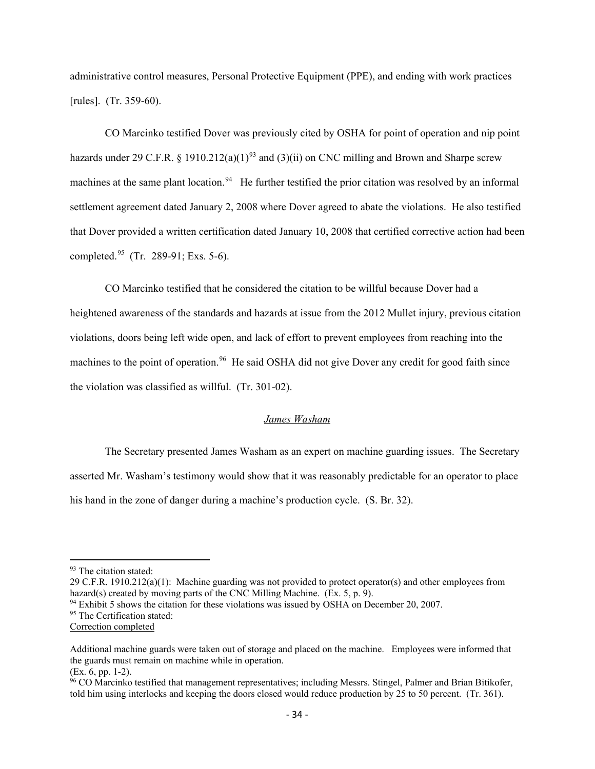administrative control measures, Personal Protective Equipment (PPE), and ending with work practices [rules]. (Tr. 359-60).

CO Marcinko testified Dover was previously cited by OSHA for point of operation and nip point hazards under 29 C.F.R. § 1910.212(a)(1)<sup>[93](#page-43-0)</sup> and (3)(ii) on CNC milling and Brown and Sharpe screw machines at the same plant location.<sup>[94](#page-43-1)</sup> He further testified the prior citation was resolved by an informal settlement agreement dated January 2, 2008 where Dover agreed to abate the violations. He also testified that Dover provided a written certification dated January 10, 2008 that certified corrective action had been completed.[95](#page-43-2) (Tr. 289-91; Exs. 5-6).

CO Marcinko testified that he considered the citation to be willful because Dover had a heightened awareness of the standards and hazards at issue from the 2012 Mullet injury, previous citation violations, doors being left wide open, and lack of effort to prevent employees from reaching into the machines to the point of operation.<sup>96</sup> He said OSHA did not give Dover any credit for good faith since the violation was classified as willful. (Tr. 301-02).

### *James Washam*

The Secretary presented James Washam as an expert on machine guarding issues. The Secretary asserted Mr. Washam's testimony would show that it was reasonably predictable for an operator to place his hand in the zone of danger during a machine's production cycle. (S. Br. 32).

29 C.F.R. 1910.212(a)(1): Machine guarding was not provided to protect operator(s) and other employees from hazard(s) created by moving parts of the CNC Milling Machine. (Ex. 5, p. 9).

<span id="page-43-1"></span> $94$  Exhibit 5 shows the citation for these violations was issued by OSHA on December 20, 2007.

<span id="page-43-2"></span><sup>95</sup> The Certification stated:

<span id="page-43-0"></span><sup>&</sup>lt;sup>93</sup> The citation stated:

Correction completed

Additional machine guards were taken out of storage and placed on the machine. Employees were informed that the guards must remain on machine while in operation.

<sup>(</sup>Ex. 6, pp. 1-2).

<span id="page-43-3"></span><sup>&</sup>lt;sup>96</sup> CO Marcinko testified that management representatives; including Messrs. Stingel, Palmer and Brian Bitikofer, told him using interlocks and keeping the doors closed would reduce production by 25 to 50 percent. (Tr. 361).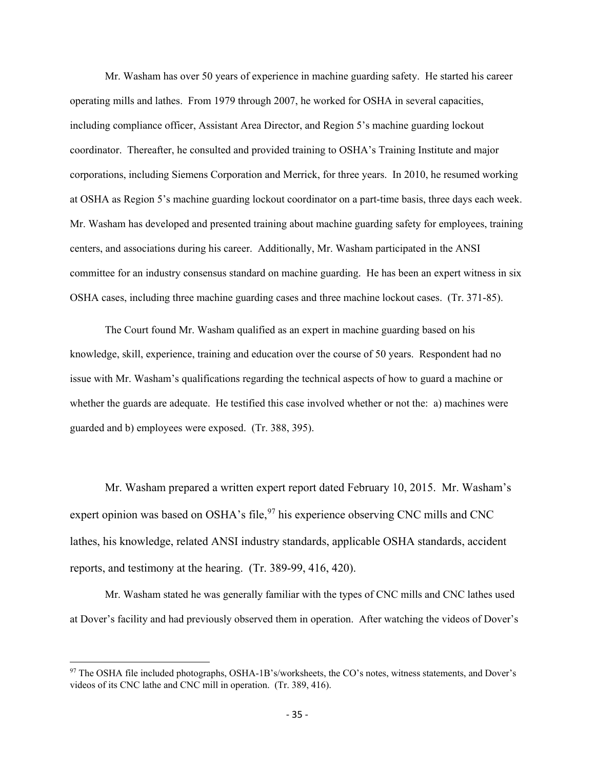Mr. Washam has over 50 years of experience in machine guarding safety. He started his career operating mills and lathes. From 1979 through 2007, he worked for OSHA in several capacities, including compliance officer, Assistant Area Director, and Region 5's machine guarding lockout coordinator. Thereafter, he consulted and provided training to OSHA's Training Institute and major corporations, including Siemens Corporation and Merrick, for three years. In 2010, he resumed working at OSHA as Region 5's machine guarding lockout coordinator on a part-time basis, three days each week. Mr. Washam has developed and presented training about machine guarding safety for employees, training centers, and associations during his career. Additionally, Mr. Washam participated in the ANSI committee for an industry consensus standard on machine guarding. He has been an expert witness in six OSHA cases, including three machine guarding cases and three machine lockout cases. (Tr. 371-85).

The Court found Mr. Washam qualified as an expert in machine guarding based on his knowledge, skill, experience, training and education over the course of 50 years. Respondent had no issue with Mr. Washam's qualifications regarding the technical aspects of how to guard a machine or whether the guards are adequate. He testified this case involved whether or not the: a) machines were guarded and b) employees were exposed. (Tr. 388, 395).

Mr. Washam prepared a written expert report dated February 10, 2015. Mr. Washam's expert opinion was based on OSHA's file,  $97$  his experience observing CNC mills and CNC lathes, his knowledge, related ANSI industry standards, applicable OSHA standards, accident reports, and testimony at the hearing. (Tr. 389-99, 416, 420).

Mr. Washam stated he was generally familiar with the types of CNC mills and CNC lathes used at Dover's facility and had previously observed them in operation. After watching the videos of Dover's

<span id="page-44-0"></span><sup>97</sup> The OSHA file included photographs, OSHA-1B's/worksheets, the CO's notes, witness statements, and Dover's videos of its CNC lathe and CNC mill in operation. (Tr. 389, 416).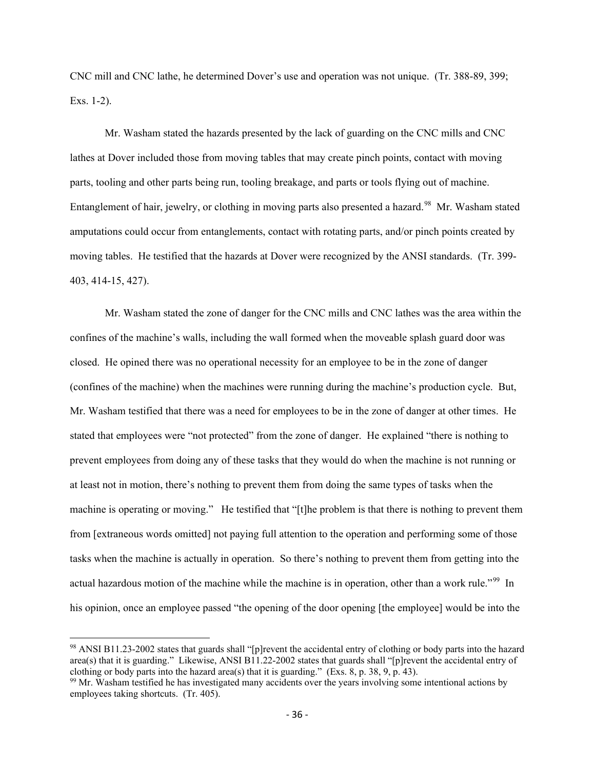CNC mill and CNC lathe, he determined Dover's use and operation was not unique. (Tr. 388-89, 399; Exs. 1-2).

Mr. Washam stated the hazards presented by the lack of guarding on the CNC mills and CNC lathes at Dover included those from moving tables that may create pinch points, contact with moving parts, tooling and other parts being run, tooling breakage, and parts or tools flying out of machine. Entanglement of hair, jewelry, or clothing in moving parts also presented a hazard.<sup>98</sup> Mr. Washam stated amputations could occur from entanglements, contact with rotating parts, and/or pinch points created by moving tables. He testified that the hazards at Dover were recognized by the ANSI standards. (Tr. 399- 403, 414-15, 427).

Mr. Washam stated the zone of danger for the CNC mills and CNC lathes was the area within the confines of the machine's walls, including the wall formed when the moveable splash guard door was closed. He opined there was no operational necessity for an employee to be in the zone of danger (confines of the machine) when the machines were running during the machine's production cycle. But, Mr. Washam testified that there was a need for employees to be in the zone of danger at other times. He stated that employees were "not protected" from the zone of danger. He explained "there is nothing to prevent employees from doing any of these tasks that they would do when the machine is not running or at least not in motion, there's nothing to prevent them from doing the same types of tasks when the machine is operating or moving." He testified that "[t]he problem is that there is nothing to prevent them from [extraneous words omitted] not paying full attention to the operation and performing some of those tasks when the machine is actually in operation. So there's nothing to prevent them from getting into the actual hazardous motion of the machine while the machine is in operation, other than a work rule."<sup>[99](#page-45-1)</sup> In his opinion, once an employee passed "the opening of the door opening [the employee] would be into the

<span id="page-45-0"></span><sup>98</sup> ANSI B11.23-2002 states that guards shall "[p]revent the accidental entry of clothing or body parts into the hazard area(s) that it is guarding." Likewise, ANSI B11.22-2002 states that guards shall "[p]revent the accidental entry of clothing or body parts into the hazard area(s) that it is guarding." (Exs. 8, p. 38, 9, p. 43).

<span id="page-45-1"></span> $99$  Mr. Washam testified he has investigated many accidents over the years involving some intentional actions by employees taking shortcuts. (Tr. 405).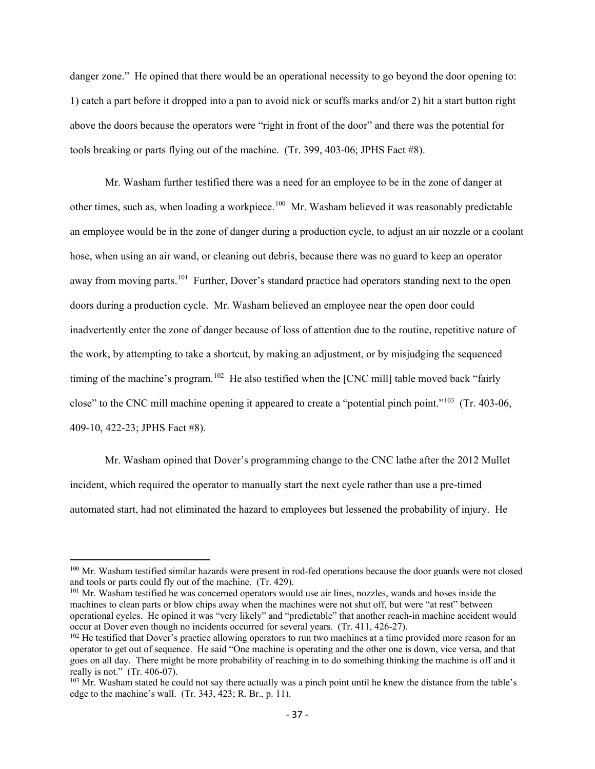danger zone." He opined that there would be an operational necessity to go beyond the door opening to: 1) catch a part before it dropped into a pan to avoid nick or scuffs marks and/or 2) hit a start button right above the doors because the operators were "right in front of the door" and there was the potential for tools breaking or parts flying out of the machine. (Tr. 399, 403-06; JPHS Fact #8).

Mr. Washam further testified there was a need for an employee to be in the zone of danger at other times, such as, when loading a workpiece.<sup>100</sup> Mr. Washam believed it was reasonably predictable an employee would be in the zone of danger during a production cycle, to adjust an air nozzle or a coolant hose, when using an air wand, or cleaning out debris, because there was no guard to keep an operator away from moving parts.<sup>101</sup> Further, Dover's standard practice had operators standing next to the open doors during a production cycle. Mr. Washam believed an employee near the open door could inadvertently enter the zone of danger because of loss of attention due to the routine, repetitive nature of the work, by attempting to take a shortcut, by making an adjustment, or by misjudging the sequenced timing of the machine's program.<sup>102</sup> He also testified when the [CNC mill] table moved back "fairly close" to the CNC mill machine opening it appeared to create a "potential pinch point."[103](#page-46-3) (Tr. 403-06, 409-10, 422-23; JPHS Fact #8).

Mr. Washam opined that Dover's programming change to the CNC lathe after the 2012 Mullet incident, which required the operator to manually start the next cycle rather than use a pre-timed automated start, had not eliminated the hazard to employees but lessened the probability of injury. He

<span id="page-46-1"></span><sup>101</sup> Mr. Washam testified he was concerned operators would use air lines, nozzles, wands and hoses inside the machines to clean parts or blow chips away when the machines were not shut off, but were "at rest" between operational cycles. He opined it was "very likely" and "predictable" that another reach-in machine accident would occur at Dover even though no incidents occurred for several years. (Tr. 411, 426-27).

<span id="page-46-0"></span><sup>&</sup>lt;sup>100</sup> Mr. Washam testified similar hazards were present in rod-fed operations because the door guards were not closed and tools or parts could fly out of the machine. (Tr. 429).

<span id="page-46-2"></span><sup>&</sup>lt;sup>102</sup> He testified that Dover's practice allowing operators to run two machines at a time provided more reason for an operator to get out of sequence. He said "One machine is operating and the other one is down, vice versa, and that goes on all day. There might be more probability of reaching in to do something thinking the machine is off and it really is not." (Tr. 406-07).

<span id="page-46-3"></span><sup>&</sup>lt;sup>103</sup> Mr. Washam stated he could not say there actually was a pinch point until he knew the distance from the table's edge to the machine's wall. (Tr. 343, 423; R. Br., p. 11).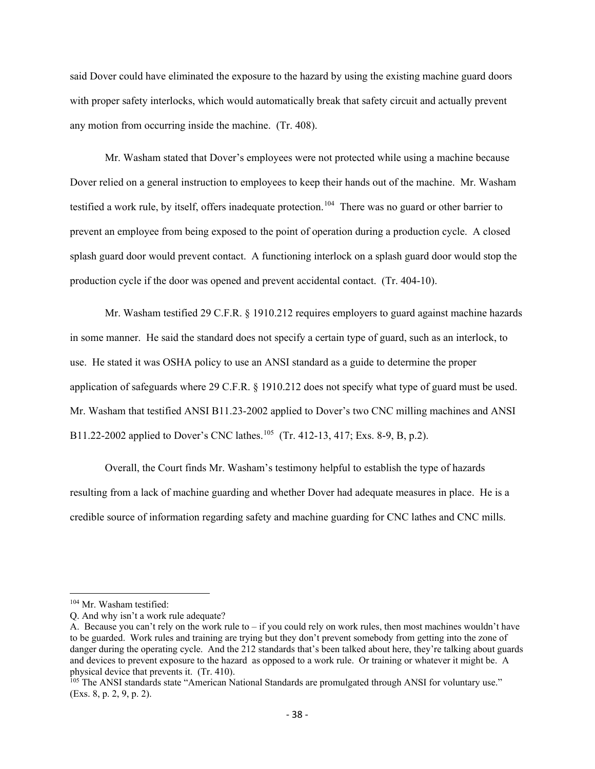said Dover could have eliminated the exposure to the hazard by using the existing machine guard doors with proper safety interlocks, which would automatically break that safety circuit and actually prevent any motion from occurring inside the machine. (Tr. 408).

Mr. Washam stated that Dover's employees were not protected while using a machine because Dover relied on a general instruction to employees to keep their hands out of the machine. Mr. Washam testified a work rule, by itself, offers inadequate protection.<sup>[104](#page-47-0)</sup> There was no guard or other barrier to prevent an employee from being exposed to the point of operation during a production cycle. A closed splash guard door would prevent contact. A functioning interlock on a splash guard door would stop the production cycle if the door was opened and prevent accidental contact. (Tr. 404-10).

Mr. Washam testified 29 C.F.R. § 1910.212 requires employers to guard against machine hazards in some manner. He said the standard does not specify a certain type of guard, such as an interlock, to use. He stated it was OSHA policy to use an ANSI standard as a guide to determine the proper application of safeguards where 29 C.F.R. § 1910.212 does not specify what type of guard must be used. Mr. Washam that testified ANSI B11.23-2002 applied to Dover's two CNC milling machines and ANSI B11.22-2002 applied to Dover's CNC lathes.<sup>[105](#page-47-1)</sup> (Tr. 412-13, 417; Exs. 8-9, B, p.2).

Overall, the Court finds Mr. Washam's testimony helpful to establish the type of hazards resulting from a lack of machine guarding and whether Dover had adequate measures in place. He is a credible source of information regarding safety and machine guarding for CNC lathes and CNC mills.

<span id="page-47-0"></span><sup>104</sup> Mr. Washam testified:

Q. And why isn't a work rule adequate?

A. Because you can't rely on the work rule to – if you could rely on work rules, then most machines wouldn't have to be guarded. Work rules and training are trying but they don't prevent somebody from getting into the zone of danger during the operating cycle. And the 212 standards that's been talked about here, they're talking about guards and devices to prevent exposure to the hazard as opposed to a work rule. Or training or whatever it might be. A physical device that prevents it. (Tr. 410).

<span id="page-47-1"></span><sup>&</sup>lt;sup>105</sup> The ANSI standards state "American National Standards are promulgated through ANSI for voluntary use." (Exs. 8, p. 2, 9, p. 2).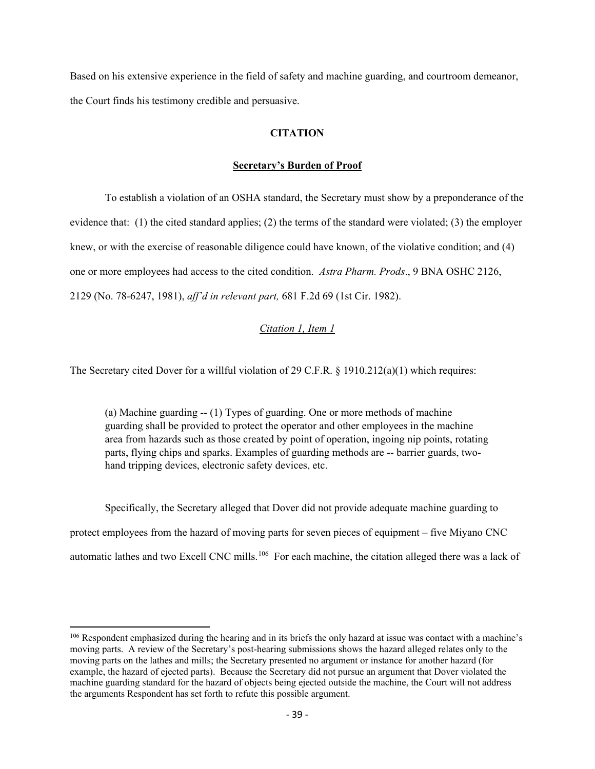Based on his extensive experience in the field of safety and machine guarding, and courtroom demeanor, the Court finds his testimony credible and persuasive.

# **CITATION**

### **Secretary's Burden of Proof**

To establish a violation of an OSHA standard, the Secretary must show by a preponderance of the evidence that: (1) the cited standard applies; (2) the terms of the standard were violated; (3) the employer knew, or with the exercise of reasonable diligence could have known, of the violative condition; and (4) one or more employees had access to the cited condition. *Astra Pharm. Prods*., 9 BNA OSHC 2126, 2129 (No. 78-6247, 1981), *aff'd in relevant part,* 681 F.2d 69 (1st Cir. 1982).

### *Citation 1, Item 1*

The Secretary cited Dover for a willful violation of 29 C.F.R. § 1910.212(a)(1) which requires:

(a) Machine guarding -- (1) Types of guarding. One or more methods of machine guarding shall be provided to protect the operator and other employees in the machine area from hazards such as those created by point of operation, ingoing nip points, rotating parts, flying chips and sparks. Examples of guarding methods are -- barrier guards, twohand tripping devices, electronic safety devices, etc.

Specifically, the Secretary alleged that Dover did not provide adequate machine guarding to protect employees from the hazard of moving parts for seven pieces of equipment – five Miyano CNC automatic lathes and two Excell CNC mills.<sup>106</sup> For each machine, the citation alleged there was a lack of

<span id="page-48-0"></span><sup>106</sup> Respondent emphasized during the hearing and in its briefs the only hazard at issue was contact with a machine's moving parts. A review of the Secretary's post-hearing submissions shows the hazard alleged relates only to the moving parts on the lathes and mills; the Secretary presented no argument or instance for another hazard (for example, the hazard of ejected parts). Because the Secretary did not pursue an argument that Dover violated the machine guarding standard for the hazard of objects being ejected outside the machine, the Court will not address the arguments Respondent has set forth to refute this possible argument.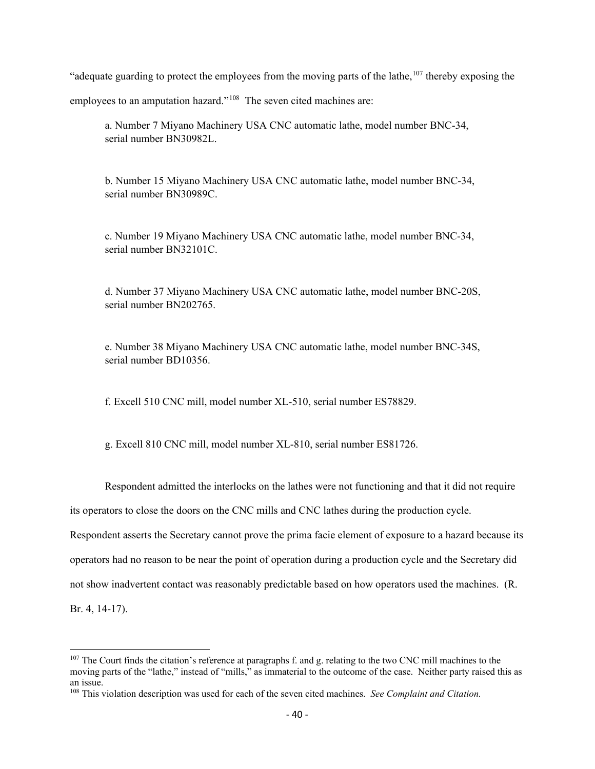"adequate guarding to protect the employees from the moving parts of the lathe, $107$  thereby exposing the

employees to an amputation hazard."<sup>108</sup> The seven cited machines are:

a. Number 7 Miyano Machinery USA CNC automatic lathe, model number BNC-34, serial number BN30982L.

b. Number 15 Miyano Machinery USA CNC automatic lathe, model number BNC-34, serial number BN30989C.

c. Number 19 Miyano Machinery USA CNC automatic lathe, model number BNC-34, serial number BN32101C.

d. Number 37 Miyano Machinery USA CNC automatic lathe, model number BNC-20S, serial number BN202765.

e. Number 38 Miyano Machinery USA CNC automatic lathe, model number BNC-34S, serial number BD10356.

f. Excell 510 CNC mill, model number XL-510, serial number ES78829.

g. Excell 810 CNC mill, model number XL-810, serial number ES81726.

Respondent admitted the interlocks on the lathes were not functioning and that it did not require

its operators to close the doors on the CNC mills and CNC lathes during the production cycle.

Respondent asserts the Secretary cannot prove the prima facie element of exposure to a hazard because its operators had no reason to be near the point of operation during a production cycle and the Secretary did not show inadvertent contact was reasonably predictable based on how operators used the machines. (R. Br. 4, 14-17).

<span id="page-49-0"></span> $107$  The Court finds the citation's reference at paragraphs f. and g. relating to the two CNC mill machines to the moving parts of the "lathe," instead of "mills," as immaterial to the outcome of the case. Neither party raised this as an issue.

<span id="page-49-1"></span><sup>108</sup> This violation description was used for each of the seven cited machines. *See Complaint and Citation.*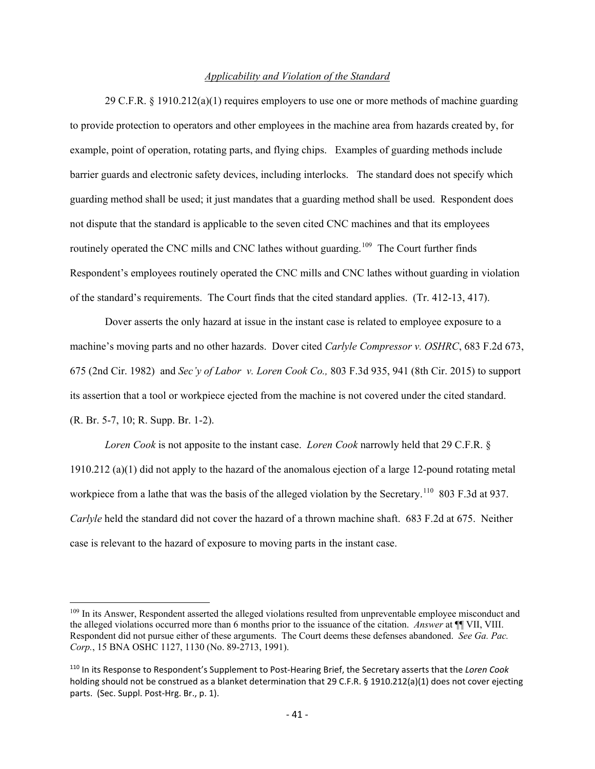#### *Applicability and Violation of the Standard*

29 C.F.R. § 1910.212(a)(1) requires employers to use one or more methods of machine guarding to provide protection to operators and other employees in the machine area from hazards created by, for example, point of operation, rotating parts, and flying chips. Examples of guarding methods include barrier guards and electronic safety devices, including interlocks. The standard does not specify which guarding method shall be used; it just mandates that a guarding method shall be used. Respondent does not dispute that the standard is applicable to the seven cited CNC machines and that its employees routinely operated the CNC mills and CNC lathes without guarding.<sup>[109](#page-50-0)</sup> The Court further finds Respondent's employees routinely operated the CNC mills and CNC lathes without guarding in violation of the standard's requirements. The Court finds that the cited standard applies. (Tr. 412-13, 417).

Dover asserts the only hazard at issue in the instant case is related to employee exposure to a machine's moving parts and no other hazards. Dover cited *Carlyle Compressor v. OSHRC*, 683 F.2d 673, 675 (2nd Cir. 1982) and *Sec'y of Labor v. Loren Cook Co.,* 803 F.3d 935, 941 (8th Cir. 2015) to support its assertion that a tool or workpiece ejected from the machine is not covered under the cited standard. (R. Br. 5-7, 10; R. Supp. Br. 1-2).

*Loren Cook* is not apposite to the instant case. *Loren Cook* narrowly held that 29 C.F.R. § 1910.212 (a)(1) did not apply to the hazard of the anomalous ejection of a large 12-pound rotating metal workpiece from a lathe that was the basis of the alleged violation by the Secretary.<sup>[110](#page-50-1)</sup> 803 F.3d at 937. *Carlyle* held the standard did not cover the hazard of a thrown machine shaft. 683 F.2d at 675. Neither case is relevant to the hazard of exposure to moving parts in the instant case.

<span id="page-50-0"></span><sup>&</sup>lt;sup>109</sup> In its Answer, Respondent asserted the alleged violations resulted from unpreventable employee misconduct and the alleged violations occurred more than 6 months prior to the issuance of the citation. *Answer* at ¶¶ VII, VIII. Respondent did not pursue either of these arguments. The Court deems these defenses abandoned. *[See Ga. Pac.](http://web2.westlaw.com/find/default.wl?mt=FederalGovernment&db=0003227&rs=WLW13.04&tc=-1&rp=%2ffind%2fdefault.wl&findtype=Y&ordoc=2009427901&serialnum=1991434471&vr=2.0&fn=_top&sv=Split&tf=-1&referencepositiontype=S&pbc=0CD84A80&referenceposition=1130&utid=1)  Corp.*[, 15 BNA OSHC 1127, 1130 \(No. 89-2713, 1991\).](http://web2.westlaw.com/find/default.wl?mt=FederalGovernment&db=0003227&rs=WLW13.04&tc=-1&rp=%2ffind%2fdefault.wl&findtype=Y&ordoc=2009427901&serialnum=1991434471&vr=2.0&fn=_top&sv=Split&tf=-1&referencepositiontype=S&pbc=0CD84A80&referenceposition=1130&utid=1)

<span id="page-50-1"></span><sup>110</sup> In its Response to Respondent's Supplement to Post-Hearing Brief, the Secretary asserts that the *Loren Cook* holding should not be construed as a blanket determination that 29 C.F.R. § 1910.212(a)(1) does not cover ejecting parts. (Sec. Suppl. Post-Hrg. Br., p. 1).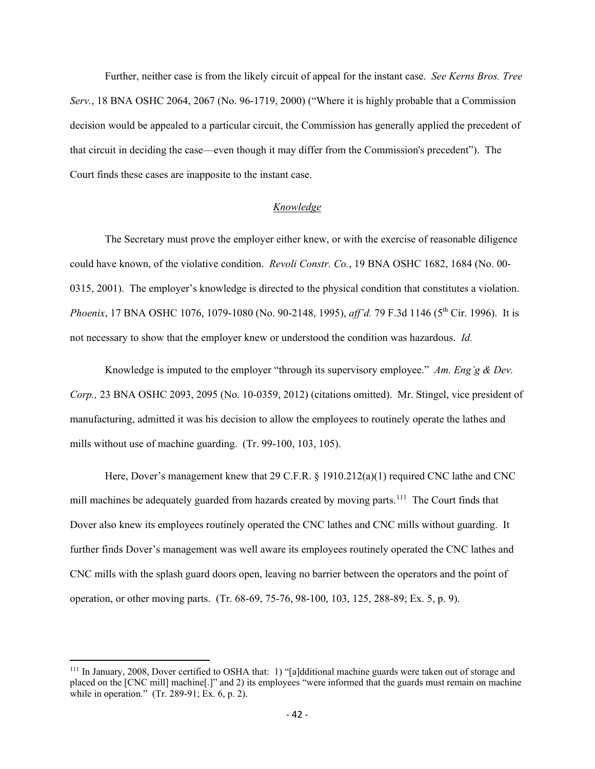Further, neither case is from the likely circuit of appeal for the instant case. *See Kerns Bros. Tree Serv.*, 18 BNA OSHC 2064, 2067 (No. 96-1719, 2000) ("Where it is highly probable that a Commission decision would be appealed to a particular circuit, the Commission has generally applied the precedent of that circuit in deciding the case—even though it may differ from the Commission's precedent"). The Court finds these cases are inapposite to the instant case.

#### *Knowledge*

The Secretary must prove the employer either knew, or with the exercise of reasonable diligence could have known, of the violative condition. *Revoli Constr. Co.*, 19 BNA OSHC 1682, 1684 (No. 00- 0315, 2001). The employer's knowledge is directed to the physical condition that constitutes a violation. *Phoenix*, 17 BNA OSHC 1076, 1079-1080 (No. 90-2148, 1995), *aff'd.* 79 F.3d 1146 (5th Cir. 1996). It is not necessary to show that the employer knew or understood the condition was hazardous. *Id.*

Knowledge is imputed to the employer "through its supervisory employee." *Am. Eng'g & Dev. Corp.,* 23 BNA OSHC 2093, 2095 (No. 10-0359, 2012) (citations omitted). Mr. Stingel, vice president of manufacturing, admitted it was his decision to allow the employees to routinely operate the lathes and mills without use of machine guarding. (Tr. 99-100, 103, 105).

Here, Dover's management knew that 29 C.F.R. § 1910.212(a)(1) required CNC lathe and CNC mill machines be adequately guarded from hazards created by moving parts.<sup>111</sup> The Court finds that Dover also knew its employees routinely operated the CNC lathes and CNC mills without guarding. It further finds Dover's management was well aware its employees routinely operated the CNC lathes and CNC mills with the splash guard doors open, leaving no barrier between the operators and the point of operation, or other moving parts. (Tr. 68-69, 75-76, 98-100, 103, 125, 288-89; Ex. 5, p. 9).

<span id="page-51-0"></span><sup>111</sup> In January, 2008, Dover certified to OSHA that: 1) "[a]dditional machine guards were taken out of storage and placed on the [CNC mill] machine[.]" and 2) its employees "were informed that the guards must remain on machine while in operation." (Tr. 289-91; Ex. 6, p. 2).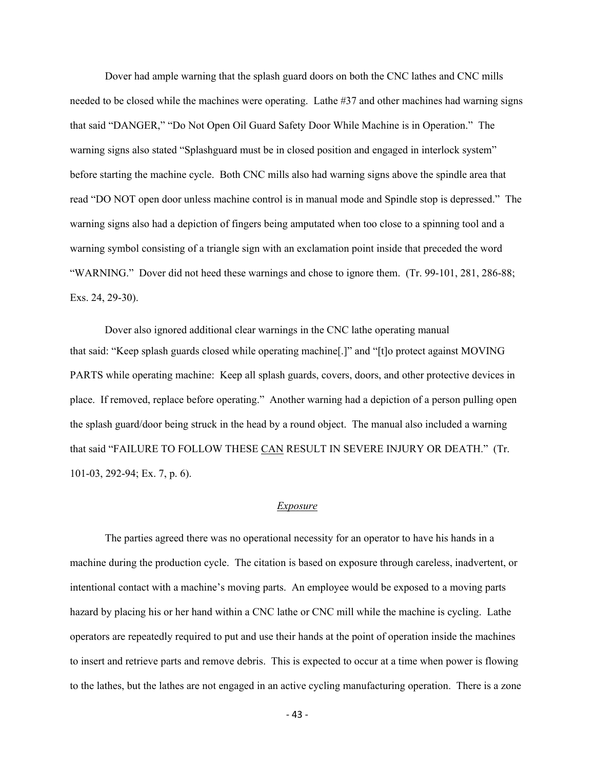Dover had ample warning that the splash guard doors on both the CNC lathes and CNC mills needed to be closed while the machines were operating. Lathe #37 and other machines had warning signs that said "DANGER," "Do Not Open Oil Guard Safety Door While Machine is in Operation." The warning signs also stated "Splashguard must be in closed position and engaged in interlock system" before starting the machine cycle. Both CNC mills also had warning signs above the spindle area that read "DO NOT open door unless machine control is in manual mode and Spindle stop is depressed." The warning signs also had a depiction of fingers being amputated when too close to a spinning tool and a warning symbol consisting of a triangle sign with an exclamation point inside that preceded the word "WARNING." Dover did not heed these warnings and chose to ignore them. (Tr. 99-101, 281, 286-88; Exs. 24, 29-30).

Dover also ignored additional clear warnings in the CNC lathe operating manual that said: "Keep splash guards closed while operating machine[.]" and "[t]o protect against MOVING PARTS while operating machine: Keep all splash guards, covers, doors, and other protective devices in place. If removed, replace before operating." Another warning had a depiction of a person pulling open the splash guard/door being struck in the head by a round object. The manual also included a warning that said "FAILURE TO FOLLOW THESE CAN RESULT IN SEVERE INJURY OR DEATH." (Tr. 101-03, 292-94; Ex. 7, p. 6).

#### *Exposure*

The parties agreed there was no operational necessity for an operator to have his hands in a machine during the production cycle. The citation is based on exposure through careless, inadvertent, or intentional contact with a machine's moving parts. An employee would be exposed to a moving parts hazard by placing his or her hand within a CNC lathe or CNC mill while the machine is cycling. Lathe operators are repeatedly required to put and use their hands at the point of operation inside the machines to insert and retrieve parts and remove debris. This is expected to occur at a time when power is flowing to the lathes, but the lathes are not engaged in an active cycling manufacturing operation. There is a zone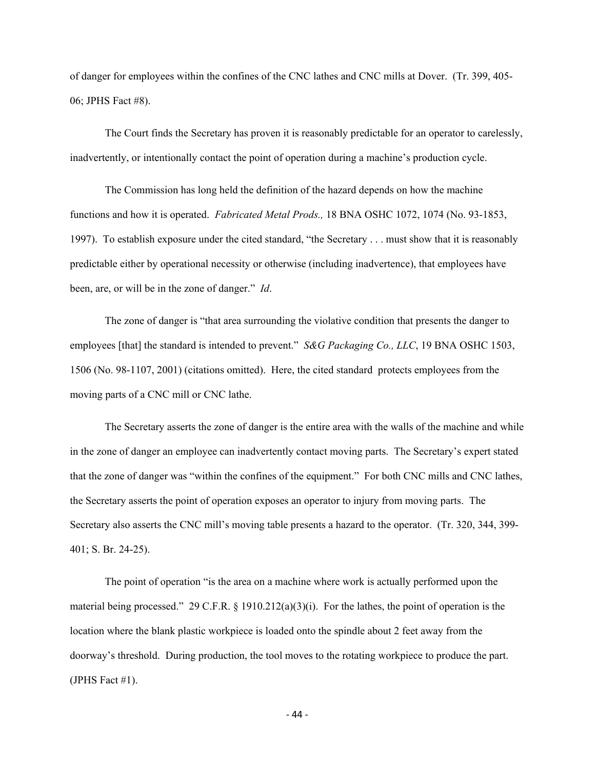of danger for employees within the confines of the CNC lathes and CNC mills at Dover. (Tr. 399, 405- 06; JPHS Fact #8).

The Court finds the Secretary has proven it is reasonably predictable for an operator to carelessly, inadvertently, or intentionally contact the point of operation during a machine's production cycle.

The Commission has long held the definition of the hazard depends on how the machine functions and how it is operated. *Fabricated Metal Prods.,* 18 BNA OSHC 1072, 1074 (No. 93-1853, 1997). To establish exposure under the cited standard, "the Secretary . . . must show that it is reasonably predictable either by operational necessity or otherwise (including inadvertence), that employees have been, are, or will be in the zone of danger." *Id*.

The zone of danger is "that area surrounding the violative condition that presents the danger to employees [that] the standard is intended to prevent." *S&G Packaging Co., LLC*, 19 BNA OSHC 1503, 1506 (No. 98-1107, 2001) (citations omitted). Here, the cited standard protects employees from the moving parts of a CNC mill or CNC lathe.

The Secretary asserts the zone of danger is the entire area with the walls of the machine and while in the zone of danger an employee can inadvertently contact moving parts. The Secretary's expert stated that the zone of danger was "within the confines of the equipment." For both CNC mills and CNC lathes, the Secretary asserts the point of operation exposes an operator to injury from moving parts. The Secretary also asserts the CNC mill's moving table presents a hazard to the operator. (Tr. 320, 344, 399- 401; S. Br. 24-25).

The point of operation "is the area on a machine where work is actually performed upon the material being processed." 29 C.F.R. § 1910.212(a)(3)(i). For the lathes, the point of operation is the location where the blank plastic workpiece is loaded onto the spindle about 2 feet away from the doorway's threshold. During production, the tool moves to the rotating workpiece to produce the part. (JPHS Fact #1).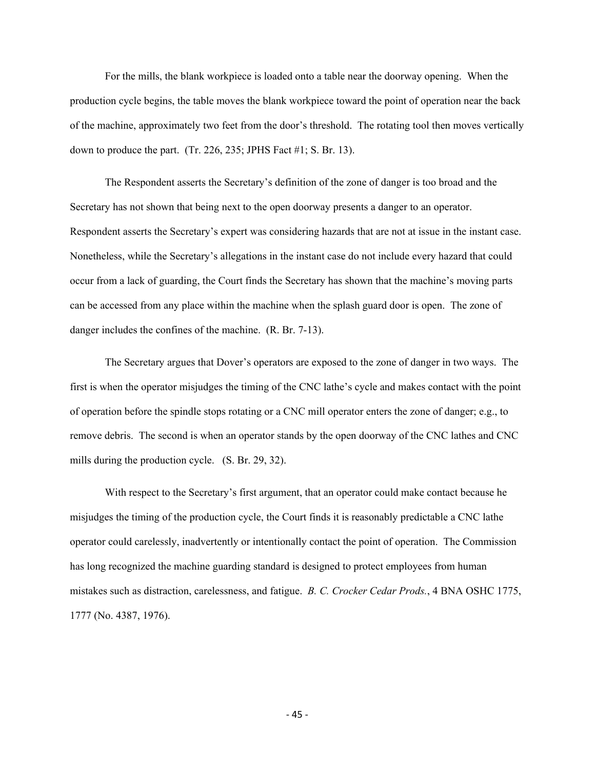For the mills, the blank workpiece is loaded onto a table near the doorway opening. When the production cycle begins, the table moves the blank workpiece toward the point of operation near the back of the machine, approximately two feet from the door's threshold. The rotating tool then moves vertically down to produce the part. (Tr. 226, 235; JPHS Fact #1; S. Br. 13).

The Respondent asserts the Secretary's definition of the zone of danger is too broad and the Secretary has not shown that being next to the open doorway presents a danger to an operator. Respondent asserts the Secretary's expert was considering hazards that are not at issue in the instant case. Nonetheless, while the Secretary's allegations in the instant case do not include every hazard that could occur from a lack of guarding, the Court finds the Secretary has shown that the machine's moving parts can be accessed from any place within the machine when the splash guard door is open. The zone of danger includes the confines of the machine. (R. Br. 7-13).

The Secretary argues that Dover's operators are exposed to the zone of danger in two ways. The first is when the operator misjudges the timing of the CNC lathe's cycle and makes contact with the point of operation before the spindle stops rotating or a CNC mill operator enters the zone of danger; e.g., to remove debris. The second is when an operator stands by the open doorway of the CNC lathes and CNC mills during the production cycle. (S. Br. 29, 32).

With respect to the Secretary's first argument, that an operator could make contact because he misjudges the timing of the production cycle, the Court finds it is reasonably predictable a CNC lathe operator could carelessly, inadvertently or intentionally contact the point of operation. The Commission has long recognized the machine guarding standard is designed to protect employees from human mistakes such as distraction, carelessness, and fatigue. *B. C. Crocker Cedar Prods.*, 4 BNA OSHC 1775, 1777 (No. 4387, 1976).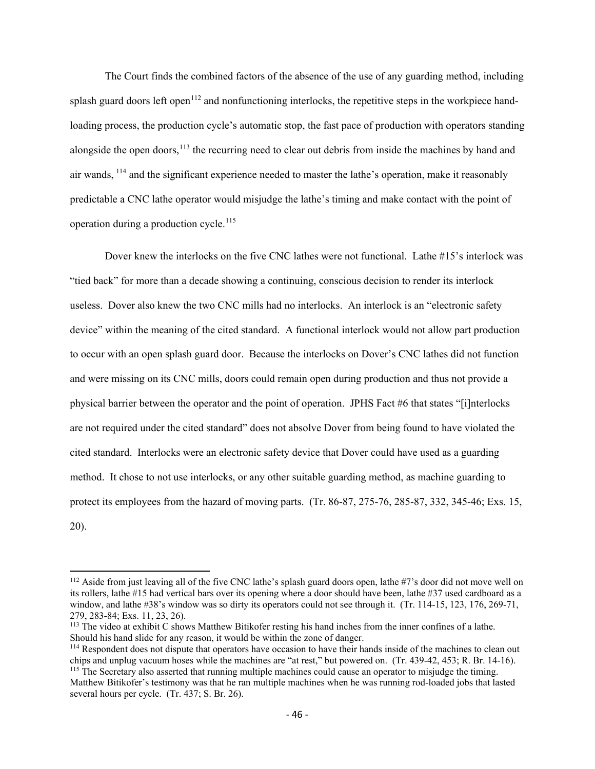The Court finds the combined factors of the absence of the use of any guarding method, including splash guard doors left open<sup>[112](#page-55-0)</sup> and nonfunctioning interlocks, the repetitive steps in the workpiece handloading process, the production cycle's automatic stop, the fast pace of production with operators standing alongside the open doors,<sup>[113](#page-55-1)</sup> the recurring need to clear out debris from inside the machines by hand and air wands, [114](#page-55-2) and the significant experience needed to master the lathe's operation, make it reasonably predictable a CNC lathe operator would misjudge the lathe's timing and make contact with the point of operation during a production cycle.<sup>115</sup>

Dover knew the interlocks on the five CNC lathes were not functional. Lathe #15's interlock was "tied back" for more than a decade showing a continuing, conscious decision to render its interlock useless. Dover also knew the two CNC mills had no interlocks. An interlock is an "electronic safety device" within the meaning of the cited standard. A functional interlock would not allow part production to occur with an open splash guard door. Because the interlocks on Dover's CNC lathes did not function and were missing on its CNC mills, doors could remain open during production and thus not provide a physical barrier between the operator and the point of operation. JPHS Fact #6 that states "[i]nterlocks are not required under the cited standard" does not absolve Dover from being found to have violated the cited standard. Interlocks were an electronic safety device that Dover could have used as a guarding method. It chose to not use interlocks, or any other suitable guarding method, as machine guarding to protect its employees from the hazard of moving parts. (Tr. 86-87, 275-76, 285-87, 332, 345-46; Exs. 15, 20).

<span id="page-55-0"></span><sup>&</sup>lt;sup>112</sup> Aside from just leaving all of the five CNC lathe's splash guard doors open, lathe #7's door did not move well on its rollers, lathe #15 had vertical bars over its opening where a door should have been, lathe #37 used cardboard as a window, and lathe #38's window was so dirty its operators could not see through it. (Tr. 114-15, 123, 176, 269-71, 279, 283-84; Exs. 11, 23, 26).

<span id="page-55-1"></span><sup>113</sup> The video at exhibit C shows Matthew Bitikofer resting his hand inches from the inner confines of a lathe. Should his hand slide for any reason, it would be within the zone of danger.

<span id="page-55-2"></span><sup>&</sup>lt;sup>114</sup> Respondent does not dispute that operators have occasion to have their hands inside of the machines to clean out chips and unplug vacuum hoses while the machines are "at rest," but powered on. (Tr. 439-42, 453; R. Br. 14-16). <sup>115</sup> The Secretary also asserted that running multiple machines could cause an operator to misjudge the timing.

<span id="page-55-3"></span>Matthew Bitikofer's testimony was that he ran multiple machines when he was running rod-loaded jobs that lasted several hours per cycle. (Tr. 437; S. Br. 26).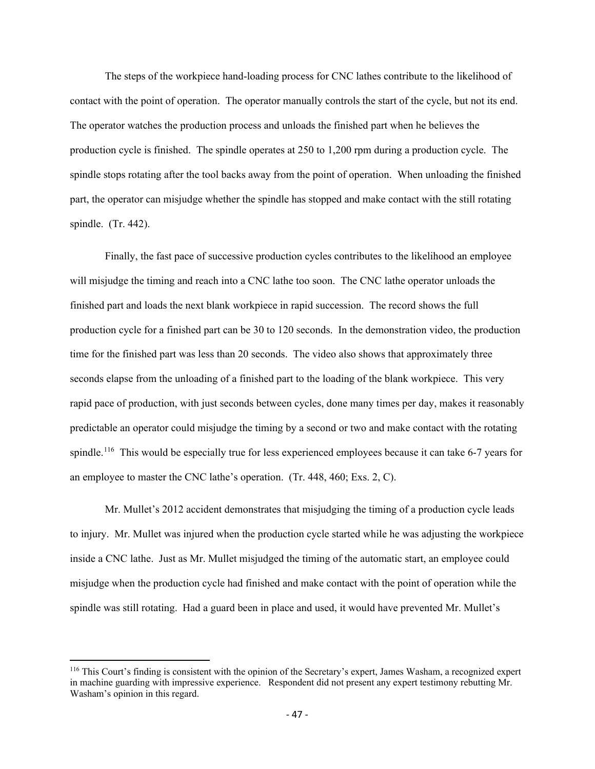The steps of the workpiece hand-loading process for CNC lathes contribute to the likelihood of contact with the point of operation. The operator manually controls the start of the cycle, but not its end. The operator watches the production process and unloads the finished part when he believes the production cycle is finished. The spindle operates at 250 to 1,200 rpm during a production cycle. The spindle stops rotating after the tool backs away from the point of operation. When unloading the finished part, the operator can misjudge whether the spindle has stopped and make contact with the still rotating spindle. (Tr. 442).

Finally, the fast pace of successive production cycles contributes to the likelihood an employee will misjudge the timing and reach into a CNC lathe too soon. The CNC lathe operator unloads the finished part and loads the next blank workpiece in rapid succession. The record shows the full production cycle for a finished part can be 30 to 120 seconds. In the demonstration video, the production time for the finished part was less than 20 seconds. The video also shows that approximately three seconds elapse from the unloading of a finished part to the loading of the blank workpiece. This very rapid pace of production, with just seconds between cycles, done many times per day, makes it reasonably predictable an operator could misjudge the timing by a second or two and make contact with the rotating spindle.<sup>116</sup> This would be especially true for less experienced employees because it can take 6-7 years for an employee to master the CNC lathe's operation. (Tr. 448, 460; Exs. 2, C).

Mr. Mullet's 2012 accident demonstrates that misjudging the timing of a production cycle leads to injury. Mr. Mullet was injured when the production cycle started while he was adjusting the workpiece inside a CNC lathe. Just as Mr. Mullet misjudged the timing of the automatic start, an employee could misjudge when the production cycle had finished and make contact with the point of operation while the spindle was still rotating. Had a guard been in place and used, it would have prevented Mr. Mullet's

<span id="page-56-0"></span><sup>116</sup> This Court's finding is consistent with the opinion of the Secretary's expert, James Washam, a recognized expert in machine guarding with impressive experience. Respondent did not present any expert testimony rebutting Mr. Washam's opinion in this regard.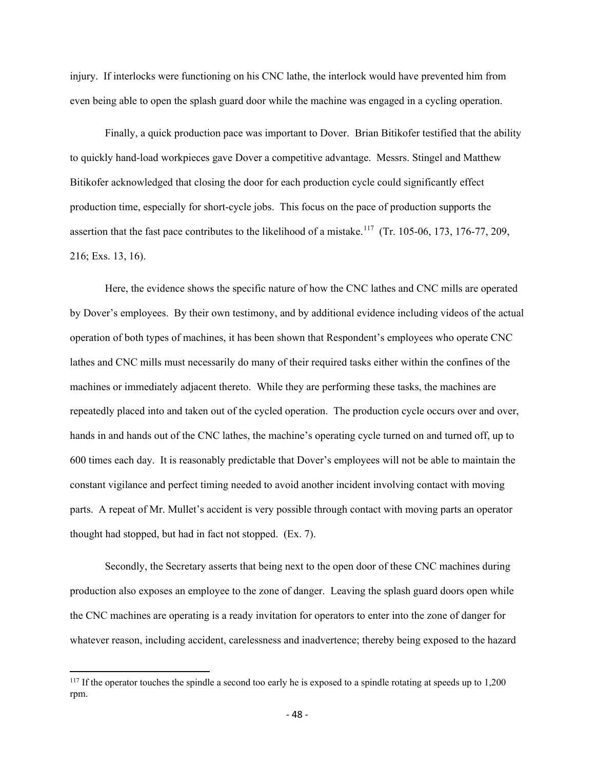injury. If interlocks were functioning on his CNC lathe, the interlock would have prevented him from even being able to open the splash guard door while the machine was engaged in a cycling operation.

Finally, a quick production pace was important to Dover. Brian Bitikofer testified that the ability to quickly hand-load workpieces gave Dover a competitive advantage. Messrs. Stingel and Matthew Bitikofer acknowledged that closing the door for each production cycle could significantly effect production time, especially for short-cycle jobs. This focus on the pace of production supports the assertion that the fast pace contributes to the likelihood of a mistake.<sup>117</sup> (Tr. 105-06, 173, 176-77, 209, 216; Exs. 13, 16).

Here, the evidence shows the specific nature of how the CNC lathes and CNC mills are operated by Dover's employees. By their own testimony, and by additional evidence including videos of the actual operation of both types of machines, it has been shown that Respondent's employees who operate CNC lathes and CNC mills must necessarily do many of their required tasks either within the confines of the machines or immediately adjacent thereto. While they are performing these tasks, the machines are repeatedly placed into and taken out of the cycled operation. The production cycle occurs over and over, hands in and hands out of the CNC lathes, the machine's operating cycle turned on and turned off, up to 600 times each day. It is reasonably predictable that Dover's employees will not be able to maintain the constant vigilance and perfect timing needed to avoid another incident involving contact with moving parts. A repeat of Mr. Mullet's accident is very possible through contact with moving parts an operator thought had stopped, but had in fact not stopped. (Ex. 7).

Secondly, the Secretary asserts that being next to the open door of these CNC machines during production also exposes an employee to the zone of danger. Leaving the splash guard doors open while the CNC machines are operating is a ready invitation for operators to enter into the zone of danger for whatever reason, including accident, carelessness and inadvertence; thereby being exposed to the hazard

<span id="page-57-0"></span><sup>&</sup>lt;sup>117</sup> If the operator touches the spindle a second too early he is exposed to a spindle rotating at speeds up to 1,200 rpm.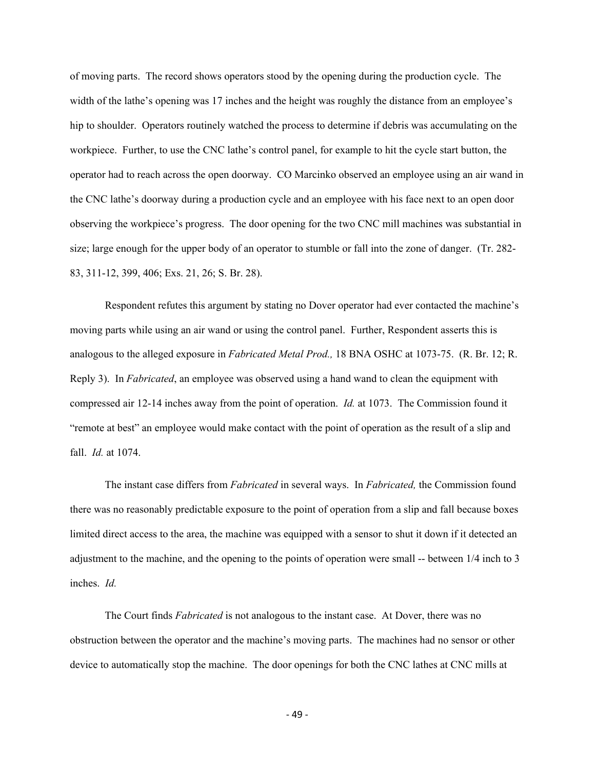of moving parts. The record shows operators stood by the opening during the production cycle. The width of the lathe's opening was 17 inches and the height was roughly the distance from an employee's hip to shoulder. Operators routinely watched the process to determine if debris was accumulating on the workpiece. Further, to use the CNC lathe's control panel, for example to hit the cycle start button, the operator had to reach across the open doorway. CO Marcinko observed an employee using an air wand in the CNC lathe's doorway during a production cycle and an employee with his face next to an open door observing the workpiece's progress. The door opening for the two CNC mill machines was substantial in size; large enough for the upper body of an operator to stumble or fall into the zone of danger. (Tr. 282- 83, 311-12, 399, 406; Exs. 21, 26; S. Br. 28).

Respondent refutes this argument by stating no Dover operator had ever contacted the machine's moving parts while using an air wand or using the control panel. Further, Respondent asserts this is analogous to the alleged exposure in *Fabricated Metal Prod.,* 18 BNA OSHC at 1073-75. (R. Br. 12; R. Reply 3). In *Fabricated*, an employee was observed using a hand wand to clean the equipment with compressed air 12-14 inches away from the point of operation. *Id.* at 1073. The Commission found it "remote at best" an employee would make contact with the point of operation as the result of a slip and fall. *Id.* at 1074.

The instant case differs from *Fabricated* in several ways. In *Fabricated,* the Commission found there was no reasonably predictable exposure to the point of operation from a slip and fall because boxes limited direct access to the area, the machine was equipped with a sensor to shut it down if it detected an adjustment to the machine, and the opening to the points of operation were small -- between 1/4 inch to 3 inches. *Id.*

The Court finds *Fabricated* is not analogous to the instant case. At Dover, there was no obstruction between the operator and the machine's moving parts. The machines had no sensor or other device to automatically stop the machine. The door openings for both the CNC lathes at CNC mills at

- 49 -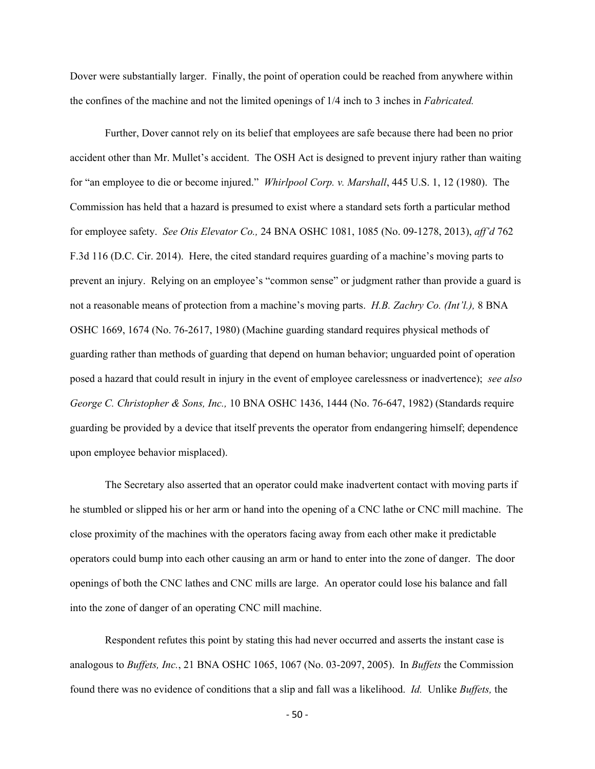Dover were substantially larger. Finally, the point of operation could be reached from anywhere within the confines of the machine and not the limited openings of 1/4 inch to 3 inches in *Fabricated.*

Further, Dover cannot rely on its belief that employees are safe because there had been no prior accident other than Mr. Mullet's accident. The OSH Act is designed to prevent injury rather than waiting for "an employee to die or become injured." *Whirlpool Corp. v. Marshall*, 445 U.S. 1, 12 (1980). The Commission has held that a hazard is presumed to exist where a standard sets forth a particular method for employee safety. *See Otis Elevator Co.,* 24 BNA OSHC 1081, 1085 (No. 09-1278, 2013), *aff'd* 762 F.3d 116 (D.C. Cir. 2014). Here, the cited standard requires guarding of a machine's moving parts to prevent an injury. Relying on an employee's "common sense" or judgment rather than provide a guard is not a reasonable means of protection from a machine's moving parts. *H.B. Zachry Co. (Int'l.),* 8 BNA OSHC 1669, 1674 (No. 76-2617, 1980) (Machine guarding standard requires physical methods of guarding rather than methods of guarding that depend on human behavior; unguarded point of operation posed a hazard that could result in injury in the event of employee carelessness or inadvertence); *see also George C. Christopher & Sons, Inc.,* 10 BNA OSHC 1436, 1444 (No. 76-647, 1982) (Standards require guarding be provided by a device that itself prevents the operator from endangering himself; dependence upon employee behavior misplaced).

The Secretary also asserted that an operator could make inadvertent contact with moving parts if he stumbled or slipped his or her arm or hand into the opening of a CNC lathe or CNC mill machine. The close proximity of the machines with the operators facing away from each other make it predictable operators could bump into each other causing an arm or hand to enter into the zone of danger. The door openings of both the CNC lathes and CNC mills are large. An operator could lose his balance and fall into the zone of danger of an operating CNC mill machine.

Respondent refutes this point by stating this had never occurred and asserts the instant case is analogous to *Buffets, Inc.*, 21 BNA OSHC 1065, 1067 (No. 03-2097, 2005). In *Buffets* the Commission found there was no evidence of conditions that a slip and fall was a likelihood. *Id.* Unlike *Buffets,* the

- 50 -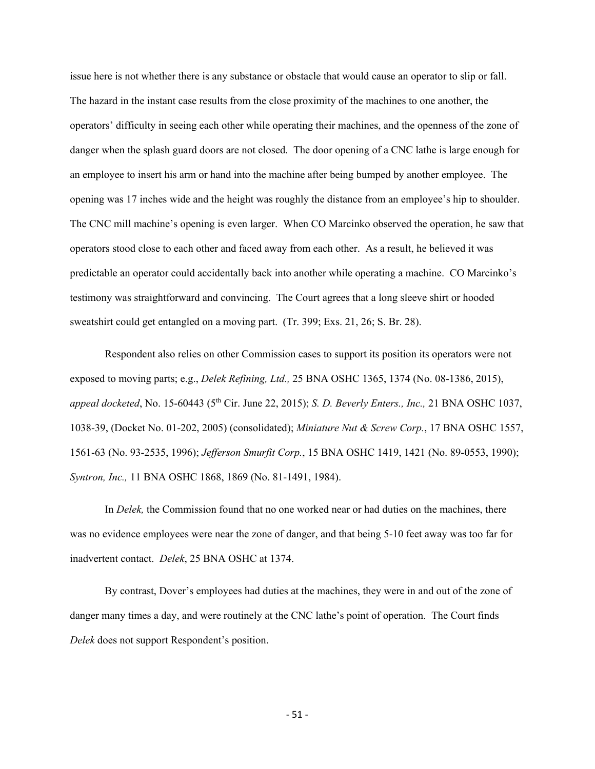issue here is not whether there is any substance or obstacle that would cause an operator to slip or fall. The hazard in the instant case results from the close proximity of the machines to one another, the operators' difficulty in seeing each other while operating their machines, and the openness of the zone of danger when the splash guard doors are not closed. The door opening of a CNC lathe is large enough for an employee to insert his arm or hand into the machine after being bumped by another employee. The opening was 17 inches wide and the height was roughly the distance from an employee's hip to shoulder. The CNC mill machine's opening is even larger. When CO Marcinko observed the operation, he saw that operators stood close to each other and faced away from each other. As a result, he believed it was predictable an operator could accidentally back into another while operating a machine. CO Marcinko's testimony was straightforward and convincing. The Court agrees that a long sleeve shirt or hooded sweatshirt could get entangled on a moving part. (Tr. 399; Exs. 21, 26; S. Br. 28).

Respondent also relies on other Commission cases to support its position its operators were not exposed to moving parts; e.g., *Delek Refining, Ltd.,* 25 BNA OSHC 1365, 1374 (No. 08-1386, 2015), *appeal docketed*, No. 15-60443 (5th Cir. June 22, 2015); *S. D. Beverly Enters., Inc.,* 21 BNA OSHC 1037, 1038-39, (Docket No. 01-202, 2005) (consolidated); *Miniature Nut & Screw Corp.*, 17 BNA OSHC 1557, 1561-63 (No. 93-2535, 1996); *Jefferson Smurfit Corp.*, 15 BNA OSHC 1419, 1421 (No. 89-0553, 1990); *Syntron, Inc.,* 11 BNA OSHC 1868, 1869 (No. 81-1491, 1984).

In *Delek,* the Commission found that no one worked near or had duties on the machines, there was no evidence employees were near the zone of danger, and that being 5-10 feet away was too far for inadvertent contact. *Delek*, 25 BNA OSHC at 1374.

By contrast, Dover's employees had duties at the machines, they were in and out of the zone of danger many times a day, and were routinely at the CNC lathe's point of operation. The Court finds *Delek* does not support Respondent's position.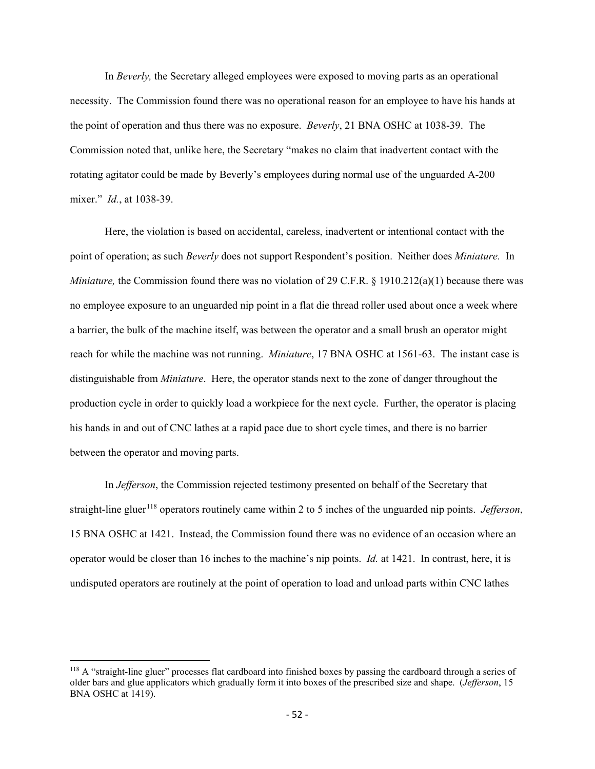In *Beverly,* the Secretary alleged employees were exposed to moving parts as an operational necessity. The Commission found there was no operational reason for an employee to have his hands at the point of operation and thus there was no exposure. *Beverly*, 21 BNA OSHC at 1038-39. The Commission noted that, unlike here, the Secretary "makes no claim that inadvertent contact with the rotating agitator could be made by Beverly's employees during normal use of the unguarded A-200 mixer." *Id.*, at 1038-39.

Here, the violation is based on accidental, careless, inadvertent or intentional contact with the point of operation; as such *Beverly* does not support Respondent's position. Neither does *Miniature.* In *Miniature*, the Commission found there was no violation of 29 C.F.R. § 1910.212(a)(1) because there was no employee exposure to an unguarded nip point in a flat die thread roller used about once a week where a barrier, the bulk of the machine itself, was between the operator and a small brush an operator might reach for while the machine was not running. *Miniature*, 17 BNA OSHC at 1561-63. The instant case is distinguishable from *Miniature*. Here, the operator stands next to the zone of danger throughout the production cycle in order to quickly load a workpiece for the next cycle. Further, the operator is placing his hands in and out of CNC lathes at a rapid pace due to short cycle times, and there is no barrier between the operator and moving parts.

In *Jefferson*, the Commission rejected testimony presented on behalf of the Secretary that straight-line gluer<sup>[118](#page-61-0)</sup> operators routinely came within 2 to 5 inches of the unguarded nip points. *Jefferson*, 15 BNA OSHC at 1421. Instead, the Commission found there was no evidence of an occasion where an operator would be closer than 16 inches to the machine's nip points. *Id.* at 1421. In contrast, here, it is undisputed operators are routinely at the point of operation to load and unload parts within CNC lathes

<span id="page-61-0"></span> $118$  A "straight-line gluer" processes flat cardboard into finished boxes by passing the cardboard through a series of older bars and glue applicators which gradually form it into boxes of the prescribed size and shape. (*Jefferson*, 15 BNA OSHC at 1419).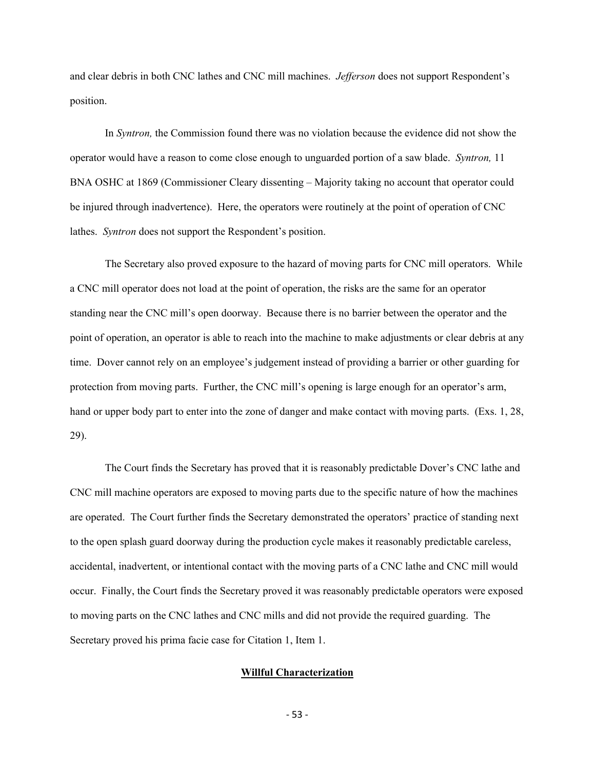and clear debris in both CNC lathes and CNC mill machines. *Jefferson* does not support Respondent's position.

In *Syntron,* the Commission found there was no violation because the evidence did not show the operator would have a reason to come close enough to unguarded portion of a saw blade. *Syntron,* 11 BNA OSHC at 1869 (Commissioner Cleary dissenting – Majority taking no account that operator could be injured through inadvertence). Here, the operators were routinely at the point of operation of CNC lathes. *Syntron* does not support the Respondent's position.

The Secretary also proved exposure to the hazard of moving parts for CNC mill operators. While a CNC mill operator does not load at the point of operation, the risks are the same for an operator standing near the CNC mill's open doorway. Because there is no barrier between the operator and the point of operation, an operator is able to reach into the machine to make adjustments or clear debris at any time. Dover cannot rely on an employee's judgement instead of providing a barrier or other guarding for protection from moving parts. Further, the CNC mill's opening is large enough for an operator's arm, hand or upper body part to enter into the zone of danger and make contact with moving parts. (Exs. 1, 28, 29).

The Court finds the Secretary has proved that it is reasonably predictable Dover's CNC lathe and CNC mill machine operators are exposed to moving parts due to the specific nature of how the machines are operated. The Court further finds the Secretary demonstrated the operators' practice of standing next to the open splash guard doorway during the production cycle makes it reasonably predictable careless, accidental, inadvertent, or intentional contact with the moving parts of a CNC lathe and CNC mill would occur. Finally, the Court finds the Secretary proved it was reasonably predictable operators were exposed to moving parts on the CNC lathes and CNC mills and did not provide the required guarding. The Secretary proved his prima facie case for Citation 1, Item 1.

## **Willful Characterization**

- 53 -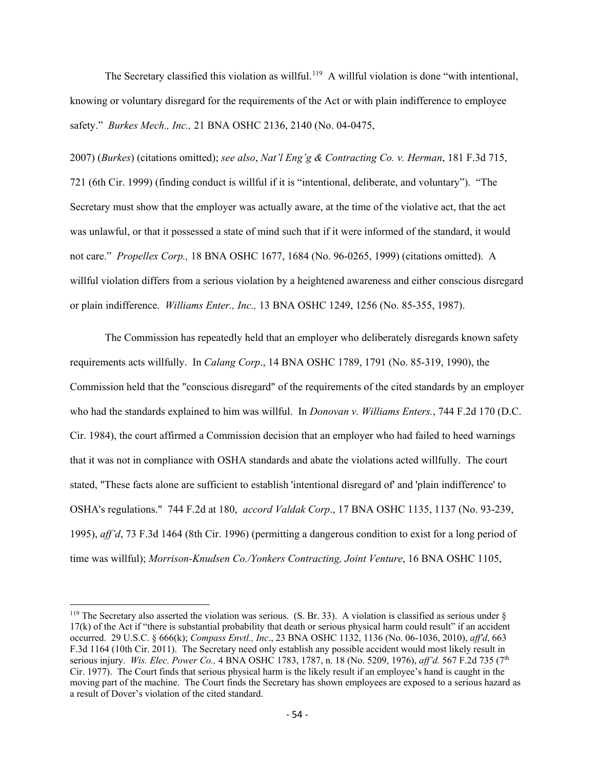The Secretary classified this violation as willful.<sup>[119](#page-63-0)</sup> A willful violation is done "with intentional, knowing or voluntary disregard for the requirements of the Act or with plain indifference to employee safety." *Burkes Mech., Inc.,* 21 BNA OSHC 2136, 2140 (No. 04-0475,

2007) (*Burkes*) (citations omitted); *see also*, *Nat'l Eng'g & Contracting Co. v. Herman*, 181 F.3d 715, 721 (6th Cir. 1999) (finding conduct is willful if it is "intentional, deliberate, and voluntary"). "The Secretary must show that the employer was actually aware, at the time of the violative act, that the act was unlawful, or that it possessed a state of mind such that if it were informed of the standard, it would not care." *Propellex Corp.,* 18 BNA OSHC 1677, 1684 (No. 96-0265, 1999) (citations omitted). A willful violation differs from a serious violation by a heightened awareness and either conscious disregard or plain indifference. *Williams Enter., Inc.,* 13 BNA OSHC 1249, 1256 (No. 85-355, 1987).

The Commission has repeatedly held that an employer who deliberately disregards known safety requirements acts willfully. In *Calang Corp*., 14 BNA OSHC 1789, 1791 (No. 85-319, 1990), the Commission held that the "conscious disregard" of the requirements of the cited standards by an employer who had the standards explained to him was willful. In *Donovan v. Williams Enters.*, 744 F.2d 170 (D.C. Cir. 1984), the court affirmed a Commission decision that an employer who had failed to heed warnings that it was not in compliance with OSHA standards and abate the violations acted willfully. The court stated, "These facts alone are sufficient to establish 'intentional disregard of' and 'plain indifference' to OSHA's regulations." 744 F.2d at 180, *accord Valdak Corp*., 17 BNA OSHC 1135, 1137 (No. 93-239, 1995), *aff'd*, 73 F.3d 1464 (8th Cir. 1996) (permitting a dangerous condition to exist for a long period of time was willful); *Morrison-Knudsen Co./Yonkers Contracting, Joint Venture*, 16 BNA OSHC 1105,

<span id="page-63-0"></span><sup>&</sup>lt;sup>119</sup> The Secretary also asserted the violation was serious. (S. Br. 33). A violation is classified as serious under  $\delta$ 17(k) of the Act if "there is substantial probability that death or serious physical harm could result" if an accident occurred. 29 U.S.C. § 666(k); *Compass Envtl., Inc*., 23 BNA OSHC 1132, 1136 (No. 06-1036, 2010), *aff'd*, 663 F.3d 1164 (10th Cir. 2011). The Secretary need only establish any possible accident would most likely result in serious injury. *Wis. Elec. Power Co.,* 4 BNA OSHC 1783, 1787, n. 18 (No. 5209, 1976), *aff'd.* 567 F.2d 735 (7th Cir. 1977). The Court finds that serious physical harm is the likely result if an employee's hand is caught in the moving part of the machine. The Court finds the Secretary has shown employees are exposed to a serious hazard as a result of Dover's violation of the cited standard.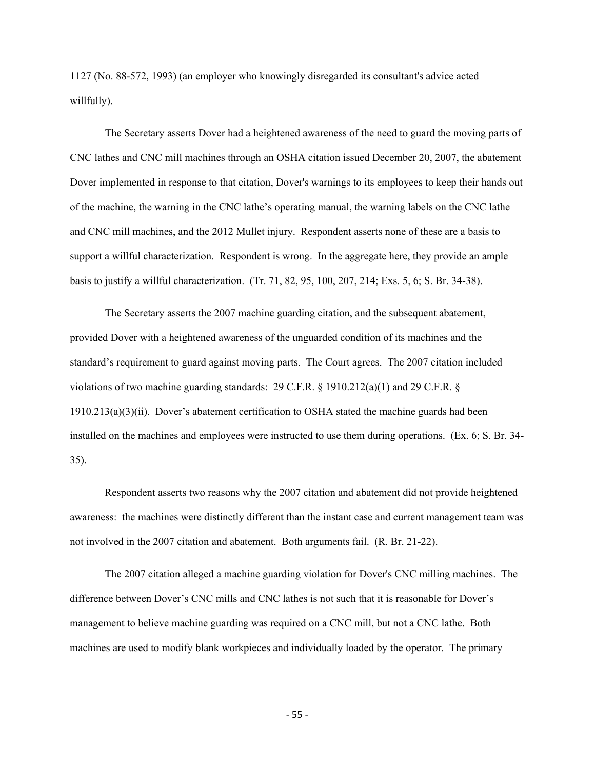1127 (No. 88-572, 1993) (an employer who knowingly disregarded its consultant's advice acted willfully).

The Secretary asserts Dover had a heightened awareness of the need to guard the moving parts of CNC lathes and CNC mill machines through an OSHA citation issued December 20, 2007, the abatement Dover implemented in response to that citation, Dover's warnings to its employees to keep their hands out of the machine, the warning in the CNC lathe's operating manual, the warning labels on the CNC lathe and CNC mill machines, and the 2012 Mullet injury. Respondent asserts none of these are a basis to support a willful characterization. Respondent is wrong. In the aggregate here, they provide an ample basis to justify a willful characterization. (Tr. 71, 82, 95, 100, 207, 214; Exs. 5, 6; S. Br. 34-38).

The Secretary asserts the 2007 machine guarding citation, and the subsequent abatement, provided Dover with a heightened awareness of the unguarded condition of its machines and the standard's requirement to guard against moving parts. The Court agrees. The 2007 citation included violations of two machine guarding standards: 29 C.F.R.  $\S$  1910.212(a)(1) and 29 C.F.R.  $\S$ 1910.213(a)(3)(ii). Dover's abatement certification to OSHA stated the machine guards had been installed on the machines and employees were instructed to use them during operations. (Ex. 6; S. Br. 34- 35).

Respondent asserts two reasons why the 2007 citation and abatement did not provide heightened awareness: the machines were distinctly different than the instant case and current management team was not involved in the 2007 citation and abatement. Both arguments fail. (R. Br. 21-22).

The 2007 citation alleged a machine guarding violation for Dover's CNC milling machines. The difference between Dover's CNC mills and CNC lathes is not such that it is reasonable for Dover's management to believe machine guarding was required on a CNC mill, but not a CNC lathe. Both machines are used to modify blank workpieces and individually loaded by the operator. The primary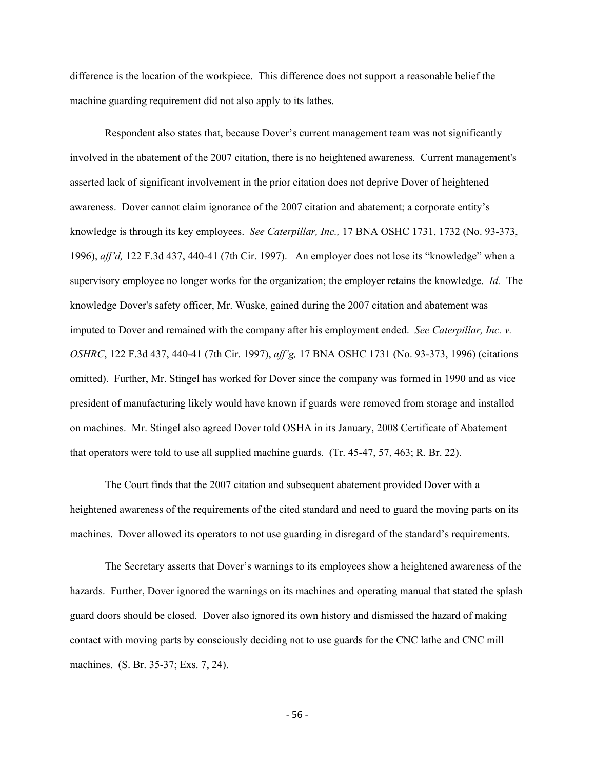difference is the location of the workpiece. This difference does not support a reasonable belief the machine guarding requirement did not also apply to its lathes.

Respondent also states that, because Dover's current management team was not significantly involved in the abatement of the 2007 citation, there is no heightened awareness. Current management's asserted lack of significant involvement in the prior citation does not deprive Dover of heightened awareness. Dover cannot claim ignorance of the 2007 citation and abatement; a corporate entity's knowledge is through its key employees. *See Caterpillar, Inc.,* 17 BNA OSHC 1731, 1732 (No. 93-373, 1996), *aff'd,* 122 F.3d 437, 440-41 (7th Cir. 1997). An employer does not lose its "knowledge" when a supervisory employee no longer works for the organization; the employer retains the knowledge. *Id.* The knowledge Dover's safety officer, Mr. Wuske, gained during the 2007 citation and abatement was imputed to Dover and remained with the company after his employment ended. *See Caterpillar, Inc. v. OSHRC*, 122 F.3d 437, 440-41 (7th Cir. 1997), *aff'g,* 17 BNA OSHC 1731 (No. 93-373, 1996) (citations omitted). Further, Mr. Stingel has worked for Dover since the company was formed in 1990 and as vice president of manufacturing likely would have known if guards were removed from storage and installed on machines. Mr. Stingel also agreed Dover told OSHA in its January, 2008 Certificate of Abatement that operators were told to use all supplied machine guards. (Tr. 45-47, 57, 463; R. Br. 22).

The Court finds that the 2007 citation and subsequent abatement provided Dover with a heightened awareness of the requirements of the cited standard and need to guard the moving parts on its machines. Dover allowed its operators to not use guarding in disregard of the standard's requirements.

The Secretary asserts that Dover's warnings to its employees show a heightened awareness of the hazards. Further, Dover ignored the warnings on its machines and operating manual that stated the splash guard doors should be closed. Dover also ignored its own history and dismissed the hazard of making contact with moving parts by consciously deciding not to use guards for the CNC lathe and CNC mill machines. (S. Br. 35-37; Exs. 7, 24).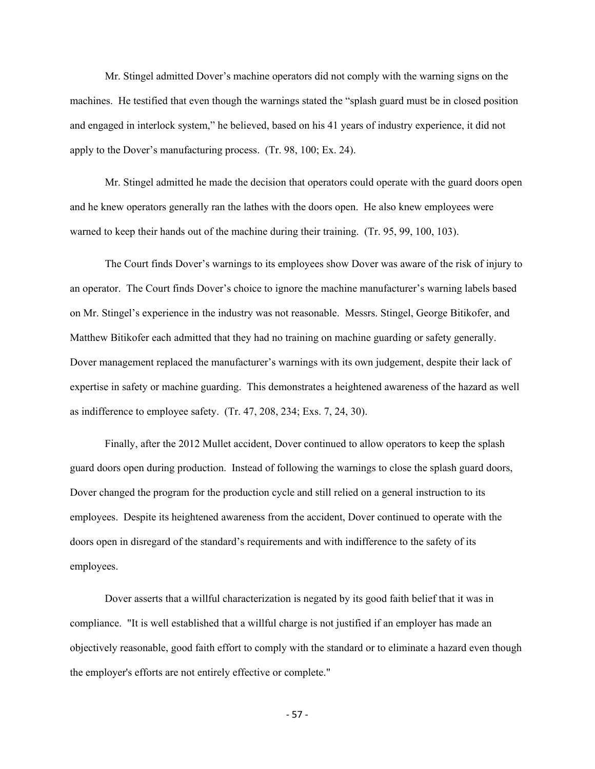Mr. Stingel admitted Dover's machine operators did not comply with the warning signs on the machines. He testified that even though the warnings stated the "splash guard must be in closed position and engaged in interlock system," he believed, based on his 41 years of industry experience, it did not apply to the Dover's manufacturing process. (Tr. 98, 100; Ex. 24).

Mr. Stingel admitted he made the decision that operators could operate with the guard doors open and he knew operators generally ran the lathes with the doors open. He also knew employees were warned to keep their hands out of the machine during their training. (Tr. 95, 99, 100, 103).

The Court finds Dover's warnings to its employees show Dover was aware of the risk of injury to an operator. The Court finds Dover's choice to ignore the machine manufacturer's warning labels based on Mr. Stingel's experience in the industry was not reasonable. Messrs. Stingel, George Bitikofer, and Matthew Bitikofer each admitted that they had no training on machine guarding or safety generally. Dover management replaced the manufacturer's warnings with its own judgement, despite their lack of expertise in safety or machine guarding. This demonstrates a heightened awareness of the hazard as well as indifference to employee safety. (Tr. 47, 208, 234; Exs. 7, 24, 30).

Finally, after the 2012 Mullet accident, Dover continued to allow operators to keep the splash guard doors open during production. Instead of following the warnings to close the splash guard doors, Dover changed the program for the production cycle and still relied on a general instruction to its employees. Despite its heightened awareness from the accident, Dover continued to operate with the doors open in disregard of the standard's requirements and with indifference to the safety of its employees.

Dover asserts that a willful characterization is negated by its good faith belief that it was in compliance. "It is well established that a willful charge is not justified if an employer has made an objectively reasonable, good faith effort to comply with the standard or to eliminate a hazard even though the employer's efforts are not entirely effective or complete."

- 57 -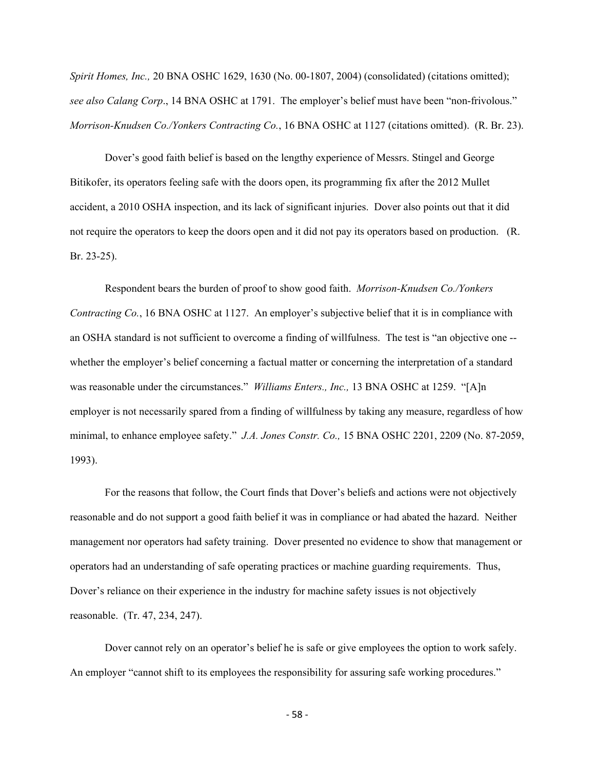*Spirit Homes, Inc.,* 20 BNA OSHC 1629, 1630 (No. 00-1807, 2004) (consolidated) (citations omitted); *see also Calang Corp*., 14 BNA OSHC at 1791. The employer's belief must have been "non-frivolous." *Morrison-Knudsen Co./Yonkers Contracting Co.*, 16 BNA OSHC at 1127 (citations omitted). (R. Br. 23).

Dover's good faith belief is based on the lengthy experience of Messrs. Stingel and George Bitikofer, its operators feeling safe with the doors open, its programming fix after the 2012 Mullet accident, a 2010 OSHA inspection, and its lack of significant injuries. Dover also points out that it did not require the operators to keep the doors open and it did not pay its operators based on production. (R. Br. 23-25).

Respondent bears the burden of proof to show good faith. *Morrison-Knudsen Co./Yonkers Contracting Co.*, 16 BNA OSHC at 1127. An employer's subjective belief that it is in compliance with an OSHA standard is not sufficient to overcome a finding of willfulness. The test is "an objective one - whether the employer's belief concerning a factual matter or concerning the interpretation of a standard was reasonable under the circumstances." *Williams Enters., Inc.,* 13 BNA OSHC at 1259. "[A]n employer is not necessarily spared from a finding of willfulness by taking any measure, regardless of how minimal, to enhance employee safety." *J.A. Jones Constr. Co.,* 15 BNA OSHC 2201, 2209 (No. 87-2059, 1993).

For the reasons that follow, the Court finds that Dover's beliefs and actions were not objectively reasonable and do not support a good faith belief it was in compliance or had abated the hazard. Neither management nor operators had safety training. Dover presented no evidence to show that management or operators had an understanding of safe operating practices or machine guarding requirements. Thus, Dover's reliance on their experience in the industry for machine safety issues is not objectively reasonable. (Tr. 47, 234, 247).

Dover cannot rely on an operator's belief he is safe or give employees the option to work safely. An employer "cannot shift to its employees the responsibility for assuring safe working procedures."

- 58 -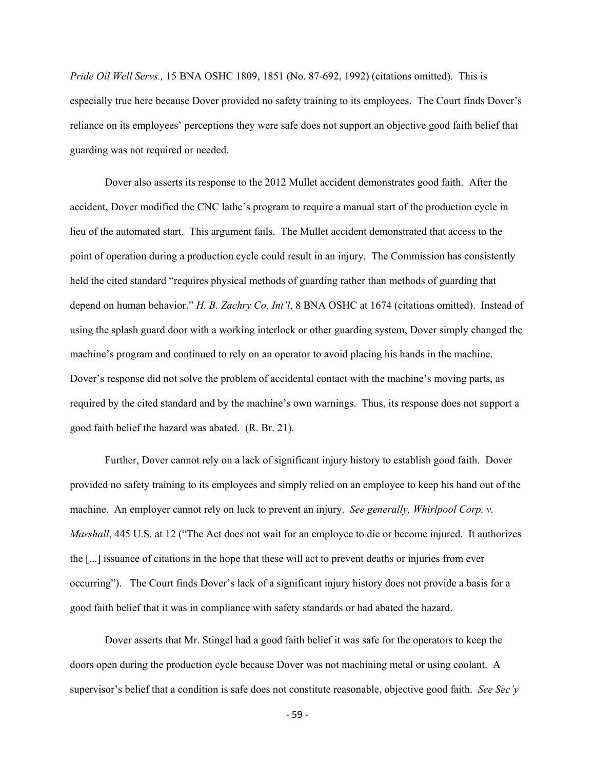*Pride Oil Well Servs.,* 15 BNA OSHC 1809, 1851 (No. 87-692, 1992) (citations omitted). This is especially true here because Dover provided no safety training to its employees. The Court finds Dover's reliance on its employees' perceptions they were safe does not support an objective good faith belief that guarding was not required or needed.

Dover also asserts its response to the 2012 Mullet accident demonstrates good faith. After the accident, Dover modified the CNC lathe's program to require a manual start of the production cycle in lieu of the automated start. This argument fails. The Mullet accident demonstrated that access to the point of operation during a production cycle could result in an injury. The Commission has consistently held the cited standard "requires physical methods of guarding rather than methods of guarding that depend on human behavior." *H. B. Zachry Co. Int'l*, 8 BNA OSHC at 1674 (citations omitted). Instead of using the splash guard door with a working interlock or other guarding system, Dover simply changed the machine's program and continued to rely on an operator to avoid placing his hands in the machine. Dover's response did not solve the problem of accidental contact with the machine's moving parts, as required by the cited standard and by the machine's own warnings. Thus, its response does not support a good faith belief the hazard was abated. (R. Br. 21).

Further, Dover cannot rely on a lack of significant injury history to establish good faith. Dover provided no safety training to its employees and simply relied on an employee to keep his hand out of the machine. An employer cannot rely on luck to prevent an injury. *See generally, Whirlpool Corp. v. Marshall*, 445 U.S. at 12 ("The Act does not wait for an employee to die or become injured. It authorizes the [...] issuance of citations in the hope that these will act to prevent deaths or injuries from ever occurring"). The Court finds Dover's lack of a significant injury history does not provide a basis for a good faith belief that it was in compliance with safety standards or had abated the hazard.

Dover asserts that Mr. Stingel had a good faith belief it was safe for the operators to keep the doors open during the production cycle because Dover was not machining metal or using coolant. A supervisor's belief that a condition is safe does not constitute reasonable, objective good faith. *See Sec'y* 

- 59 -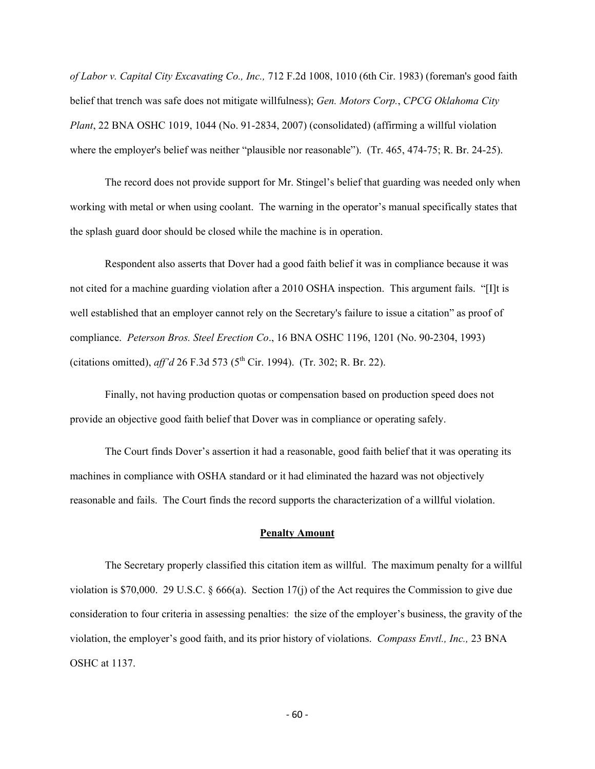*of Labor v. Capital City Excavating Co., Inc.,* 712 F.2d 1008, 1010 (6th Cir. 1983) (foreman's good faith belief that trench was safe does not mitigate willfulness); *Gen. Motors Corp.*, *CPCG Oklahoma City Plant*, 22 BNA OSHC 1019, 1044 (No. 91-2834, 2007) (consolidated) (affirming a willful violation where the employer's belief was neither "plausible nor reasonable"). (Tr. 465, 474-75; R. Br. 24-25).

The record does not provide support for Mr. Stingel's belief that guarding was needed only when working with metal or when using coolant. The warning in the operator's manual specifically states that the splash guard door should be closed while the machine is in operation.

Respondent also asserts that Dover had a good faith belief it was in compliance because it was not cited for a machine guarding violation after a 2010 OSHA inspection. This argument fails. "[I]t is well established that an employer cannot rely on the Secretary's failure to issue a citation" as proof of compliance. *Peterson Bros. Steel Erection Co*., 16 BNA OSHC 1196, 1201 (No. 90-2304, 1993) (citations omitted), *aff'd* 26 F.3d 573 (5<sup>th</sup> Cir. 1994). (Tr. 302; R. Br. 22).

Finally, not having production quotas or compensation based on production speed does not provide an objective good faith belief that Dover was in compliance or operating safely.

The Court finds Dover's assertion it had a reasonable, good faith belief that it was operating its machines in compliance with OSHA standard or it had eliminated the hazard was not objectively reasonable and fails. The Court finds the record supports the characterization of a willful violation.

#### **Penalty Amount**

The Secretary properly classified this citation item as willful. The maximum penalty for a willful violation is \$70,000. 29 U.S.C. § 666(a). Section 17(j) of the Act requires the Commission to give due consideration to four criteria in assessing penalties: the size of the employer's business, the gravity of the violation, the employer's good faith, and its prior history of violations. *Compass Envtl., Inc.,* 23 BNA OSHC at 1137.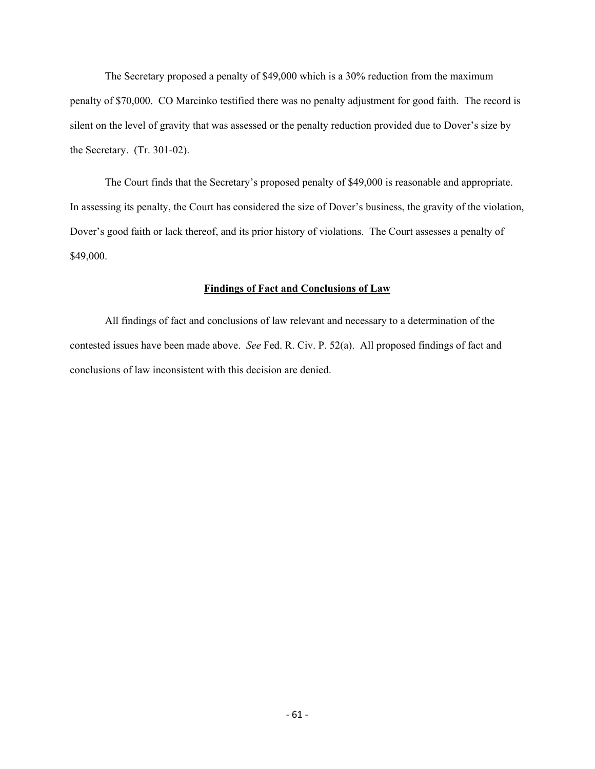The Secretary proposed a penalty of \$49,000 which is a 30% reduction from the maximum penalty of \$70,000. CO Marcinko testified there was no penalty adjustment for good faith. The record is silent on the level of gravity that was assessed or the penalty reduction provided due to Dover's size by the Secretary. (Tr. 301-02).

 The Court finds that the Secretary's proposed penalty of \$49,000 is reasonable and appropriate. In assessing its penalty, the Court has considered the size of Dover's business, the gravity of the violation, Dover's good faith or lack thereof, and its prior history of violations. The Court assesses a penalty of \$49,000.

### **Findings of Fact and Conclusions of Law**

All findings of fact and conclusions of law relevant and necessary to a determination of the contested issues have been made above. *See* Fed. R. Civ. P. 52(a). All proposed findings of fact and conclusions of law inconsistent with this decision are denied.